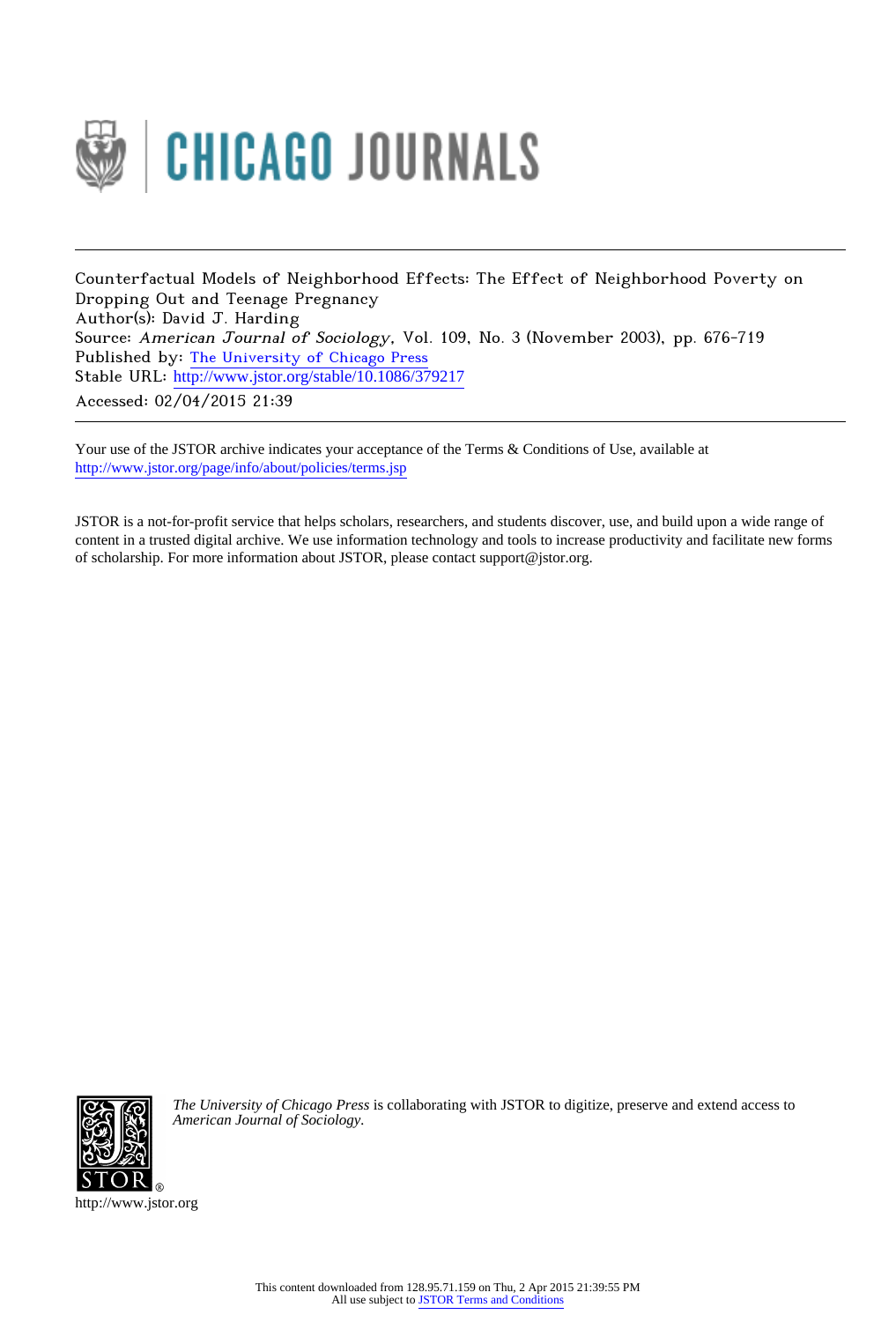

Counterfactual Models of Neighborhood Effects: The Effect of Neighborhood Poverty on Dropping Out and Teenage Pregnancy Author(s): David J. Harding Source: American Journal of Sociology, Vol. 109, No. 3 (November 2003), pp. 676-719 Published by: [The University of Chicago Press](http://www.jstor.org/action/showPublisher?publisherCode=ucpress) Stable URL: http://www.jstor.org/stable/10.1086/379217 Accessed: 02/04/2015 21:39

Your use of the JSTOR archive indicates your acceptance of the Terms & Conditions of Use, available at <http://www.jstor.org/page/info/about/policies/terms.jsp>

JSTOR is a not-for-profit service that helps scholars, researchers, and students discover, use, and build upon a wide range of content in a trusted digital archive. We use information technology and tools to increase productivity and facilitate new forms of scholarship. For more information about JSTOR, please contact support@jstor.org.



*The University of Chicago Press* is collaborating with JSTOR to digitize, preserve and extend access to *American Journal of Sociology.*

http://www.jstor.org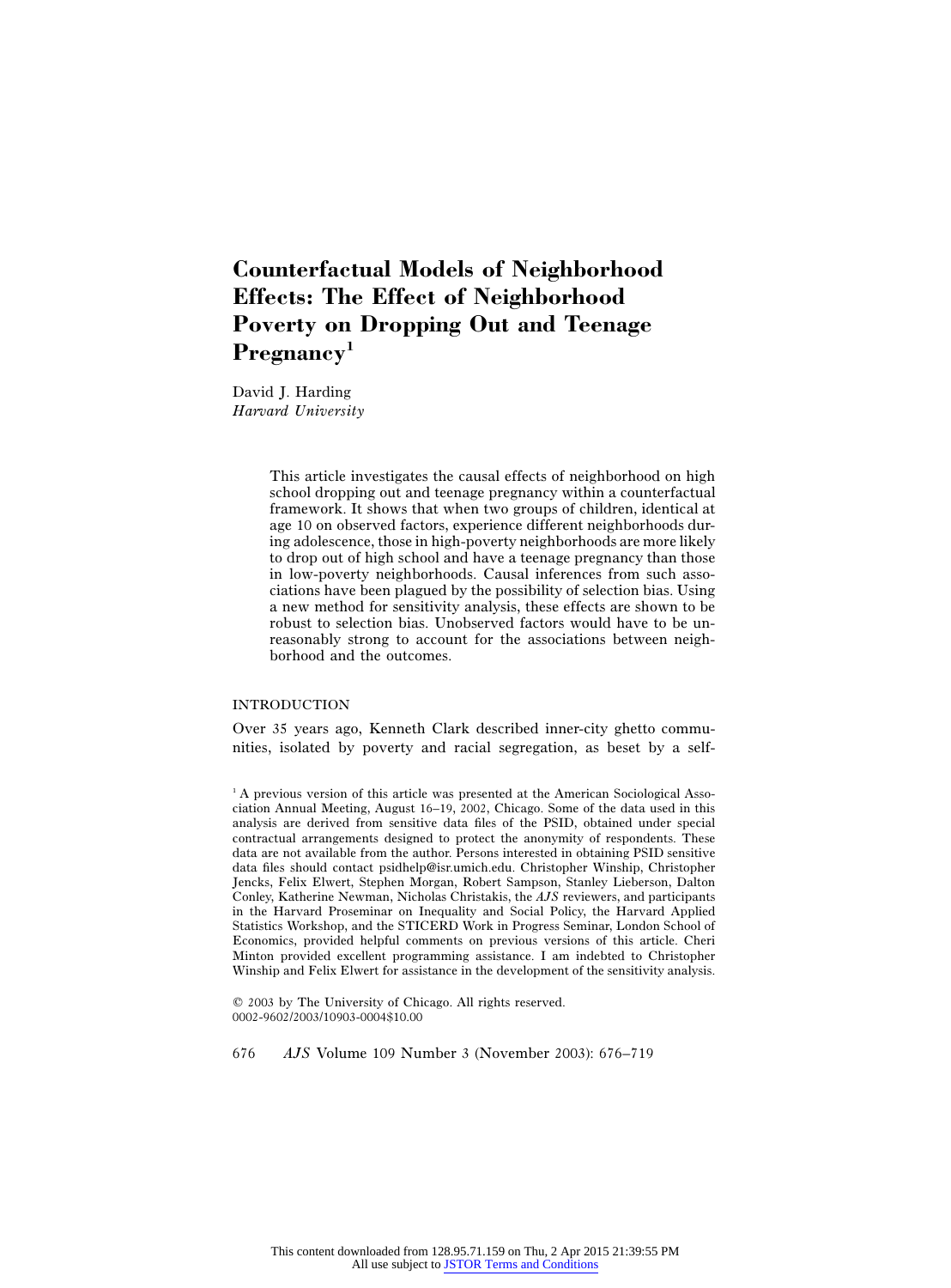# **Counterfactual Models of Neighborhood Effects: The Effect of Neighborhood Poverty on Dropping Out and Teenage Pregnancy1**

David J. Harding *Harvard University*

> This article investigates the causal effects of neighborhood on high school dropping out and teenage pregnancy within a counterfactual framework. It shows that when two groups of children, identical at age 10 on observed factors, experience different neighborhoods during adolescence, those in high-poverty neighborhoods are more likely to drop out of high school and have a teenage pregnancy than those in low-poverty neighborhoods. Causal inferences from such associations have been plagued by the possibility of selection bias. Using a new method for sensitivity analysis, these effects are shown to be robust to selection bias. Unobserved factors would have to be unreasonably strong to account for the associations between neighborhood and the outcomes.

## INTRODUCTION

Over 35 years ago, Kenneth Clark described inner-city ghetto communities, isolated by poverty and racial segregation, as beset by a self-

<sup>1</sup> A previous version of this article was presented at the American Sociological Association Annual Meeting, August 16–19, 2002, Chicago. Some of the data used in this analysis are derived from sensitive data files of the PSID, obtained under special contractual arrangements designed to protect the anonymity of respondents. These data are not available from the author. Persons interested in obtaining PSID sensitive data files should contact psidhelp@isr.umich.edu. Christopher Winship, Christopher Jencks, Felix Elwert, Stephen Morgan, Robert Sampson, Stanley Lieberson, Dalton Conley, Katherine Newman, Nicholas Christakis, the *AJS* reviewers, and participants in the Harvard Proseminar on Inequality and Social Policy, the Harvard Applied Statistics Workshop, and the STICERD Work in Progress Seminar, London School of Economics, provided helpful comments on previous versions of this article. Cheri Minton provided excellent programming assistance. I am indebted to Christopher Winship and Felix Elwert for assistance in the development of the sensitivity analysis.

 2003 by The University of Chicago. All rights reserved. 0002-9602/2003/10903-0004\$10.00

676 *AJS* Volume 109 Number 3 (November 2003): 676–719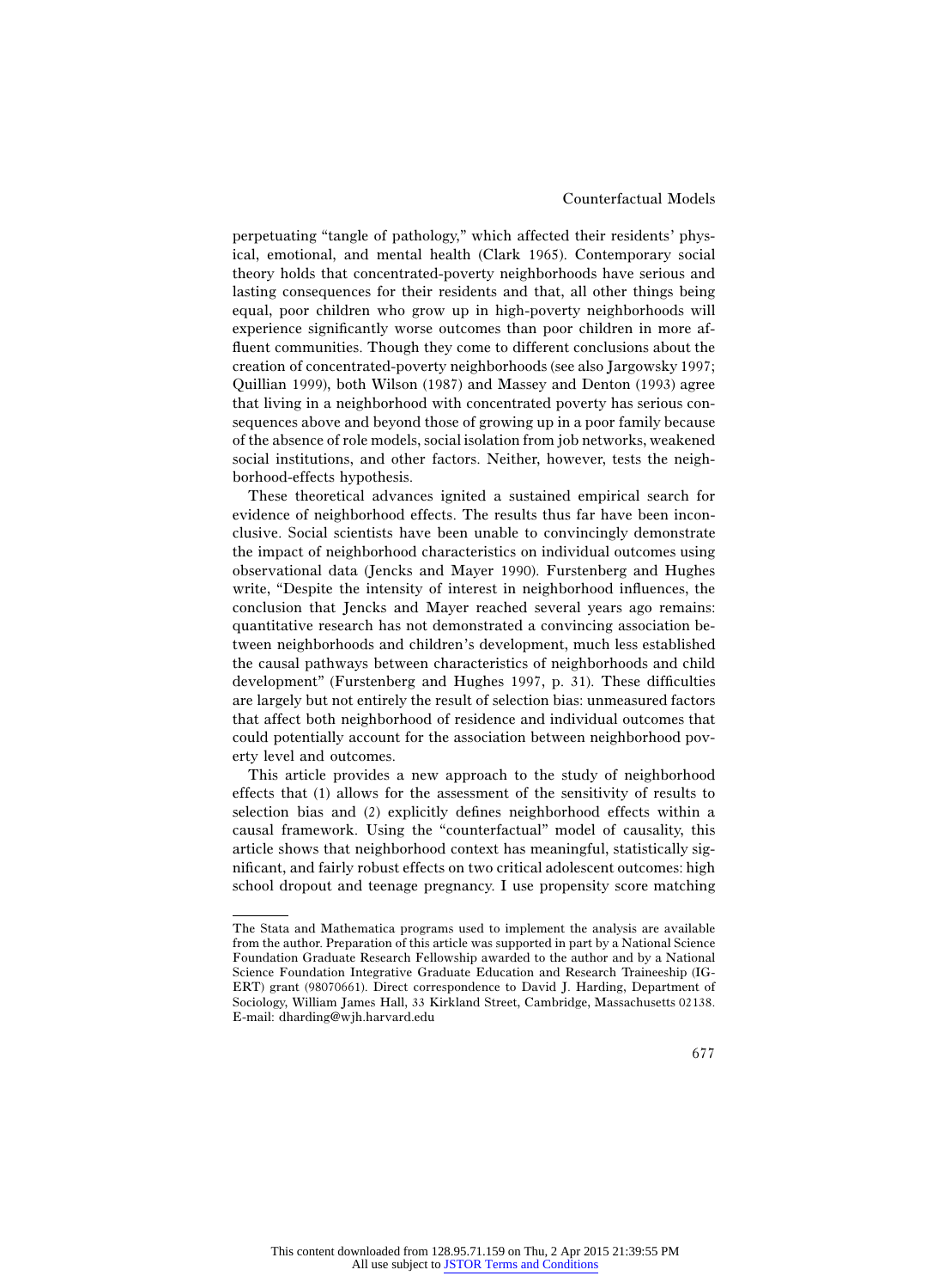perpetuating "tangle of pathology," which affected their residents' physical, emotional, and mental health (Clark 1965). Contemporary social theory holds that concentrated-poverty neighborhoods have serious and lasting consequences for their residents and that, all other things being equal, poor children who grow up in high-poverty neighborhoods will experience significantly worse outcomes than poor children in more affluent communities. Though they come to different conclusions about the creation of concentrated-poverty neighborhoods (see also Jargowsky 1997; Quillian 1999), both Wilson (1987) and Massey and Denton (1993) agree that living in a neighborhood with concentrated poverty has serious consequences above and beyond those of growing up in a poor family because of the absence of role models, social isolation from job networks, weakened social institutions, and other factors. Neither, however, tests the neighborhood-effects hypothesis.

These theoretical advances ignited a sustained empirical search for evidence of neighborhood effects. The results thus far have been inconclusive. Social scientists have been unable to convincingly demonstrate the impact of neighborhood characteristics on individual outcomes using observational data (Jencks and Mayer 1990). Furstenberg and Hughes write, "Despite the intensity of interest in neighborhood influences, the conclusion that Jencks and Mayer reached several years ago remains: quantitative research has not demonstrated a convincing association between neighborhoods and children's development, much less established the causal pathways between characteristics of neighborhoods and child development" (Furstenberg and Hughes 1997, p. 31). These difficulties are largely but not entirely the result of selection bias: unmeasured factors that affect both neighborhood of residence and individual outcomes that could potentially account for the association between neighborhood poverty level and outcomes.

This article provides a new approach to the study of neighborhood effects that (1) allows for the assessment of the sensitivity of results to selection bias and (2) explicitly defines neighborhood effects within a causal framework. Using the "counterfactual" model of causality, this article shows that neighborhood context has meaningful, statistically significant, and fairly robust effects on two critical adolescent outcomes: high school dropout and teenage pregnancy. I use propensity score matching

The Stata and Mathematica programs used to implement the analysis are available from the author. Preparation of this article was supported in part by a National Science Foundation Graduate Research Fellowship awarded to the author and by a National Science Foundation Integrative Graduate Education and Research Traineeship (IG-ERT) grant (98070661). Direct correspondence to David J. Harding, Department of Sociology, William James Hall, 33 Kirkland Street, Cambridge, Massachusetts 02138. E-mail: dharding@wjh.harvard.edu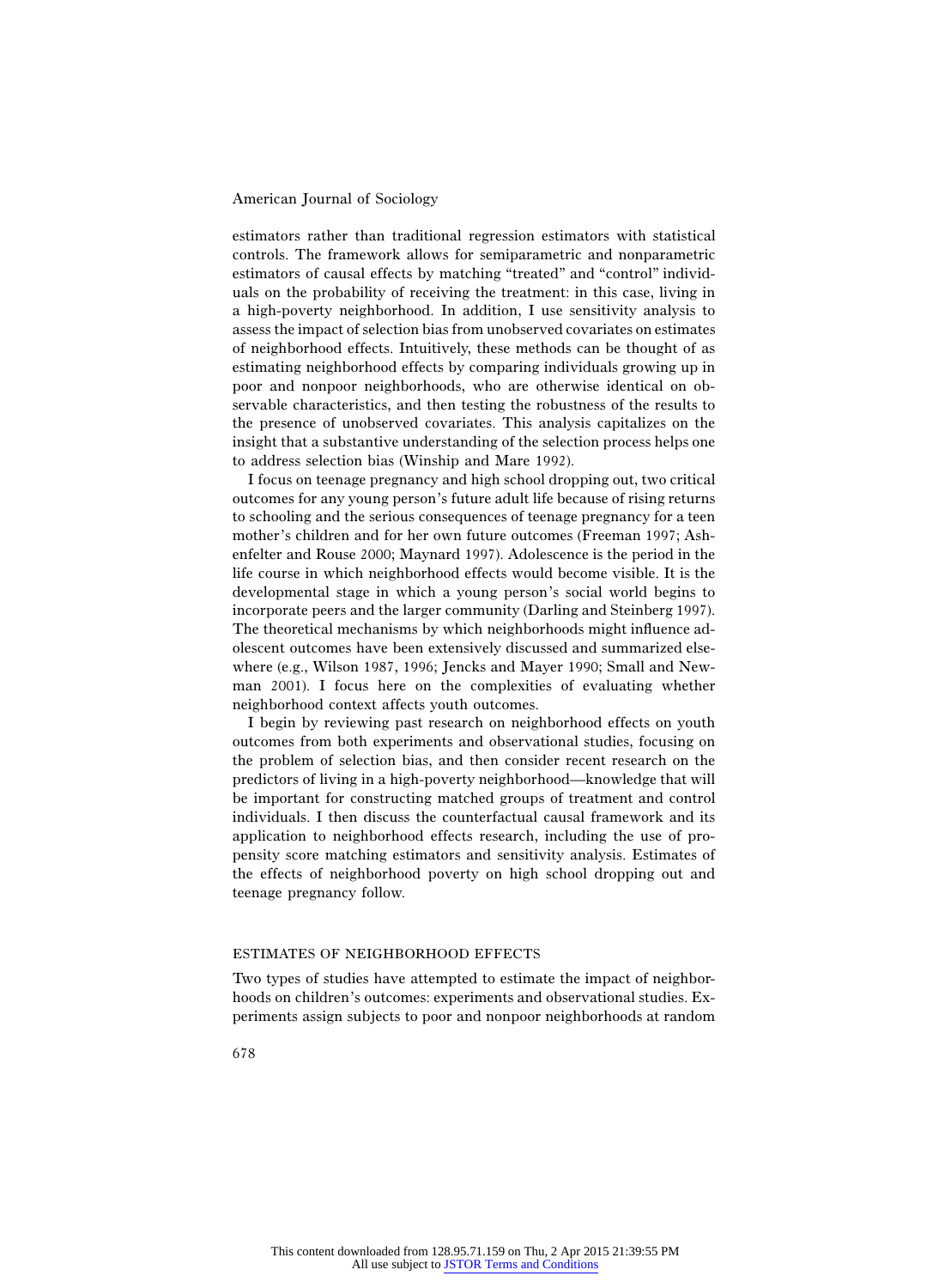estimators rather than traditional regression estimators with statistical controls. The framework allows for semiparametric and nonparametric estimators of causal effects by matching "treated" and "control" individuals on the probability of receiving the treatment: in this case, living in a high-poverty neighborhood. In addition, I use sensitivity analysis to assess the impact of selection bias from unobserved covariates on estimates of neighborhood effects. Intuitively, these methods can be thought of as estimating neighborhood effects by comparing individuals growing up in poor and nonpoor neighborhoods, who are otherwise identical on observable characteristics, and then testing the robustness of the results to the presence of unobserved covariates. This analysis capitalizes on the insight that a substantive understanding of the selection process helps one to address selection bias (Winship and Mare 1992).

I focus on teenage pregnancy and high school dropping out, two critical outcomes for any young person's future adult life because of rising returns to schooling and the serious consequences of teenage pregnancy for a teen mother's children and for her own future outcomes (Freeman 1997; Ashenfelter and Rouse 2000; Maynard 1997). Adolescence is the period in the life course in which neighborhood effects would become visible. It is the developmental stage in which a young person's social world begins to incorporate peers and the larger community (Darling and Steinberg 1997). The theoretical mechanisms by which neighborhoods might influence adolescent outcomes have been extensively discussed and summarized elsewhere (e.g., Wilson 1987, 1996; Jencks and Mayer 1990; Small and Newman 2001). I focus here on the complexities of evaluating whether neighborhood context affects youth outcomes.

I begin by reviewing past research on neighborhood effects on youth outcomes from both experiments and observational studies, focusing on the problem of selection bias, and then consider recent research on the predictors of living in a high-poverty neighborhood—knowledge that will be important for constructing matched groups of treatment and control individuals. I then discuss the counterfactual causal framework and its application to neighborhood effects research, including the use of propensity score matching estimators and sensitivity analysis. Estimates of the effects of neighborhood poverty on high school dropping out and teenage pregnancy follow.

## ESTIMATES OF NEIGHBORHOOD EFFECTS

Two types of studies have attempted to estimate the impact of neighborhoods on children's outcomes: experiments and observational studies. Experiments assign subjects to poor and nonpoor neighborhoods at random

678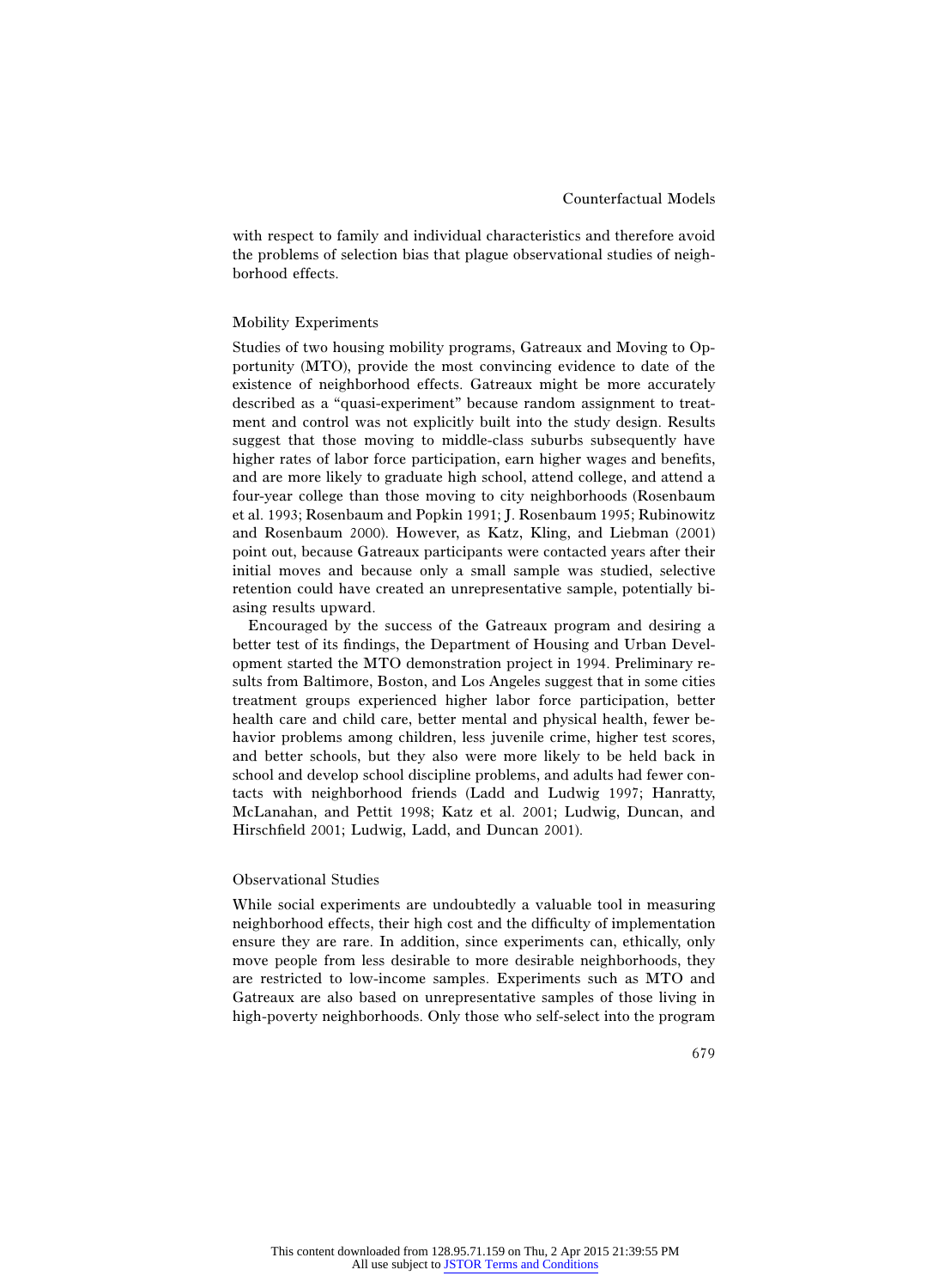with respect to family and individual characteristics and therefore avoid the problems of selection bias that plague observational studies of neighborhood effects.

# Mobility Experiments

Studies of two housing mobility programs, Gatreaux and Moving to Opportunity (MTO), provide the most convincing evidence to date of the existence of neighborhood effects. Gatreaux might be more accurately described as a "quasi-experiment" because random assignment to treatment and control was not explicitly built into the study design. Results suggest that those moving to middle-class suburbs subsequently have higher rates of labor force participation, earn higher wages and benefits, and are more likely to graduate high school, attend college, and attend a four-year college than those moving to city neighborhoods (Rosenbaum et al. 1993; Rosenbaum and Popkin 1991; J. Rosenbaum 1995; Rubinowitz and Rosenbaum 2000). However, as Katz, Kling, and Liebman (2001) point out, because Gatreaux participants were contacted years after their initial moves and because only a small sample was studied, selective retention could have created an unrepresentative sample, potentially biasing results upward.

Encouraged by the success of the Gatreaux program and desiring a better test of its findings, the Department of Housing and Urban Development started the MTO demonstration project in 1994. Preliminary results from Baltimore, Boston, and Los Angeles suggest that in some cities treatment groups experienced higher labor force participation, better health care and child care, better mental and physical health, fewer behavior problems among children, less juvenile crime, higher test scores, and better schools, but they also were more likely to be held back in school and develop school discipline problems, and adults had fewer contacts with neighborhood friends (Ladd and Ludwig 1997; Hanratty, McLanahan, and Pettit 1998; Katz et al. 2001; Ludwig, Duncan, and Hirschfield 2001; Ludwig, Ladd, and Duncan 2001).

## Observational Studies

While social experiments are undoubtedly a valuable tool in measuring neighborhood effects, their high cost and the difficulty of implementation ensure they are rare. In addition, since experiments can, ethically, only move people from less desirable to more desirable neighborhoods, they are restricted to low-income samples. Experiments such as MTO and Gatreaux are also based on unrepresentative samples of those living in high-poverty neighborhoods. Only those who self-select into the program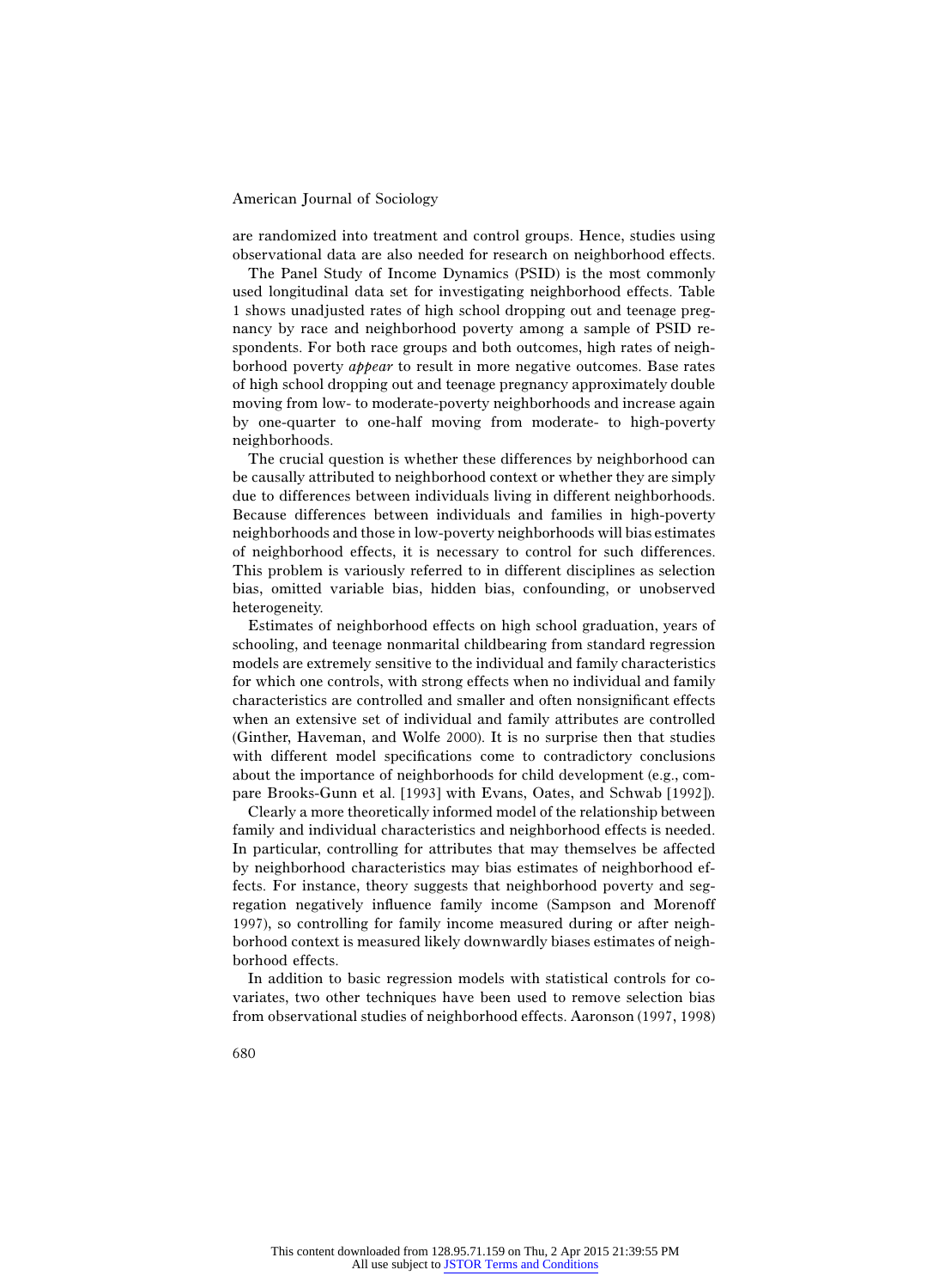are randomized into treatment and control groups. Hence, studies using observational data are also needed for research on neighborhood effects.

The Panel Study of Income Dynamics (PSID) is the most commonly used longitudinal data set for investigating neighborhood effects. Table 1 shows unadjusted rates of high school dropping out and teenage pregnancy by race and neighborhood poverty among a sample of PSID respondents. For both race groups and both outcomes, high rates of neighborhood poverty *appear* to result in more negative outcomes. Base rates of high school dropping out and teenage pregnancy approximately double moving from low- to moderate-poverty neighborhoods and increase again by one-quarter to one-half moving from moderate- to high-poverty neighborhoods.

The crucial question is whether these differences by neighborhood can be causally attributed to neighborhood context or whether they are simply due to differences between individuals living in different neighborhoods. Because differences between individuals and families in high-poverty neighborhoods and those in low-poverty neighborhoods will bias estimates of neighborhood effects, it is necessary to control for such differences. This problem is variously referred to in different disciplines as selection bias, omitted variable bias, hidden bias, confounding, or unobserved heterogeneity.

Estimates of neighborhood effects on high school graduation, years of schooling, and teenage nonmarital childbearing from standard regression models are extremely sensitive to the individual and family characteristics for which one controls, with strong effects when no individual and family characteristics are controlled and smaller and often nonsignificant effects when an extensive set of individual and family attributes are controlled (Ginther, Haveman, and Wolfe 2000). It is no surprise then that studies with different model specifications come to contradictory conclusions about the importance of neighborhoods for child development (e.g., compare Brooks-Gunn et al. [1993] with Evans, Oates, and Schwab [1992]).

Clearly a more theoretically informed model of the relationship between family and individual characteristics and neighborhood effects is needed. In particular, controlling for attributes that may themselves be affected by neighborhood characteristics may bias estimates of neighborhood effects. For instance, theory suggests that neighborhood poverty and segregation negatively influence family income (Sampson and Morenoff 1997), so controlling for family income measured during or after neighborhood context is measured likely downwardly biases estimates of neighborhood effects.

In addition to basic regression models with statistical controls for covariates, two other techniques have been used to remove selection bias from observational studies of neighborhood effects. Aaronson (1997, 1998)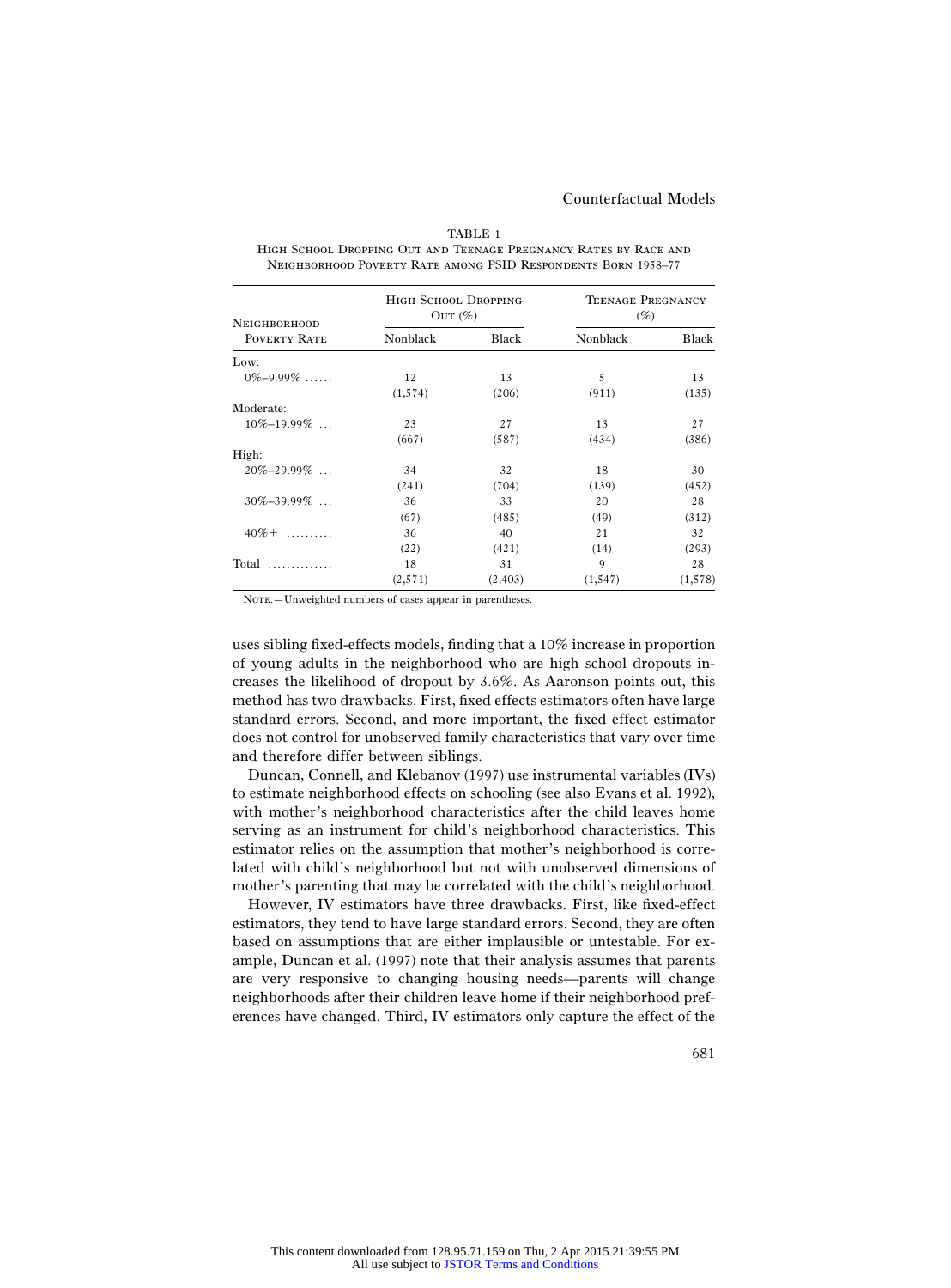| <b>NEIGHBORHOOD</b> | HIGH SCHOOL DROPPING<br>OUT $(\%)$ |         | <b>TEENAGE PREGNANCY</b><br>$(\%)$ |         |
|---------------------|------------------------------------|---------|------------------------------------|---------|
| POVERTY RATE        | Nonblack                           | Black   | Nonblack                           | Black   |
| Low:                |                                    |         |                                    |         |
| $0\% - 9.99\%$      | 12                                 | 13      | 5                                  | 13      |
|                     | (1,574)                            | (206)   | (911)                              | (135)   |
| Moderate:           |                                    |         |                                    |         |
| $10\% - 19.99\%$    | 23                                 | 27      | 13                                 | 27      |
|                     | (667)                              | (587)   | (434)                              | (386)   |
| High:               |                                    |         |                                    |         |
| $20\% - 29.99\%$    | 34                                 | 32      | 18                                 | 30      |
|                     | (241)                              | (704)   | (139)                              | (452)   |
| $30\% - 39.99\%$    | 36                                 | 33      | 20                                 | 28      |
|                     | (67)                               | (485)   | (49)                               | (312)   |
| $40\% +$            | 36                                 | 40      | 21                                 | 32      |
|                     | (22)                               | (421)   | (14)                               | (293)   |
| $Total$             | 18                                 | 31      | 9                                  | 28      |
|                     | (2,571)                            | (2,403) | (1, 547)                           | (1,578) |

TABLE 1 High School Dropping Out and Teenage Pregnancy Rates by Race and Neighborhood Poverty Rate among PSID Respondents Born 1958–77

NOTE.-Unweighted numbers of cases appear in parentheses.

uses sibling fixed-effects models, finding that a 10% increase in proportion of young adults in the neighborhood who are high school dropouts increases the likelihood of dropout by 3.6%. As Aaronson points out, this method has two drawbacks. First, fixed effects estimators often have large standard errors. Second, and more important, the fixed effect estimator does not control for unobserved family characteristics that vary over time and therefore differ between siblings.

Duncan, Connell, and Klebanov (1997) use instrumental variables (IVs) to estimate neighborhood effects on schooling (see also Evans et al. 1992), with mother's neighborhood characteristics after the child leaves home serving as an instrument for child's neighborhood characteristics. This estimator relies on the assumption that mother's neighborhood is correlated with child's neighborhood but not with unobserved dimensions of mother's parenting that may be correlated with the child's neighborhood.

However, IV estimators have three drawbacks. First, like fixed-effect estimators, they tend to have large standard errors. Second, they are often based on assumptions that are either implausible or untestable. For example, Duncan et al. (1997) note that their analysis assumes that parents are very responsive to changing housing needs—parents will change neighborhoods after their children leave home if their neighborhood preferences have changed. Third, IV estimators only capture the effect of the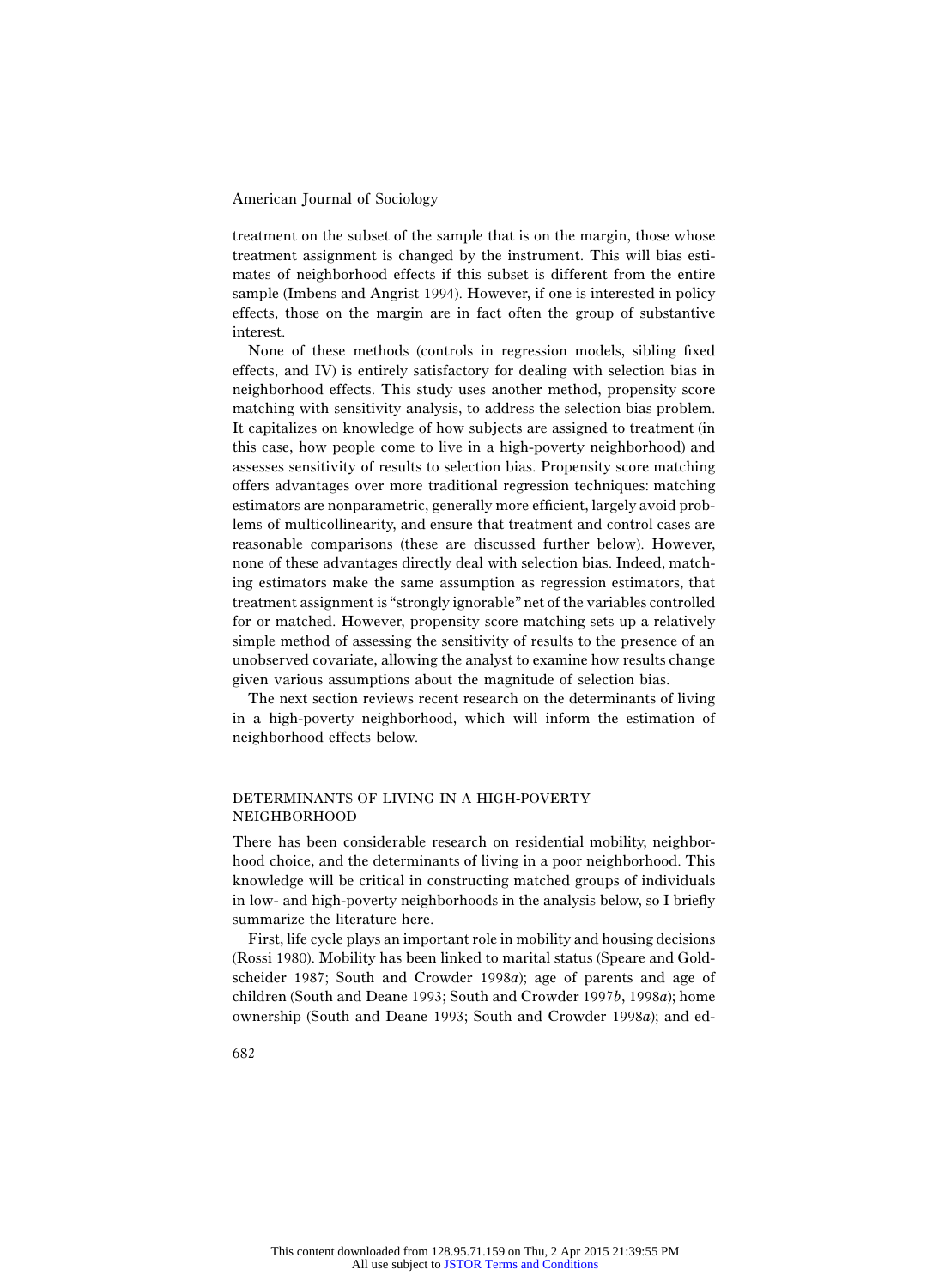treatment on the subset of the sample that is on the margin, those whose treatment assignment is changed by the instrument. This will bias estimates of neighborhood effects if this subset is different from the entire sample (Imbens and Angrist 1994). However, if one is interested in policy effects, those on the margin are in fact often the group of substantive interest.

None of these methods (controls in regression models, sibling fixed effects, and IV) is entirely satisfactory for dealing with selection bias in neighborhood effects. This study uses another method, propensity score matching with sensitivity analysis, to address the selection bias problem. It capitalizes on knowledge of how subjects are assigned to treatment (in this case, how people come to live in a high-poverty neighborhood) and assesses sensitivity of results to selection bias. Propensity score matching offers advantages over more traditional regression techniques: matching estimators are nonparametric, generally more efficient, largely avoid problems of multicollinearity, and ensure that treatment and control cases are reasonable comparisons (these are discussed further below). However, none of these advantages directly deal with selection bias. Indeed, matching estimators make the same assumption as regression estimators, that treatment assignment is "strongly ignorable" net of the variables controlled for or matched. However, propensity score matching sets up a relatively simple method of assessing the sensitivity of results to the presence of an unobserved covariate, allowing the analyst to examine how results change given various assumptions about the magnitude of selection bias.

The next section reviews recent research on the determinants of living in a high-poverty neighborhood, which will inform the estimation of neighborhood effects below.

## DETERMINANTS OF LIVING IN A HIGH-POVERTY NEIGHBORHOOD

There has been considerable research on residential mobility, neighborhood choice, and the determinants of living in a poor neighborhood. This knowledge will be critical in constructing matched groups of individuals in low- and high-poverty neighborhoods in the analysis below, so I briefly summarize the literature here.

First, life cycle plays an important role in mobility and housing decisions (Rossi 1980). Mobility has been linked to marital status (Speare and Goldscheider 1987; South and Crowder 1998*a*); age of parents and age of children (South and Deane 1993; South and Crowder 1997*b*, 1998*a*); home ownership (South and Deane 1993; South and Crowder 1998*a*); and ed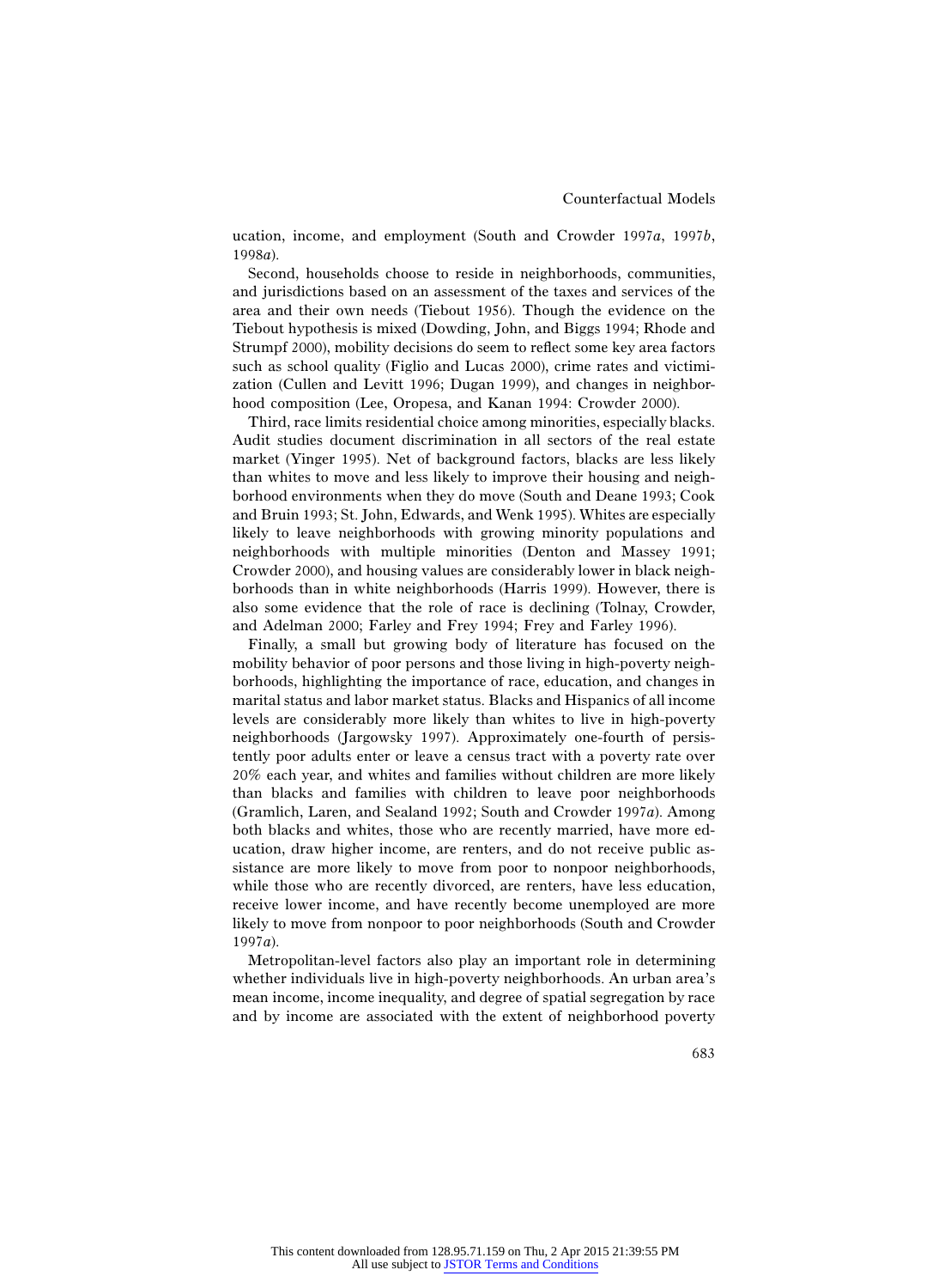ucation, income, and employment (South and Crowder 1997*a*, 1997*b*, 1998*a*).

Second, households choose to reside in neighborhoods, communities, and jurisdictions based on an assessment of the taxes and services of the area and their own needs (Tiebout 1956). Though the evidence on the Tiebout hypothesis is mixed (Dowding, John, and Biggs 1994; Rhode and Strumpf 2000), mobility decisions do seem to reflect some key area factors such as school quality (Figlio and Lucas 2000), crime rates and victimization (Cullen and Levitt 1996; Dugan 1999), and changes in neighborhood composition (Lee, Oropesa, and Kanan 1994: Crowder 2000).

Third, race limits residential choice among minorities, especially blacks. Audit studies document discrimination in all sectors of the real estate market (Yinger 1995). Net of background factors, blacks are less likely than whites to move and less likely to improve their housing and neighborhood environments when they do move (South and Deane 1993; Cook and Bruin 1993; St. John, Edwards, and Wenk 1995). Whites are especially likely to leave neighborhoods with growing minority populations and neighborhoods with multiple minorities (Denton and Massey 1991; Crowder 2000), and housing values are considerably lower in black neighborhoods than in white neighborhoods (Harris 1999). However, there is also some evidence that the role of race is declining (Tolnay, Crowder, and Adelman 2000; Farley and Frey 1994; Frey and Farley 1996).

Finally, a small but growing body of literature has focused on the mobility behavior of poor persons and those living in high-poverty neighborhoods, highlighting the importance of race, education, and changes in marital status and labor market status. Blacks and Hispanics of all income levels are considerably more likely than whites to live in high-poverty neighborhoods (Jargowsky 1997). Approximately one-fourth of persistently poor adults enter or leave a census tract with a poverty rate over 20% each year, and whites and families without children are more likely than blacks and families with children to leave poor neighborhoods (Gramlich, Laren, and Sealand 1992; South and Crowder 1997*a*). Among both blacks and whites, those who are recently married, have more education, draw higher income, are renters, and do not receive public assistance are more likely to move from poor to nonpoor neighborhoods, while those who are recently divorced, are renters, have less education, receive lower income, and have recently become unemployed are more likely to move from nonpoor to poor neighborhoods (South and Crowder 1997*a*).

Metropolitan-level factors also play an important role in determining whether individuals live in high-poverty neighborhoods. An urban area's mean income, income inequality, and degree of spatial segregation by race and by income are associated with the extent of neighborhood poverty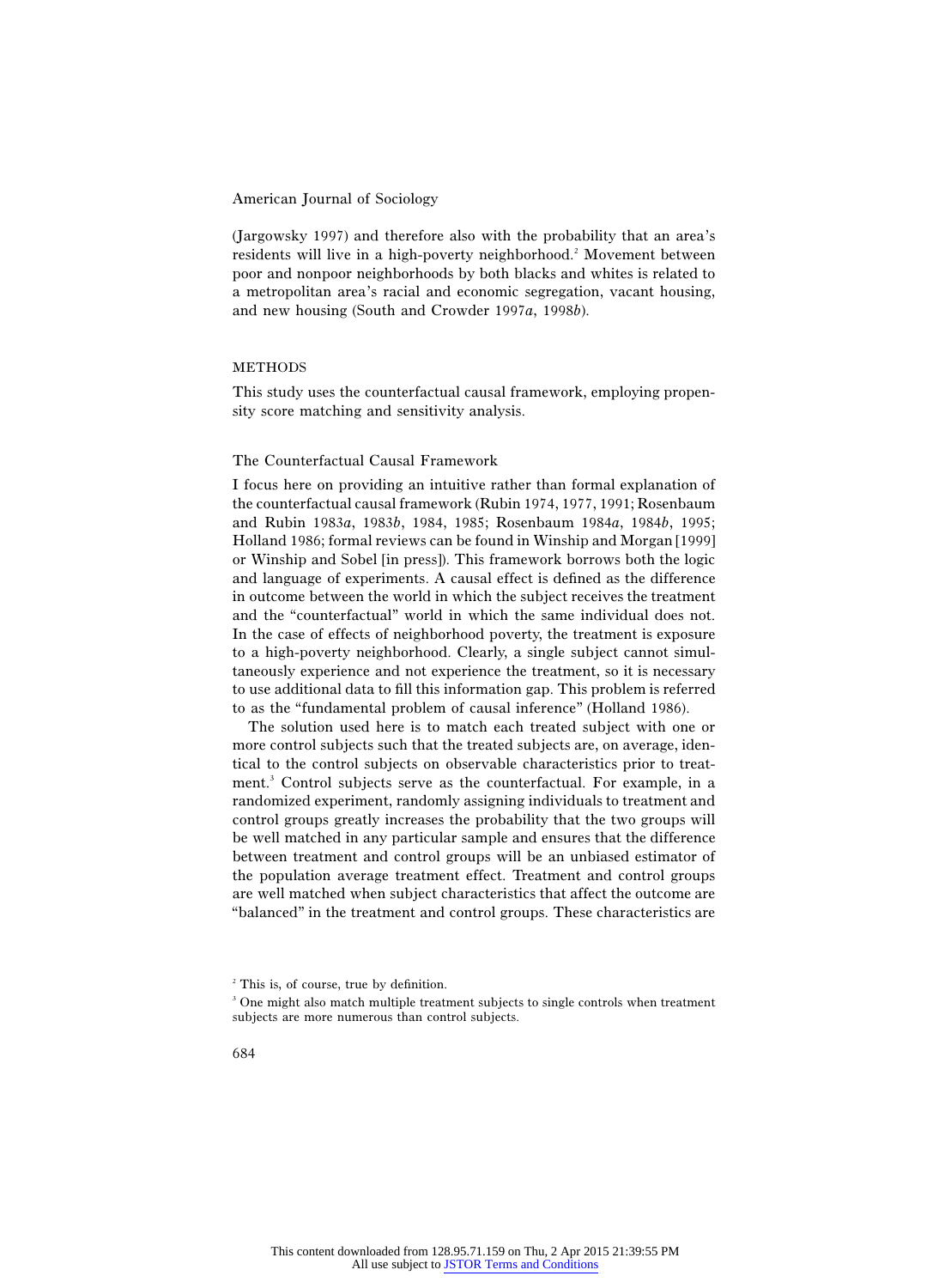(Jargowsky 1997) and therefore also with the probability that an area's residents will live in a high-poverty neighborhood.<sup>2</sup> Movement between poor and nonpoor neighborhoods by both blacks and whites is related to a metropolitan area's racial and economic segregation, vacant housing, and new housing (South and Crowder 1997*a*, 1998*b*).

## **METHODS**

This study uses the counterfactual causal framework, employing propensity score matching and sensitivity analysis.

# The Counterfactual Causal Framework

I focus here on providing an intuitive rather than formal explanation of the counterfactual causal framework (Rubin 1974, 1977, 1991; Rosenbaum and Rubin 1983*a*, 1983*b*, 1984, 1985; Rosenbaum 1984*a*, 1984*b*, 1995; Holland 1986; formal reviews can be found in Winship and Morgan [1999] or Winship and Sobel [in press]). This framework borrows both the logic and language of experiments. A causal effect is defined as the difference in outcome between the world in which the subject receives the treatment and the "counterfactual" world in which the same individual does not. In the case of effects of neighborhood poverty, the treatment is exposure to a high-poverty neighborhood. Clearly, a single subject cannot simultaneously experience and not experience the treatment, so it is necessary to use additional data to fill this information gap. This problem is referred to as the "fundamental problem of causal inference" (Holland 1986).

The solution used here is to match each treated subject with one or more control subjects such that the treated subjects are, on average, identical to the control subjects on observable characteristics prior to treatment.<sup>3</sup> Control subjects serve as the counterfactual. For example, in a randomized experiment, randomly assigning individuals to treatment and control groups greatly increases the probability that the two groups will be well matched in any particular sample and ensures that the difference between treatment and control groups will be an unbiased estimator of the population average treatment effect. Treatment and control groups are well matched when subject characteristics that affect the outcome are "balanced" in the treatment and control groups. These characteristics are

<sup>&</sup>lt;sup>2</sup> This is, of course, true by definition.

<sup>&</sup>lt;sup>3</sup> One might also match multiple treatment subjects to single controls when treatment subjects are more numerous than control subjects.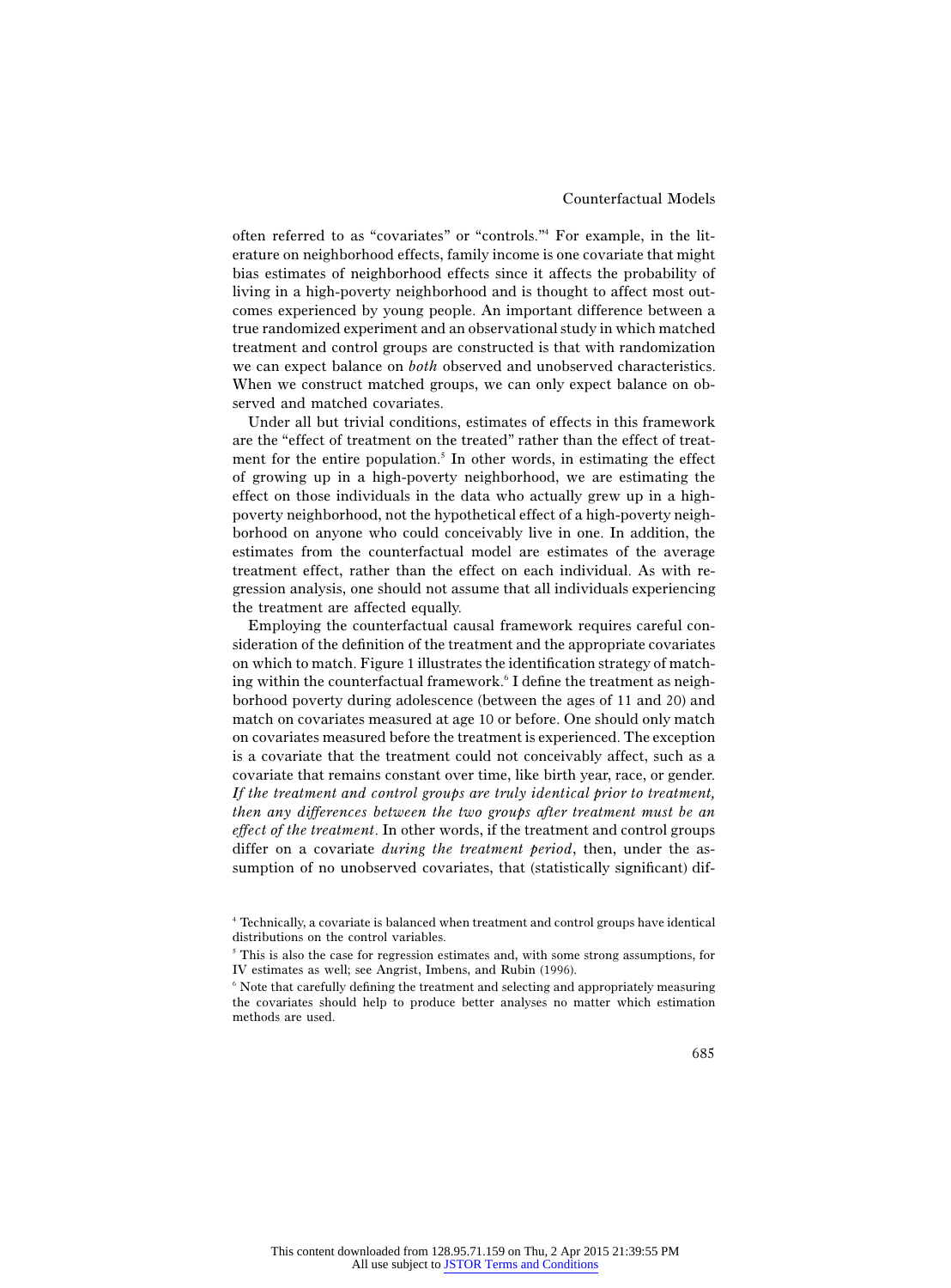often referred to as "covariates" or "controls."4 For example, in the literature on neighborhood effects, family income is one covariate that might bias estimates of neighborhood effects since it affects the probability of living in a high-poverty neighborhood and is thought to affect most outcomes experienced by young people. An important difference between a true randomized experiment and an observational study in which matched treatment and control groups are constructed is that with randomization we can expect balance on *both* observed and unobserved characteristics. When we construct matched groups, we can only expect balance on observed and matched covariates.

Under all but trivial conditions, estimates of effects in this framework are the "effect of treatment on the treated" rather than the effect of treatment for the entire population.<sup>5</sup> In other words, in estimating the effect of growing up in a high-poverty neighborhood, we are estimating the effect on those individuals in the data who actually grew up in a highpoverty neighborhood, not the hypothetical effect of a high-poverty neighborhood on anyone who could conceivably live in one. In addition, the estimates from the counterfactual model are estimates of the average treatment effect, rather than the effect on each individual. As with regression analysis, one should not assume that all individuals experiencing the treatment are affected equally.

Employing the counterfactual causal framework requires careful consideration of the definition of the treatment and the appropriate covariates on which to match. Figure 1 illustrates the identification strategy of matching within the counterfactual framework.<sup>6</sup> I define the treatment as neighborhood poverty during adolescence (between the ages of 11 and 20) and match on covariates measured at age 10 or before. One should only match on covariates measured before the treatment is experienced. The exception is a covariate that the treatment could not conceivably affect, such as a covariate that remains constant over time, like birth year, race, or gender. *If the treatment and control groups are truly identical prior to treatment, then any differences between the two groups after treatment must be an effect of the treatment*. In other words, if the treatment and control groups differ on a covariate *during the treatment period*, then, under the assumption of no unobserved covariates, that (statistically significant) dif-

<sup>4</sup> Technically, a covariate is balanced when treatment and control groups have identical distributions on the control variables.

 $5$  This is also the case for regression estimates and, with some strong assumptions, for IV estimates as well; see Angrist, Imbens, and Rubin (1996).

<sup>6</sup> Note that carefully defining the treatment and selecting and appropriately measuring the covariates should help to produce better analyses no matter which estimation methods are used.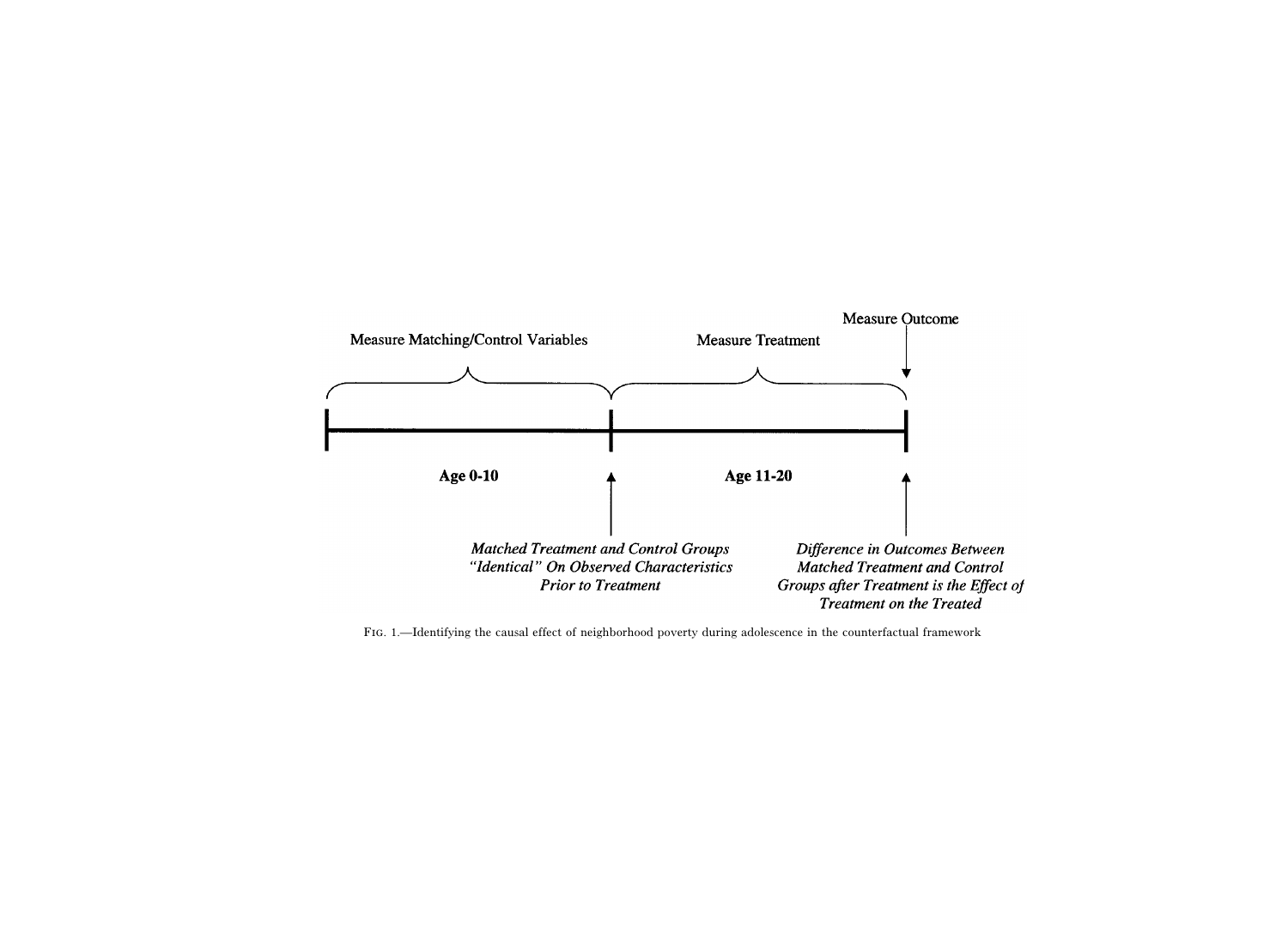

Fig. 1.—Identifying the causal effect of neighborhood poverty during adolescence in the counterfactual framework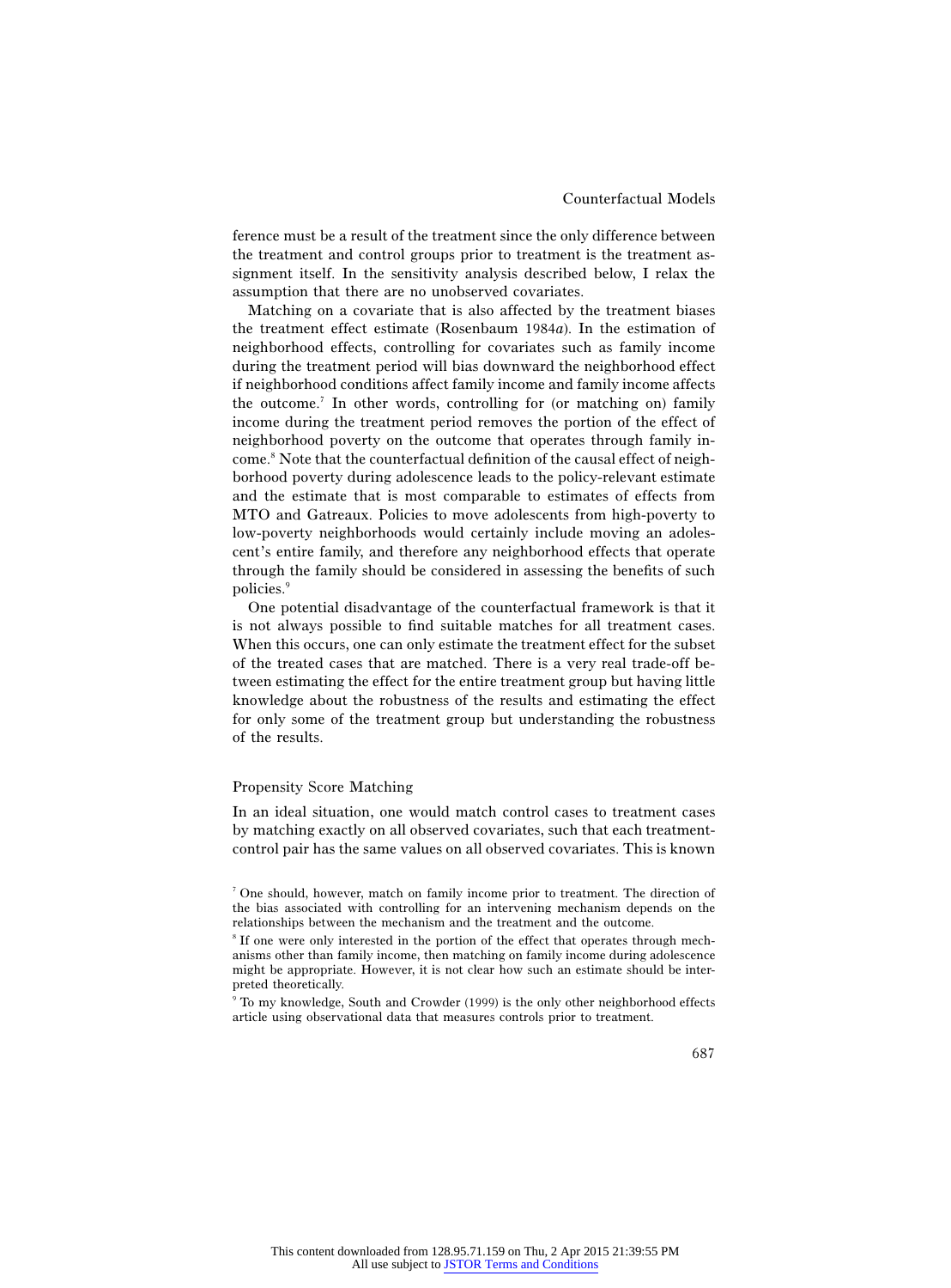ference must be a result of the treatment since the only difference between the treatment and control groups prior to treatment is the treatment assignment itself. In the sensitivity analysis described below, I relax the assumption that there are no unobserved covariates.

Matching on a covariate that is also affected by the treatment biases the treatment effect estimate (Rosenbaum 1984*a*). In the estimation of neighborhood effects, controlling for covariates such as family income during the treatment period will bias downward the neighborhood effect if neighborhood conditions affect family income and family income affects the outcome.<sup>7</sup> In other words, controlling for (or matching on) family income during the treatment period removes the portion of the effect of neighborhood poverty on the outcome that operates through family income.8 Note that the counterfactual definition of the causal effect of neighborhood poverty during adolescence leads to the policy-relevant estimate and the estimate that is most comparable to estimates of effects from MTO and Gatreaux. Policies to move adolescents from high-poverty to low-poverty neighborhoods would certainly include moving an adolescent's entire family, and therefore any neighborhood effects that operate through the family should be considered in assessing the benefits of such policies.9

One potential disadvantage of the counterfactual framework is that it is not always possible to find suitable matches for all treatment cases. When this occurs, one can only estimate the treatment effect for the subset of the treated cases that are matched. There is a very real trade-off between estimating the effect for the entire treatment group but having little knowledge about the robustness of the results and estimating the effect for only some of the treatment group but understanding the robustness of the results.

#### Propensity Score Matching

In an ideal situation, one would match control cases to treatment cases by matching exactly on all observed covariates, such that each treatmentcontrol pair has the same values on all observed covariates. This is known

<sup>7</sup> One should, however, match on family income prior to treatment. The direction of the bias associated with controlling for an intervening mechanism depends on the relationships between the mechanism and the treatment and the outcome.

<sup>&</sup>lt;sup>8</sup> If one were only interested in the portion of the effect that operates through mechanisms other than family income, then matching on family income during adolescence might be appropriate. However, it is not clear how such an estimate should be interpreted theoretically.

<sup>9</sup> To my knowledge, South and Crowder (1999) is the only other neighborhood effects article using observational data that measures controls prior to treatment.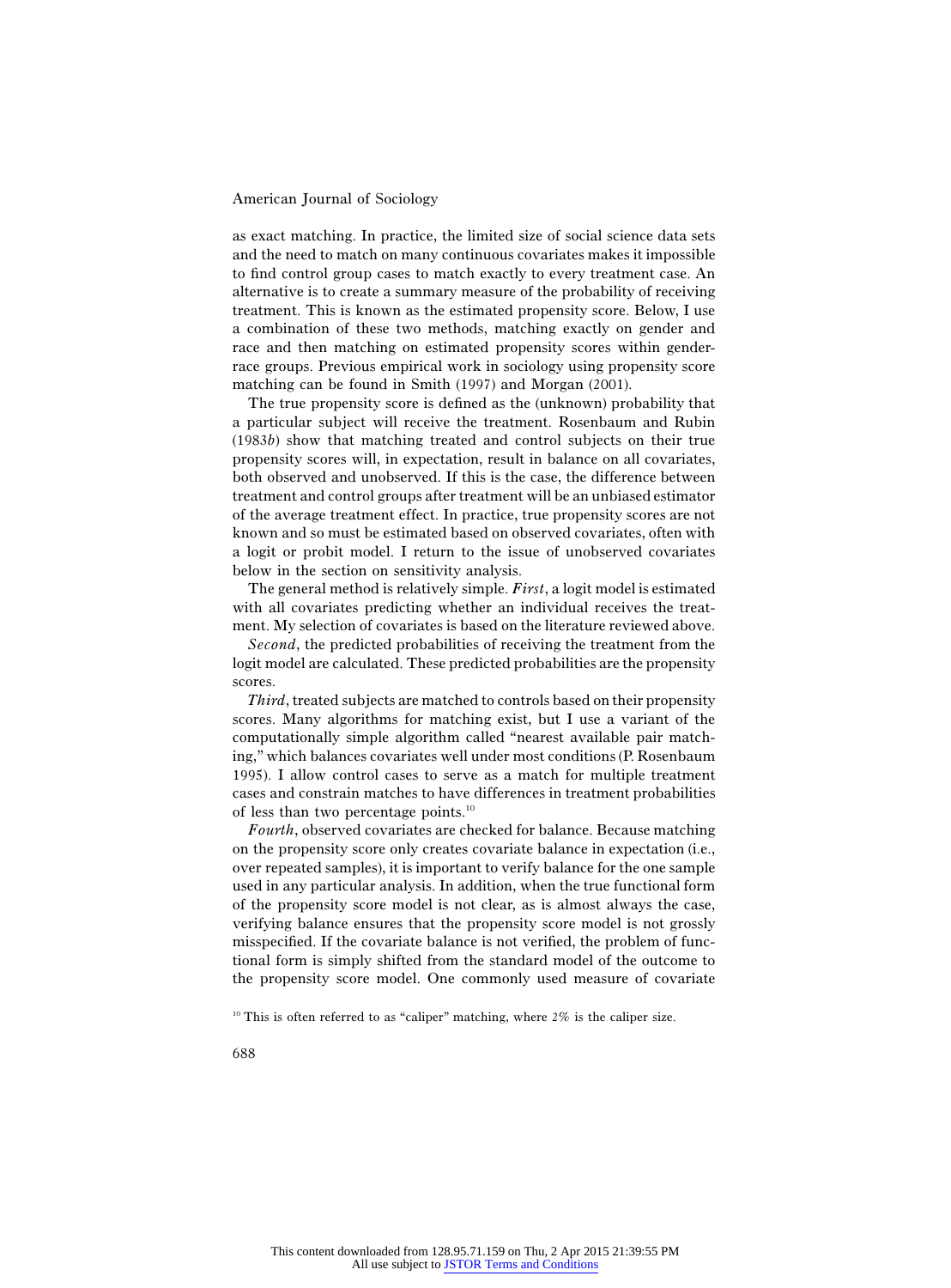as exact matching. In practice, the limited size of social science data sets and the need to match on many continuous covariates makes it impossible to find control group cases to match exactly to every treatment case. An alternative is to create a summary measure of the probability of receiving treatment. This is known as the estimated propensity score. Below, I use a combination of these two methods, matching exactly on gender and race and then matching on estimated propensity scores within genderrace groups. Previous empirical work in sociology using propensity score matching can be found in Smith (1997) and Morgan (2001).

The true propensity score is defined as the (unknown) probability that a particular subject will receive the treatment. Rosenbaum and Rubin (1983*b*) show that matching treated and control subjects on their true propensity scores will, in expectation, result in balance on all covariates, both observed and unobserved. If this is the case, the difference between treatment and control groups after treatment will be an unbiased estimator of the average treatment effect. In practice, true propensity scores are not known and so must be estimated based on observed covariates, often with a logit or probit model. I return to the issue of unobserved covariates below in the section on sensitivity analysis.

The general method is relatively simple. *First*, a logit model is estimated with all covariates predicting whether an individual receives the treatment. My selection of covariates is based on the literature reviewed above.

*Second*, the predicted probabilities of receiving the treatment from the logit model are calculated. These predicted probabilities are the propensity scores.

*Third*, treated subjects are matched to controls based on their propensity scores. Many algorithms for matching exist, but I use a variant of the computationally simple algorithm called "nearest available pair matching," which balances covariates well under most conditions (P. Rosenbaum 1995). I allow control cases to serve as a match for multiple treatment cases and constrain matches to have differences in treatment probabilities of less than two percentage points.10

*Fourth*, observed covariates are checked for balance. Because matching on the propensity score only creates covariate balance in expectation (i.e., over repeated samples), it is important to verify balance for the one sample used in any particular analysis. In addition, when the true functional form of the propensity score model is not clear, as is almost always the case, verifying balance ensures that the propensity score model is not grossly misspecified. If the covariate balance is not verified, the problem of functional form is simply shifted from the standard model of the outcome to the propensity score model. One commonly used measure of covariate

 $10$  This is often referred to as "caliper" matching, where  $2\%$  is the caliper size.

688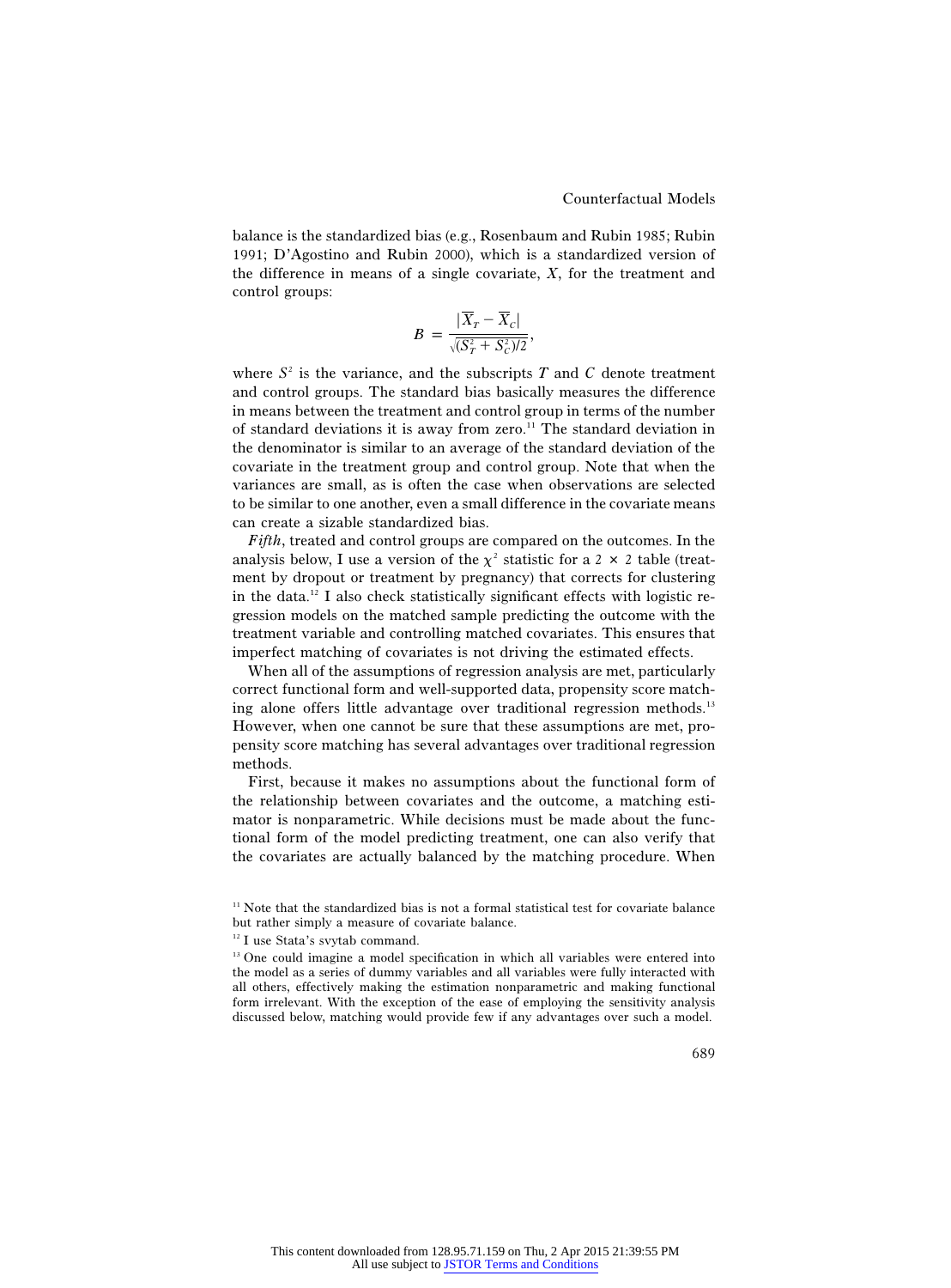balance is the standardized bias (e.g., Rosenbaum and Rubin 1985; Rubin 1991; D'Agostino and Rubin 2000), which is a standardized version of the difference in means of a single covariate, *X*, for the treatment and control groups:

$$
B = \frac{|\overline{X}_T - \overline{X}_C|}{\sqrt{(S_T^2 + S_C^2)/2}},
$$

where  $S^2$  is the variance, and the subscripts *T* and *C* denote treatment and control groups. The standard bias basically measures the difference in means between the treatment and control group in terms of the number of standard deviations it is away from zero.<sup>11</sup> The standard deviation in the denominator is similar to an average of the standard deviation of the covariate in the treatment group and control group. Note that when the variances are small, as is often the case when observations are selected to be similar to one another, even a small difference in the covariate means can create a sizable standardized bias.

*Fifth*, treated and control groups are compared on the outcomes. In the analysis below, I use a version of the  $\chi^2$  statistic for a 2 × 2 table (treatment by dropout or treatment by pregnancy) that corrects for clustering in the data.<sup>12</sup> I also check statistically significant effects with logistic regression models on the matched sample predicting the outcome with the treatment variable and controlling matched covariates. This ensures that imperfect matching of covariates is not driving the estimated effects.

When all of the assumptions of regression analysis are met, particularly correct functional form and well-supported data, propensity score matching alone offers little advantage over traditional regression methods.<sup>13</sup> However, when one cannot be sure that these assumptions are met, propensity score matching has several advantages over traditional regression methods.

First, because it makes no assumptions about the functional form of the relationship between covariates and the outcome, a matching estimator is nonparametric. While decisions must be made about the functional form of the model predicting treatment, one can also verify that the covariates are actually balanced by the matching procedure. When

 $11$  Note that the standardized bias is not a formal statistical test for covariate balance but rather simply a measure of covariate balance.

<sup>&</sup>lt;sup>12</sup> I use Stata's svytab command.

<sup>&</sup>lt;sup>13</sup> One could imagine a model specification in which all variables were entered into the model as a series of dummy variables and all variables were fully interacted with all others, effectively making the estimation nonparametric and making functional form irrelevant. With the exception of the ease of employing the sensitivity analysis discussed below, matching would provide few if any advantages over such a model.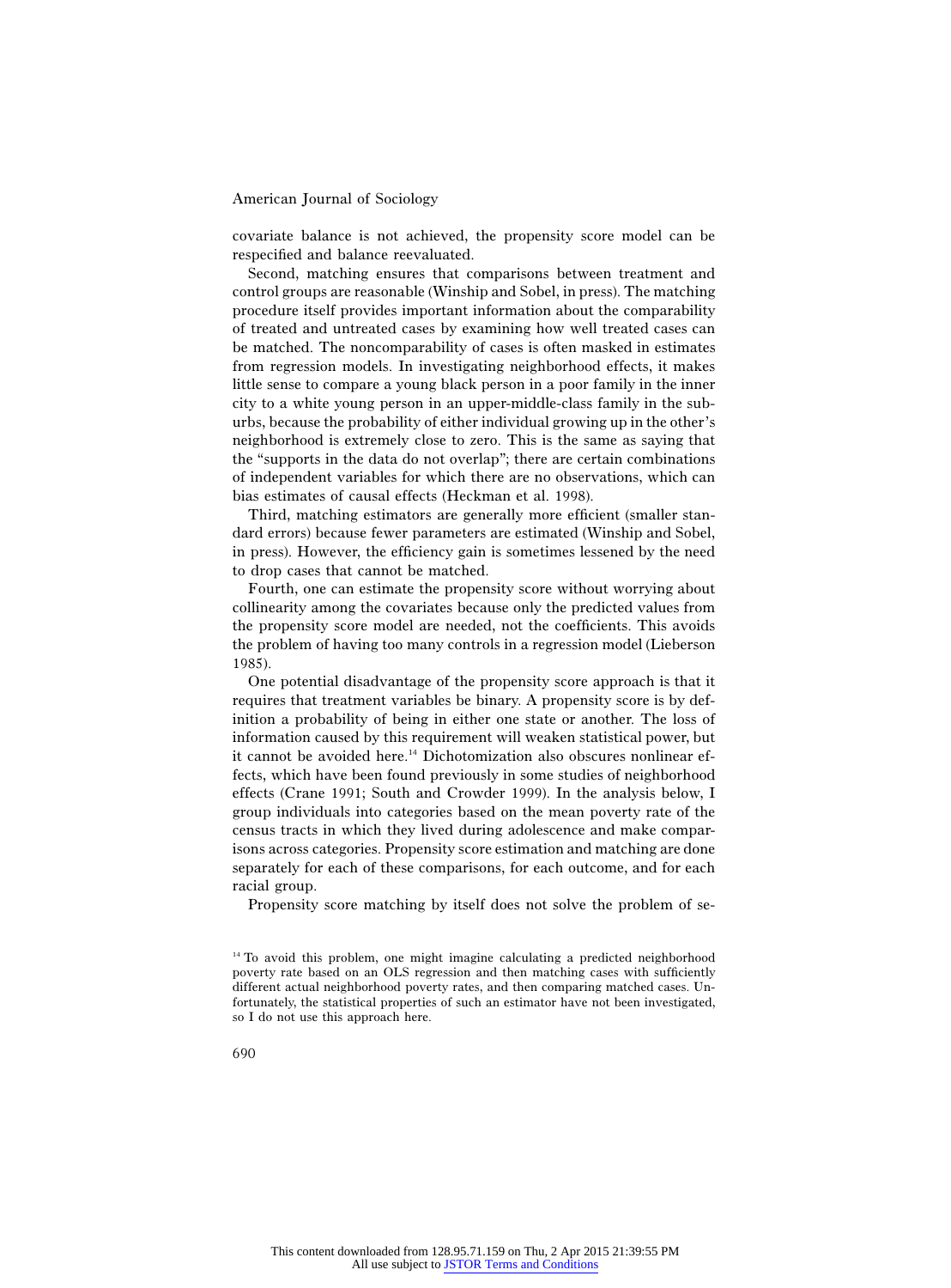covariate balance is not achieved, the propensity score model can be respecified and balance reevaluated.

Second, matching ensures that comparisons between treatment and control groups are reasonable (Winship and Sobel, in press). The matching procedure itself provides important information about the comparability of treated and untreated cases by examining how well treated cases can be matched. The noncomparability of cases is often masked in estimates from regression models. In investigating neighborhood effects, it makes little sense to compare a young black person in a poor family in the inner city to a white young person in an upper-middle-class family in the suburbs, because the probability of either individual growing up in the other's neighborhood is extremely close to zero. This is the same as saying that the "supports in the data do not overlap"; there are certain combinations of independent variables for which there are no observations, which can bias estimates of causal effects (Heckman et al. 1998).

Third, matching estimators are generally more efficient (smaller standard errors) because fewer parameters are estimated (Winship and Sobel, in press). However, the efficiency gain is sometimes lessened by the need to drop cases that cannot be matched.

Fourth, one can estimate the propensity score without worrying about collinearity among the covariates because only the predicted values from the propensity score model are needed, not the coefficients. This avoids the problem of having too many controls in a regression model (Lieberson 1985).

One potential disadvantage of the propensity score approach is that it requires that treatment variables be binary. A propensity score is by definition a probability of being in either one state or another. The loss of information caused by this requirement will weaken statistical power, but it cannot be avoided here.<sup>14</sup> Dichotomization also obscures nonlinear effects, which have been found previously in some studies of neighborhood effects (Crane 1991; South and Crowder 1999). In the analysis below, I group individuals into categories based on the mean poverty rate of the census tracts in which they lived during adolescence and make comparisons across categories. Propensity score estimation and matching are done separately for each of these comparisons, for each outcome, and for each racial group.

Propensity score matching by itself does not solve the problem of se-

690

 $14$  To avoid this problem, one might imagine calculating a predicted neighborhood poverty rate based on an OLS regression and then matching cases with sufficiently different actual neighborhood poverty rates, and then comparing matched cases. Unfortunately, the statistical properties of such an estimator have not been investigated, so I do not use this approach here.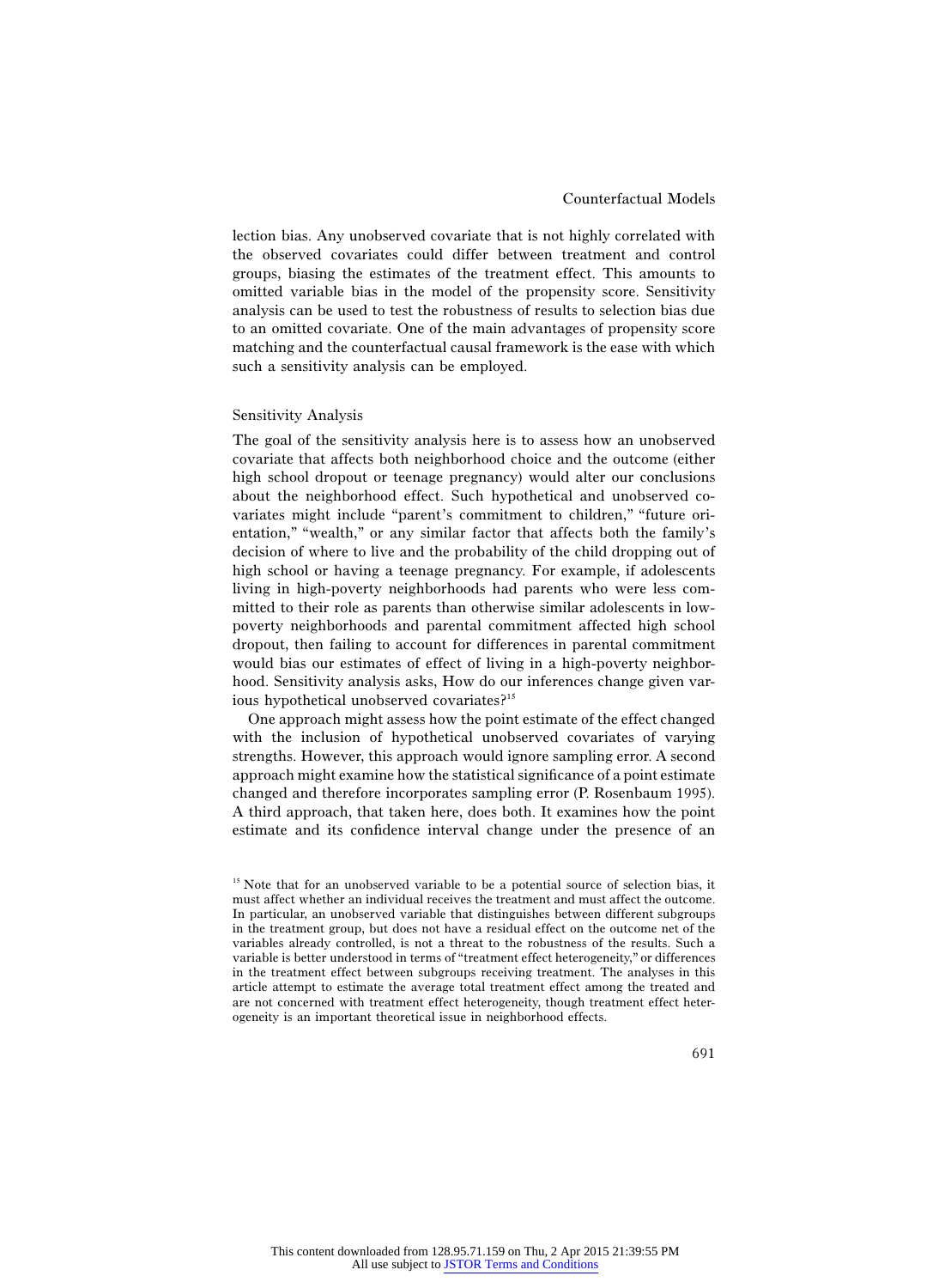lection bias. Any unobserved covariate that is not highly correlated with the observed covariates could differ between treatment and control groups, biasing the estimates of the treatment effect. This amounts to omitted variable bias in the model of the propensity score. Sensitivity analysis can be used to test the robustness of results to selection bias due to an omitted covariate. One of the main advantages of propensity score matching and the counterfactual causal framework is the ease with which such a sensitivity analysis can be employed.

#### Sensitivity Analysis

The goal of the sensitivity analysis here is to assess how an unobserved covariate that affects both neighborhood choice and the outcome (either high school dropout or teenage pregnancy) would alter our conclusions about the neighborhood effect. Such hypothetical and unobserved covariates might include "parent's commitment to children," "future orientation," "wealth," or any similar factor that affects both the family's decision of where to live and the probability of the child dropping out of high school or having a teenage pregnancy. For example, if adolescents living in high-poverty neighborhoods had parents who were less committed to their role as parents than otherwise similar adolescents in lowpoverty neighborhoods and parental commitment affected high school dropout, then failing to account for differences in parental commitment would bias our estimates of effect of living in a high-poverty neighborhood. Sensitivity analysis asks, How do our inferences change given various hypothetical unobserved covariates?15

One approach might assess how the point estimate of the effect changed with the inclusion of hypothetical unobserved covariates of varying strengths. However, this approach would ignore sampling error. A second approach might examine how the statistical significance of a point estimate changed and therefore incorporates sampling error (P. Rosenbaum 1995). A third approach, that taken here, does both. It examines how the point estimate and its confidence interval change under the presence of an

 $15$  Note that for an unobserved variable to be a potential source of selection bias, it must affect whether an individual receives the treatment and must affect the outcome. In particular, an unobserved variable that distinguishes between different subgroups in the treatment group, but does not have a residual effect on the outcome net of the variables already controlled, is not a threat to the robustness of the results. Such a variable is better understood in terms of "treatment effect heterogeneity," or differences in the treatment effect between subgroups receiving treatment. The analyses in this article attempt to estimate the average total treatment effect among the treated and are not concerned with treatment effect heterogeneity, though treatment effect heterogeneity is an important theoretical issue in neighborhood effects.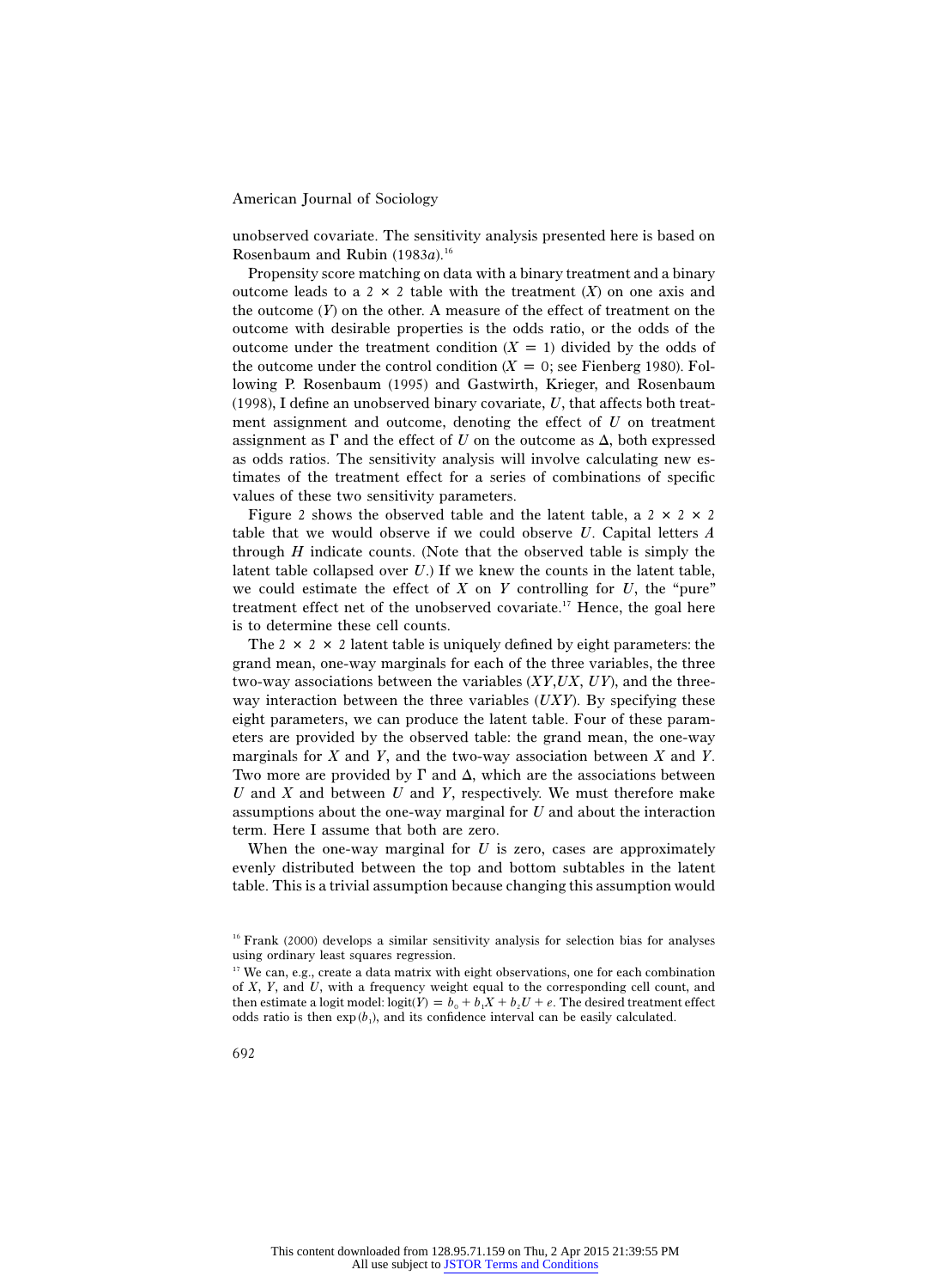unobserved covariate. The sensitivity analysis presented here is based on Rosenbaum and Rubin (1983*a*).16

Propensity score matching on data with a binary treatment and a binary outcome leads to a 2  $\times$  2 table with the treatment (X) on one axis and the outcome (*Y*) on the other. A measure of the effect of treatment on the outcome with desirable properties is the odds ratio, or the odds of the outcome under the treatment condition  $(X = 1)$  divided by the odds of the outcome under the control condition  $(X = 0)$ ; see Fienberg 1980). Following P. Rosenbaum (1995) and Gastwirth, Krieger, and Rosenbaum (1998), I define an unobserved binary covariate, *U*, that affects both treatment assignment and outcome, denoting the effect of *U* on treatment assignment as  $\Gamma$  and the effect of *U* on the outcome as  $\Delta$ , both expressed as odds ratios. The sensitivity analysis will involve calculating new estimates of the treatment effect for a series of combinations of specific values of these two sensitivity parameters.

Figure 2 shows the observed table and the latent table, a  $2 \times 2 \times 2$ table that we would observe if we could observe *U*. Capital letters *A* through *H* indicate counts. (Note that the observed table is simply the latent table collapsed over *U*.) If we knew the counts in the latent table, we could estimate the effect of *X* on *Y* controlling for *U*, the "pure" treatment effect net of the unobserved covariate.<sup>17</sup> Hence, the goal here is to determine these cell counts.

The 2  $\times$  2  $\times$  2 latent table is uniquely defined by eight parameters: the grand mean, one-way marginals for each of the three variables, the three two-way associations between the variables (*XY*,*UX*, *UY*), and the threeway interaction between the three variables (*UXY*). By specifying these eight parameters, we can produce the latent table. Four of these parameters are provided by the observed table: the grand mean, the one-way marginals for *X* and *Y*, and the two-way association between *X* and *Y*. Two more are provided by  $\Gamma$  and  $\Delta$ , which are the associations between *U* and *X* and between *U* and *Y*, respectively. We must therefore make assumptions about the one-way marginal for *U* and about the interaction term. Here I assume that both are zero.

When the one-way marginal for *U* is zero, cases are approximately evenly distributed between the top and bottom subtables in the latent table. This is a trivial assumption because changing this assumption would

<sup>&</sup>lt;sup>16</sup> Frank (2000) develops a similar sensitivity analysis for selection bias for analyses using ordinary least squares regression.

<sup>&</sup>lt;sup>17</sup> We can, e.g., create a data matrix with eight observations, one for each combination of *X*, *Y*, and *U*, with a frequency weight equal to the corresponding cell count, and then estimate a logit model:  $\text{logit}(Y) = b_0 + b_1 X + b_2 U + e$ . The desired treatment effect odds ratio is then  $\exp(b_1)$ , and its confidence interval can be easily calculated.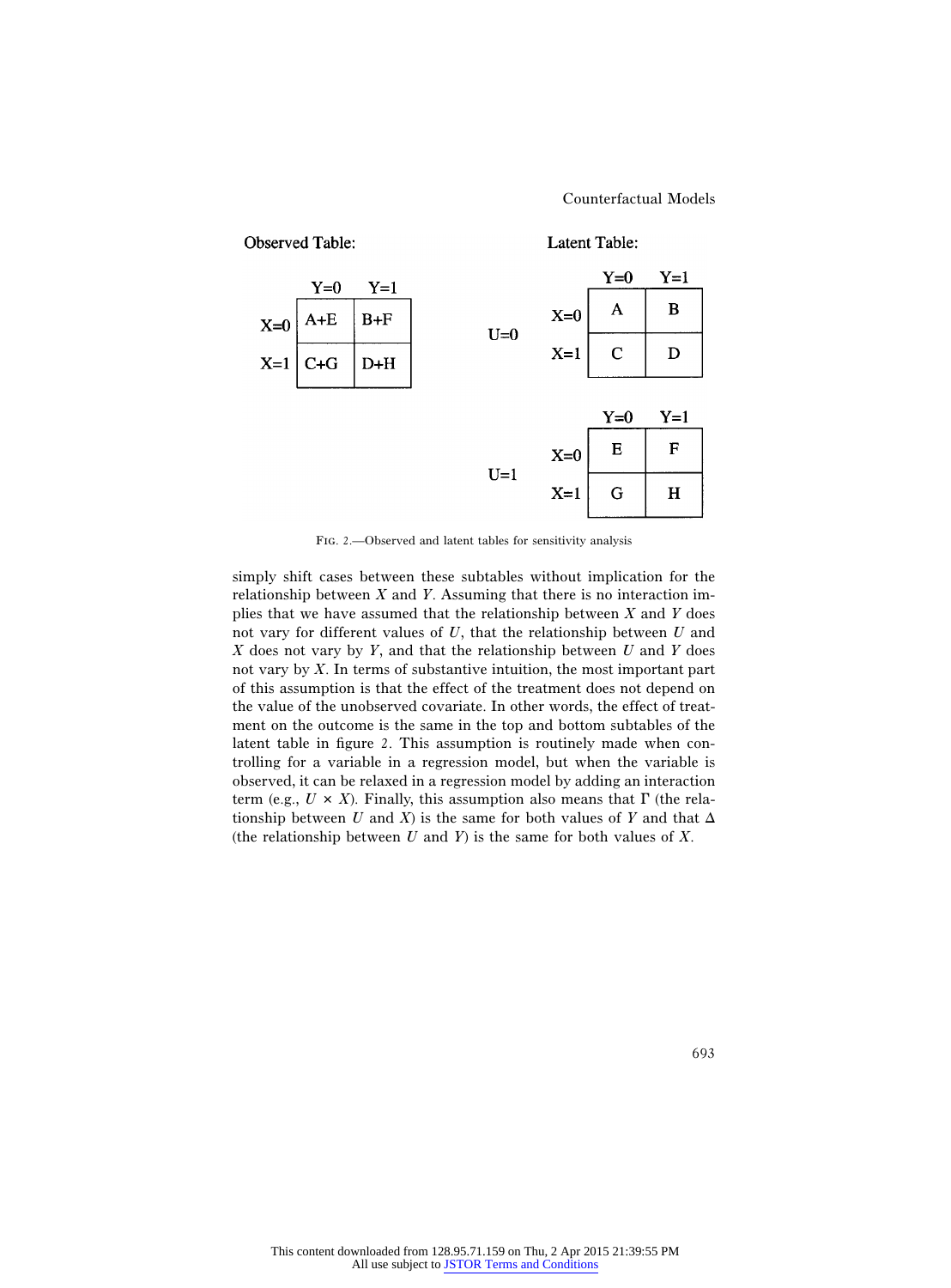

Fig. 2.—Observed and latent tables for sensitivity analysis

simply shift cases between these subtables without implication for the relationship between *X* and *Y*. Assuming that there is no interaction implies that we have assumed that the relationship between *X* and *Y* does not vary for different values of *U*, that the relationship between *U* and *X* does not vary by *Y*, and that the relationship between *U* and *Y* does not vary by *X*. In terms of substantive intuition, the most important part of this assumption is that the effect of the treatment does not depend on the value of the unobserved covariate. In other words, the effect of treatment on the outcome is the same in the top and bottom subtables of the latent table in figure 2. This assumption is routinely made when controlling for a variable in a regression model, but when the variable is observed, it can be relaxed in a regression model by adding an interaction term (e.g.,  $U \times X$ ). Finally, this assumption also means that  $\Gamma$  (the relationship between *U* and *X*) is the same for both values of *Y* and that  $\Delta$ (the relationship between *U* and *Y*) is the same for both values of *X*.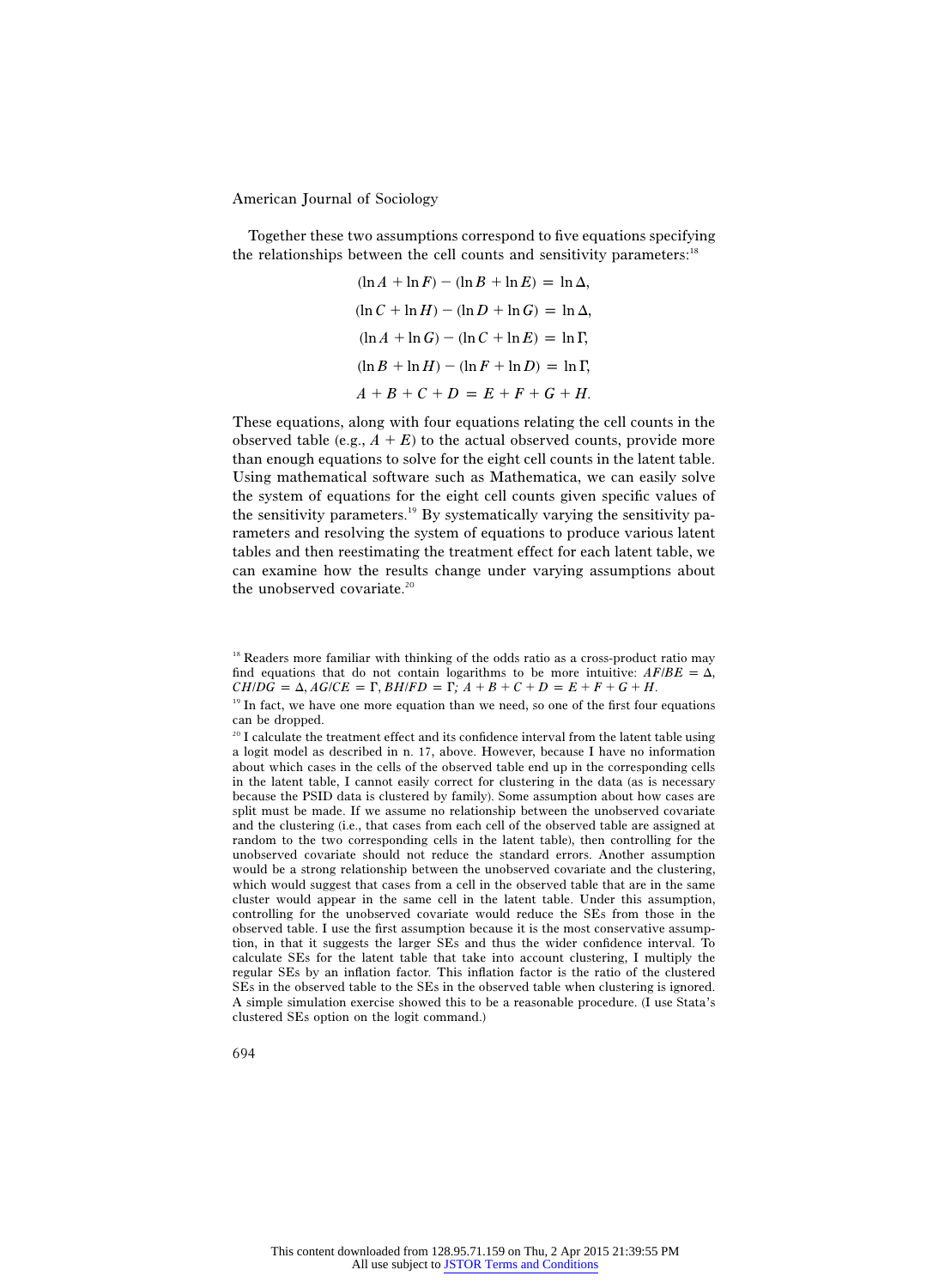Together these two assumptions correspond to five equations specifying the relationships between the cell counts and sensitivity parameters:<sup>18</sup>

$$
(\ln A + \ln F) - (\ln B + \ln E) = \ln \Delta,
$$
  
\n
$$
(\ln C + \ln H) - (\ln D + \ln G) = \ln \Delta,
$$
  
\n
$$
(\ln A + \ln G) - (\ln C + \ln E) = \ln \Gamma,
$$
  
\n
$$
(\ln B + \ln H) - (\ln F + \ln D) = \ln \Gamma,
$$
  
\n
$$
A + B + C + D = E + F + G + H.
$$

These equations, along with four equations relating the cell counts in the observed table (e.g.,  $A + E$ ) to the actual observed counts, provide more than enough equations to solve for the eight cell counts in the latent table. Using mathematical software such as Mathematica, we can easily solve the system of equations for the eight cell counts given specific values of the sensitivity parameters.<sup>19</sup> By systematically varying the sensitivity parameters and resolving the system of equations to produce various latent tables and then reestimating the treatment effect for each latent table, we can examine how the results change under varying assumptions about the unobserved covariate.<sup>20</sup>

<sup>&</sup>lt;sup>18</sup> Readers more familiar with thinking of the odds ratio as a cross-product ratio may find equations that do not contain logarithms to be more intuitive:  $AF/BE = \Delta$ ,  $CH/DG = \Delta$ ,  $AG/CE = \Gamma$ ,  $BH/FD = \Gamma$ ,  $A + B + C + D = E + F + G + H$ .

<sup>&</sup>lt;sup>19</sup> In fact, we have one more equation than we need, so one of the first four equations can be dropped.

 $^{\rm 20}$  I calculate the treatment effect and its confidence interval from the latent table using a logit model as described in n. 17, above. However, because I have no information about which cases in the cells of the observed table end up in the corresponding cells in the latent table, I cannot easily correct for clustering in the data (as is necessary because the PSID data is clustered by family). Some assumption about how cases are split must be made. If we assume no relationship between the unobserved covariate and the clustering (i.e., that cases from each cell of the observed table are assigned at random to the two corresponding cells in the latent table), then controlling for the unobserved covariate should not reduce the standard errors. Another assumption would be a strong relationship between the unobserved covariate and the clustering, which would suggest that cases from a cell in the observed table that are in the same cluster would appear in the same cell in the latent table. Under this assumption, controlling for the unobserved covariate would reduce the SEs from those in the observed table. I use the first assumption because it is the most conservative assumption, in that it suggests the larger SEs and thus the wider confidence interval. To calculate SEs for the latent table that take into account clustering, I multiply the regular SEs by an inflation factor. This inflation factor is the ratio of the clustered SEs in the observed table to the SEs in the observed table when clustering is ignored. A simple simulation exercise showed this to be a reasonable procedure. (I use Stata's clustered SEs option on the logit command.)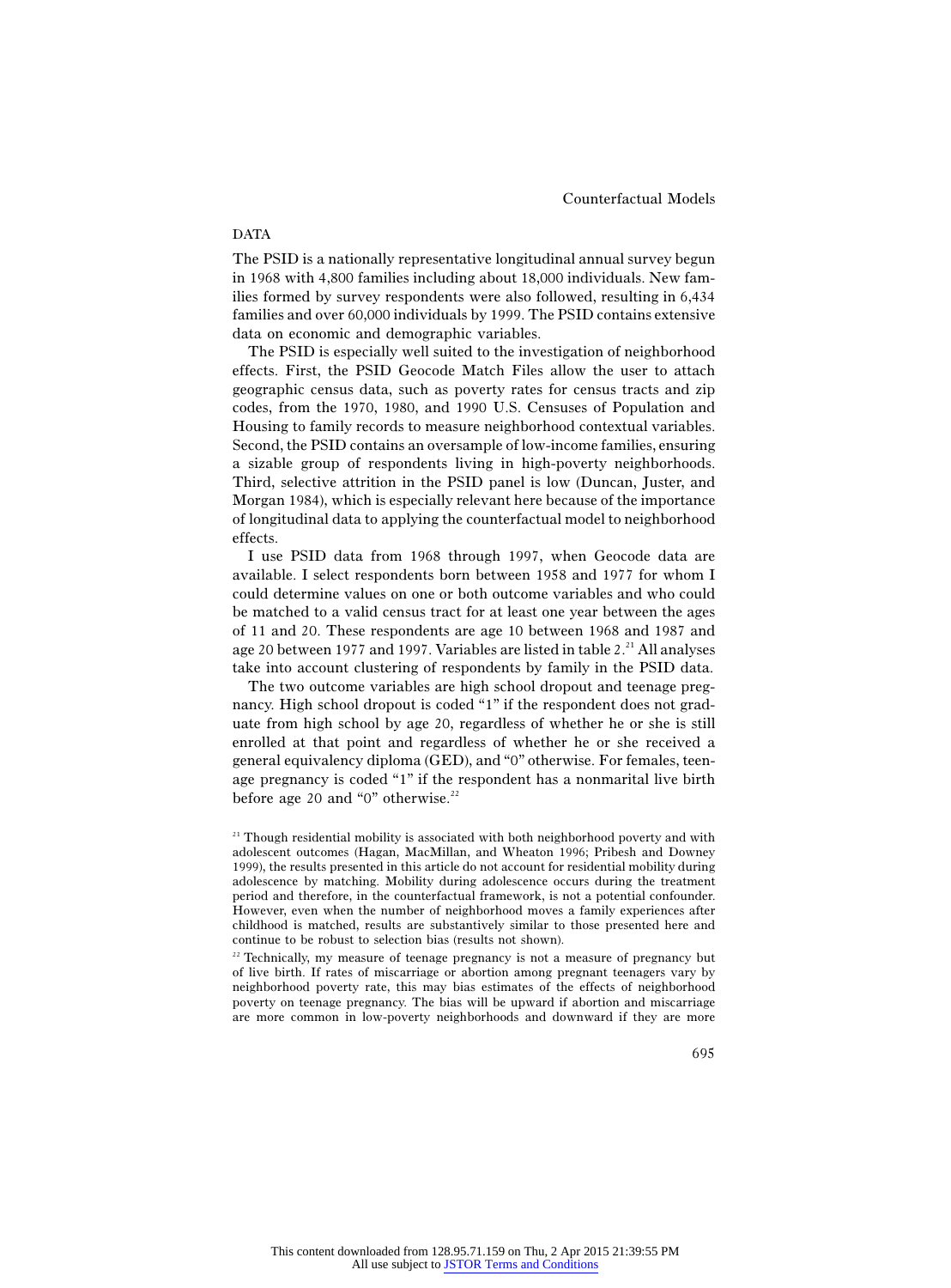#### DATA

The PSID is a nationally representative longitudinal annual survey begun in 1968 with 4,800 families including about 18,000 individuals. New families formed by survey respondents were also followed, resulting in 6,434 families and over 60,000 individuals by 1999. The PSID contains extensive data on economic and demographic variables.

The PSID is especially well suited to the investigation of neighborhood effects. First, the PSID Geocode Match Files allow the user to attach geographic census data, such as poverty rates for census tracts and zip codes, from the 1970, 1980, and 1990 U.S. Censuses of Population and Housing to family records to measure neighborhood contextual variables. Second, the PSID contains an oversample of low-income families, ensuring a sizable group of respondents living in high-poverty neighborhoods. Third, selective attrition in the PSID panel is low (Duncan, Juster, and Morgan 1984), which is especially relevant here because of the importance of longitudinal data to applying the counterfactual model to neighborhood effects.

I use PSID data from 1968 through 1997, when Geocode data are available. I select respondents born between 1958 and 1977 for whom I could determine values on one or both outcome variables and who could be matched to a valid census tract for at least one year between the ages of 11 and 20. These respondents are age 10 between 1968 and 1987 and age 20 between 1977 and 1997. Variables are listed in table 2.<sup>21</sup> All analyses take into account clustering of respondents by family in the PSID data.

The two outcome variables are high school dropout and teenage pregnancy. High school dropout is coded "1" if the respondent does not graduate from high school by age 20, regardless of whether he or she is still enrolled at that point and regardless of whether he or she received a general equivalency diploma (GED), and "0" otherwise. For females, teenage pregnancy is coded "1" if the respondent has a nonmarital live birth before age 20 and "0" otherwise.<sup>22</sup>

 $22$  Technically, my measure of teenage pregnancy is not a measure of pregnancy but of live birth. If rates of miscarriage or abortion among pregnant teenagers vary by neighborhood poverty rate, this may bias estimates of the effects of neighborhood poverty on teenage pregnancy. The bias will be upward if abortion and miscarriage are more common in low-poverty neighborhoods and downward if they are more

<sup>&</sup>lt;sup>21</sup> Though residential mobility is associated with both neighborhood poverty and with adolescent outcomes (Hagan, MacMillan, and Wheaton 1996; Pribesh and Downey 1999), the results presented in this article do not account for residential mobility during adolescence by matching. Mobility during adolescence occurs during the treatment period and therefore, in the counterfactual framework, is not a potential confounder. However, even when the number of neighborhood moves a family experiences after childhood is matched, results are substantively similar to those presented here and continue to be robust to selection bias (results not shown).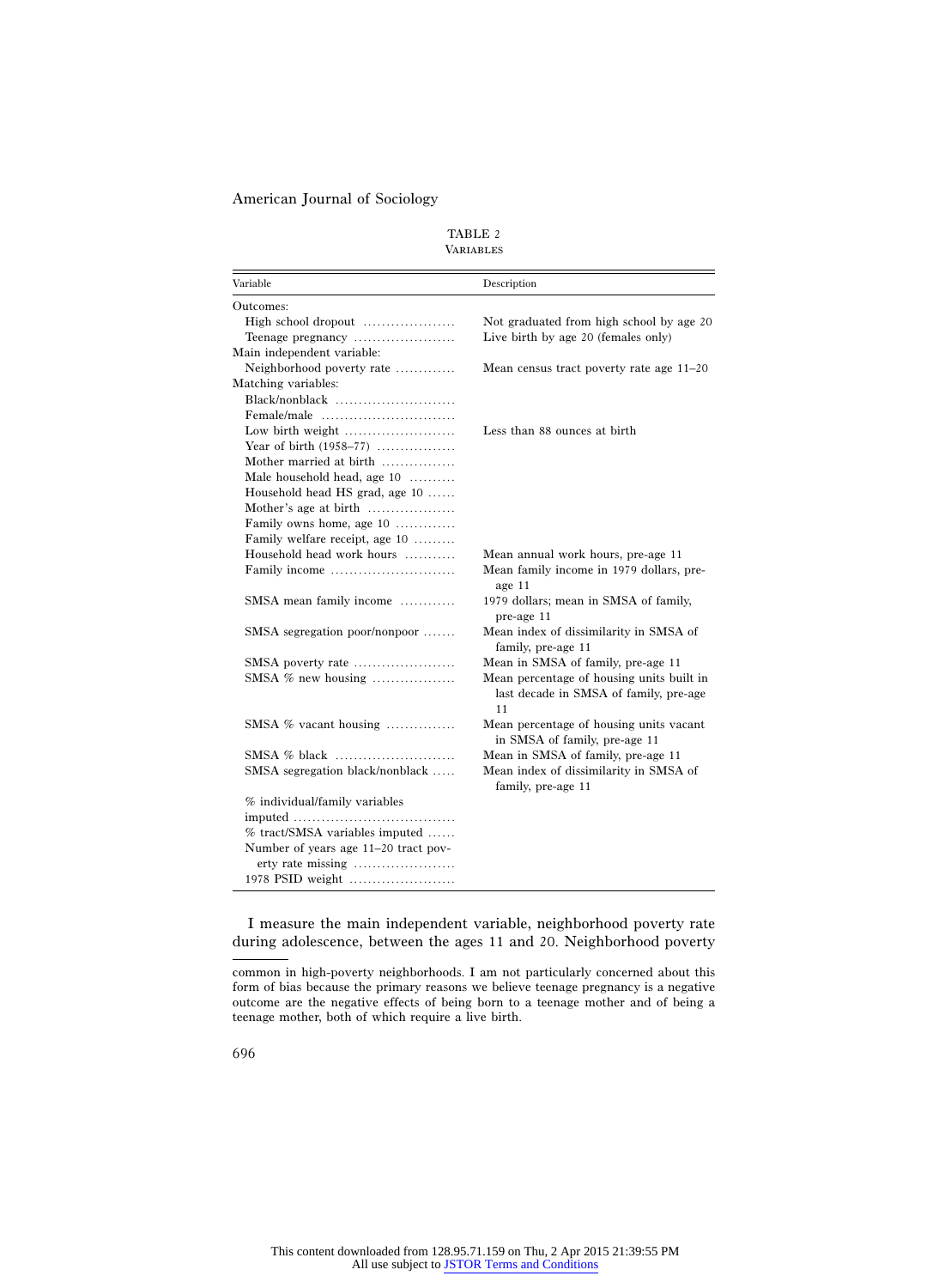| TABLE 2   |
|-----------|
| VARIABLES |

| Variable                             | Description                                                                               |
|--------------------------------------|-------------------------------------------------------------------------------------------|
| Outcomes:                            |                                                                                           |
| High school dropout                  | Not graduated from high school by age 20                                                  |
| Teenage pregnancy                    | Live birth by age 20 (females only)                                                       |
| Main independent variable:           |                                                                                           |
| Neighborhood poverty rate            | Mean census tract poverty rate age 11–20                                                  |
| Matching variables:                  |                                                                                           |
|                                      |                                                                                           |
|                                      |                                                                                           |
| Low birth weight                     | Less than 88 ounces at birth                                                              |
| Year of birth $(1958-77)$            |                                                                                           |
| Mother married at birth              |                                                                                           |
| Male household head, age 10          |                                                                                           |
| Household head HS grad, age 10       |                                                                                           |
| Mother's age at birth                |                                                                                           |
| Family owns home, age 10             |                                                                                           |
| Family welfare receipt, age 10       |                                                                                           |
| Household head work hours            | Mean annual work hours, pre-age 11                                                        |
| Family income                        | Mean family income in 1979 dollars, pre-<br>age 11                                        |
| SMSA mean family income              | 1979 dollars; mean in SMSA of family,<br>pre-age 11                                       |
| SMSA segregation poor/nonpoor        | Mean index of dissimilarity in SMSA of<br>family, pre-age 11                              |
| SMSA poverty rate                    | Mean in SMSA of family, pre-age 11                                                        |
| SMSA $\%$ new housing                | Mean percentage of housing units built in<br>last decade in SMSA of family, pre-age<br>11 |
| SMSA $\%$ vacant housing             | Mean percentage of housing units vacant<br>in SMSA of family, pre-age 11                  |
|                                      | Mean in SMSA of family, pre-age 11                                                        |
| SMSA segregation black/nonblack      | Mean index of dissimilarity in SMSA of<br>family, pre-age 11                              |
| % individual/family variables        |                                                                                           |
| % tract/SMSA variables imputed       |                                                                                           |
| Number of years age 11-20 tract pov- |                                                                                           |
| erty rate missing                    |                                                                                           |
| 1978 PSID weight                     |                                                                                           |
|                                      |                                                                                           |

I measure the main independent variable, neighborhood poverty rate during adolescence, between the ages 11 and 20. Neighborhood poverty

common in high-poverty neighborhoods. I am not particularly concerned about this form of bias because the primary reasons we believe teenage pregnancy is a negative outcome are the negative effects of being born to a teenage mother and of being a teenage mother, both of which require a live birth.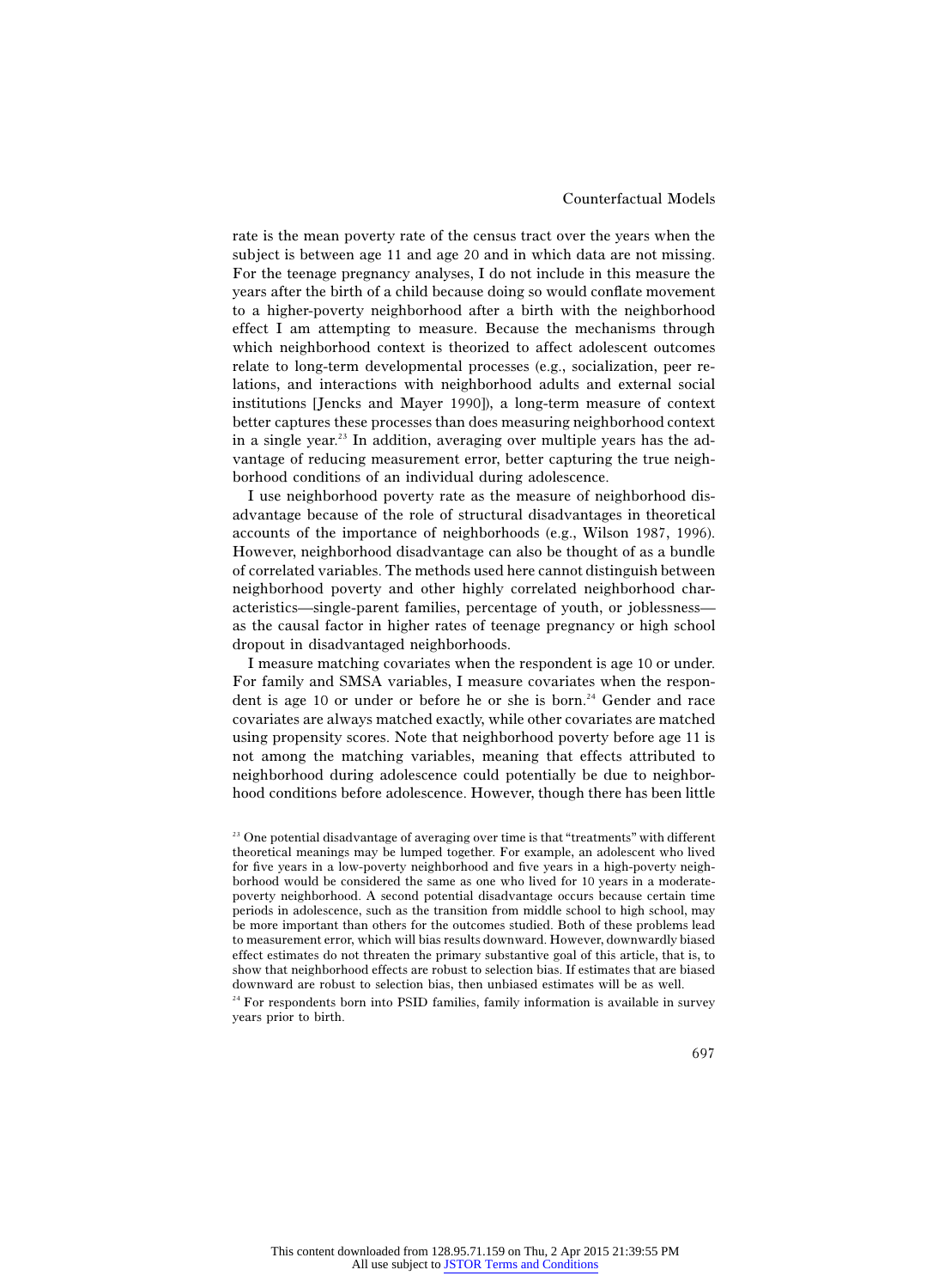rate is the mean poverty rate of the census tract over the years when the subject is between age 11 and age 20 and in which data are not missing. For the teenage pregnancy analyses, I do not include in this measure the years after the birth of a child because doing so would conflate movement to a higher-poverty neighborhood after a birth with the neighborhood effect I am attempting to measure. Because the mechanisms through which neighborhood context is theorized to affect adolescent outcomes relate to long-term developmental processes (e.g., socialization, peer relations, and interactions with neighborhood adults and external social institutions [Jencks and Mayer 1990]), a long-term measure of context better captures these processes than does measuring neighborhood context in a single year.<sup>23</sup> In addition, averaging over multiple years has the advantage of reducing measurement error, better capturing the true neighborhood conditions of an individual during adolescence.

I use neighborhood poverty rate as the measure of neighborhood disadvantage because of the role of structural disadvantages in theoretical accounts of the importance of neighborhoods (e.g., Wilson 1987, 1996). However, neighborhood disadvantage can also be thought of as a bundle of correlated variables. The methods used here cannot distinguish between neighborhood poverty and other highly correlated neighborhood characteristics—single-parent families, percentage of youth, or joblessness as the causal factor in higher rates of teenage pregnancy or high school dropout in disadvantaged neighborhoods.

I measure matching covariates when the respondent is age 10 or under. For family and SMSA variables, I measure covariates when the respondent is age 10 or under or before he or she is born.<sup>24</sup> Gender and race covariates are always matched exactly, while other covariates are matched using propensity scores. Note that neighborhood poverty before age 11 is not among the matching variables, meaning that effects attributed to neighborhood during adolescence could potentially be due to neighborhood conditions before adolescence. However, though there has been little

<sup>&</sup>lt;sup>23</sup> One potential disadvantage of averaging over time is that "treatments" with different theoretical meanings may be lumped together. For example, an adolescent who lived for five years in a low-poverty neighborhood and five years in a high-poverty neighborhood would be considered the same as one who lived for 10 years in a moderatepoverty neighborhood. A second potential disadvantage occurs because certain time periods in adolescence, such as the transition from middle school to high school, may be more important than others for the outcomes studied. Both of these problems lead to measurement error, which will bias results downward. However, downwardly biased effect estimates do not threaten the primary substantive goal of this article, that is, to show that neighborhood effects are robust to selection bias. If estimates that are biased downward are robust to selection bias, then unbiased estimates will be as well.

 $24$  For respondents born into PSID families, family information is available in survey years prior to birth.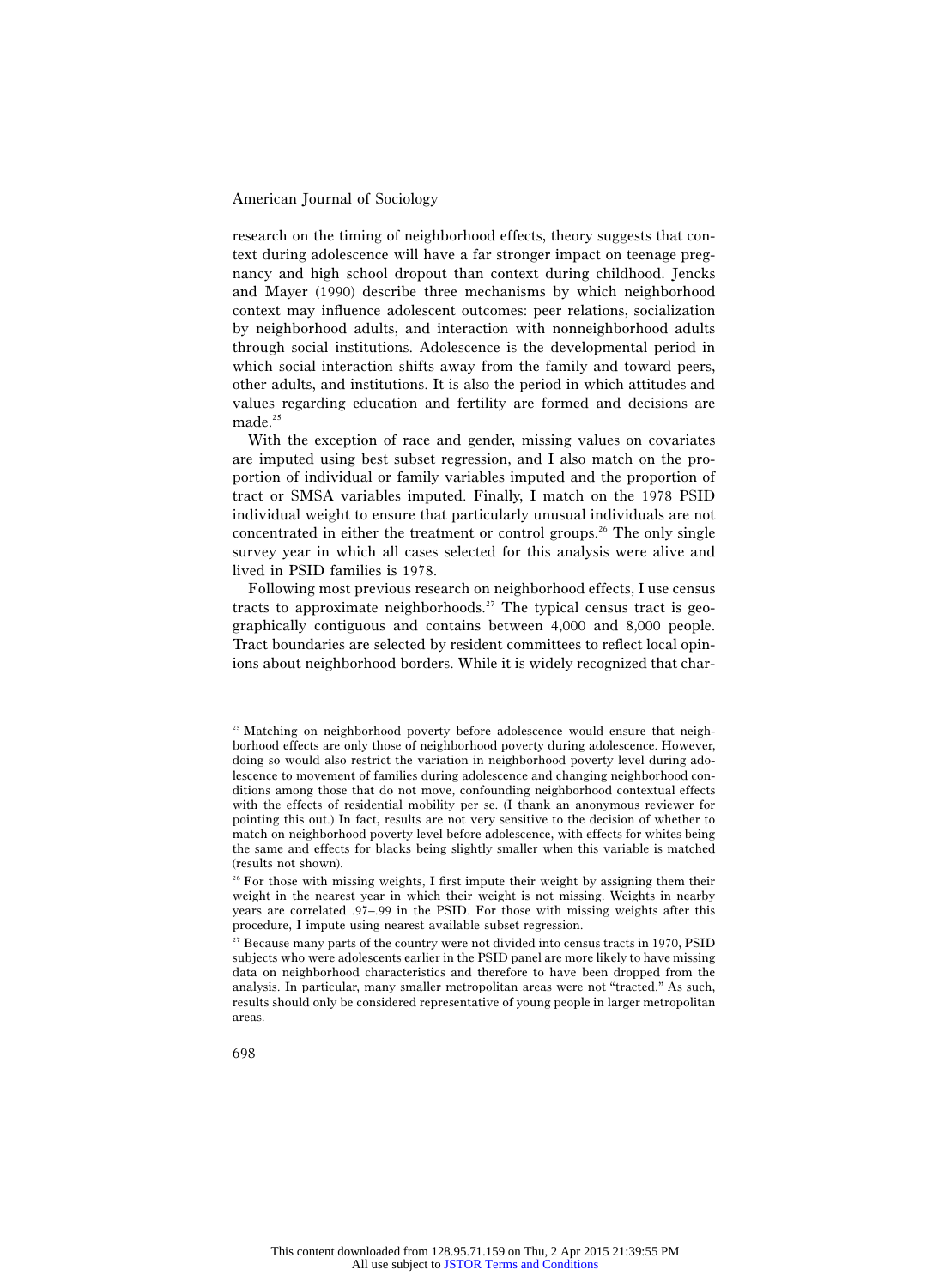research on the timing of neighborhood effects, theory suggests that context during adolescence will have a far stronger impact on teenage pregnancy and high school dropout than context during childhood. Jencks and Mayer (1990) describe three mechanisms by which neighborhood context may influence adolescent outcomes: peer relations, socialization by neighborhood adults, and interaction with nonneighborhood adults through social institutions. Adolescence is the developmental period in which social interaction shifts away from the family and toward peers, other adults, and institutions. It is also the period in which attitudes and values regarding education and fertility are formed and decisions are made.<sup>25</sup>

With the exception of race and gender, missing values on covariates are imputed using best subset regression, and I also match on the proportion of individual or family variables imputed and the proportion of tract or SMSA variables imputed. Finally, I match on the 1978 PSID individual weight to ensure that particularly unusual individuals are not concentrated in either the treatment or control groups.<sup>26</sup> The only single survey year in which all cases selected for this analysis were alive and lived in PSID families is 1978.

Following most previous research on neighborhood effects, I use census tracts to approximate neighborhoods.<sup>27</sup> The typical census tract is geographically contiguous and contains between 4,000 and 8,000 people. Tract boundaries are selected by resident committees to reflect local opinions about neighborhood borders. While it is widely recognized that char-

698

<sup>&</sup>lt;sup>25</sup> Matching on neighborhood poverty before adolescence would ensure that neighborhood effects are only those of neighborhood poverty during adolescence. However, doing so would also restrict the variation in neighborhood poverty level during adolescence to movement of families during adolescence and changing neighborhood conditions among those that do not move, confounding neighborhood contextual effects with the effects of residential mobility per se. (I thank an anonymous reviewer for pointing this out.) In fact, results are not very sensitive to the decision of whether to match on neighborhood poverty level before adolescence, with effects for whites being the same and effects for blacks being slightly smaller when this variable is matched (results not shown).

<sup>&</sup>lt;sup>26</sup> For those with missing weights, I first impute their weight by assigning them their weight in the nearest year in which their weight is not missing. Weights in nearby years are correlated .97–.99 in the PSID. For those with missing weights after this procedure, I impute using nearest available subset regression.

<sup>&</sup>lt;sup>27</sup> Because many parts of the country were not divided into census tracts in 1970, PSID subjects who were adolescents earlier in the PSID panel are more likely to have missing data on neighborhood characteristics and therefore to have been dropped from the analysis. In particular, many smaller metropolitan areas were not "tracted." As such, results should only be considered representative of young people in larger metropolitan areas.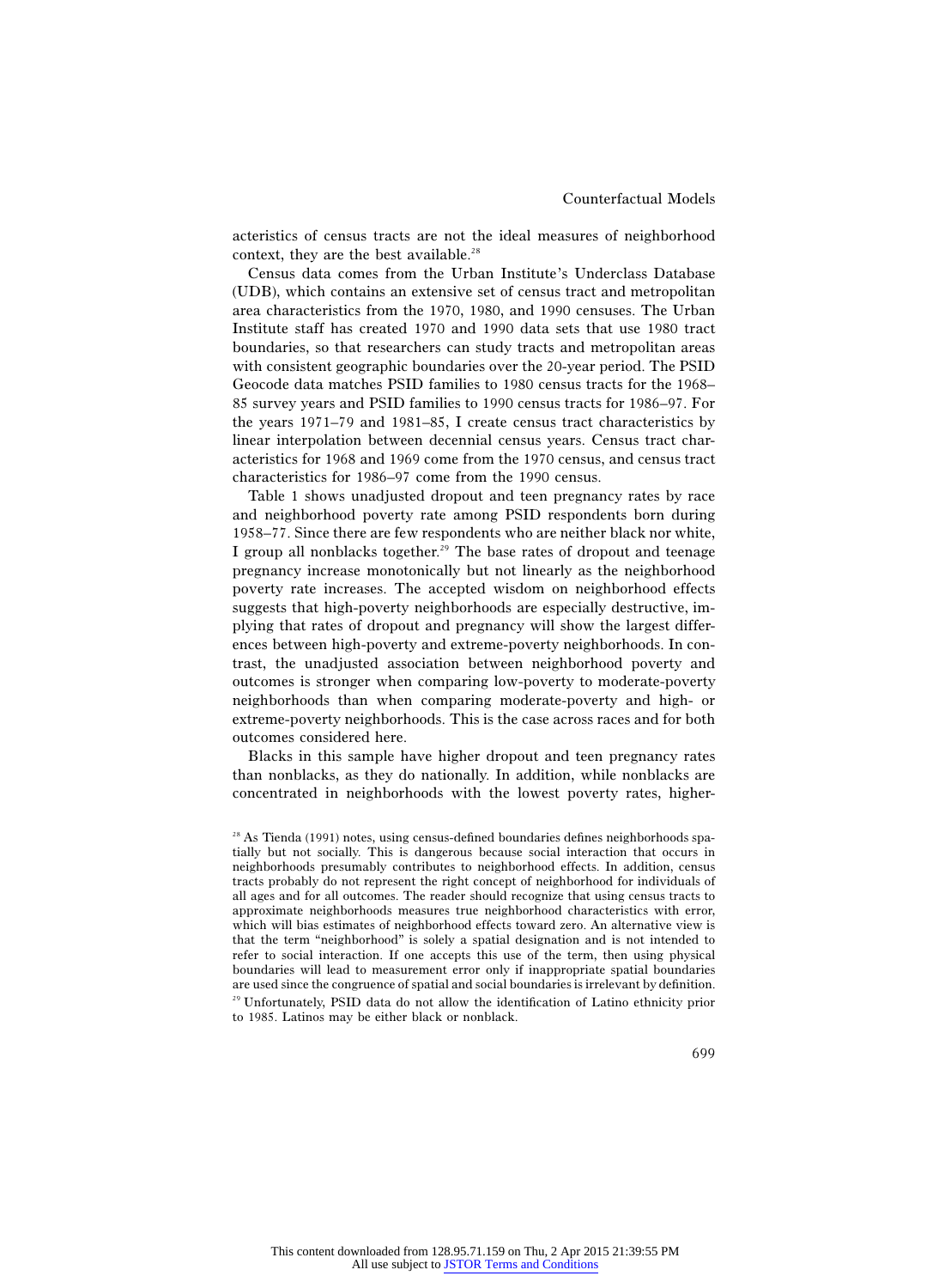acteristics of census tracts are not the ideal measures of neighborhood context, they are the best available.<sup>28</sup>

Census data comes from the Urban Institute's Underclass Database (UDB), which contains an extensive set of census tract and metropolitan area characteristics from the 1970, 1980, and 1990 censuses. The Urban Institute staff has created 1970 and 1990 data sets that use 1980 tract boundaries, so that researchers can study tracts and metropolitan areas with consistent geographic boundaries over the 20-year period. The PSID Geocode data matches PSID families to 1980 census tracts for the 1968– 85 survey years and PSID families to 1990 census tracts for 1986–97. For the years 1971–79 and 1981–85, I create census tract characteristics by linear interpolation between decennial census years. Census tract characteristics for 1968 and 1969 come from the 1970 census, and census tract characteristics for 1986–97 come from the 1990 census.

Table 1 shows unadjusted dropout and teen pregnancy rates by race and neighborhood poverty rate among PSID respondents born during 1958–77. Since there are few respondents who are neither black nor white, I group all nonblacks together.<sup>29</sup> The base rates of dropout and teenage pregnancy increase monotonically but not linearly as the neighborhood poverty rate increases. The accepted wisdom on neighborhood effects suggests that high-poverty neighborhoods are especially destructive, implying that rates of dropout and pregnancy will show the largest differences between high-poverty and extreme-poverty neighborhoods. In contrast, the unadjusted association between neighborhood poverty and outcomes is stronger when comparing low-poverty to moderate-poverty neighborhoods than when comparing moderate-poverty and high- or extreme-poverty neighborhoods. This is the case across races and for both outcomes considered here.

Blacks in this sample have higher dropout and teen pregnancy rates than nonblacks, as they do nationally. In addition, while nonblacks are concentrated in neighborhoods with the lowest poverty rates, higher-

<sup>&</sup>lt;sup>28</sup> As Tienda (1991) notes, using census-defined boundaries defines neighborhoods spatially but not socially. This is dangerous because social interaction that occurs in neighborhoods presumably contributes to neighborhood effects. In addition, census tracts probably do not represent the right concept of neighborhood for individuals of all ages and for all outcomes. The reader should recognize that using census tracts to approximate neighborhoods measures true neighborhood characteristics with error, which will bias estimates of neighborhood effects toward zero. An alternative view is that the term "neighborhood" is solely a spatial designation and is not intended to refer to social interaction. If one accepts this use of the term, then using physical boundaries will lead to measurement error only if inappropriate spatial boundaries are used since the congruence of spatial and social boundaries is irrelevant by definition. <sup>29</sup> Unfortunately, PSID data do not allow the identification of Latino ethnicity prior to 1985. Latinos may be either black or nonblack.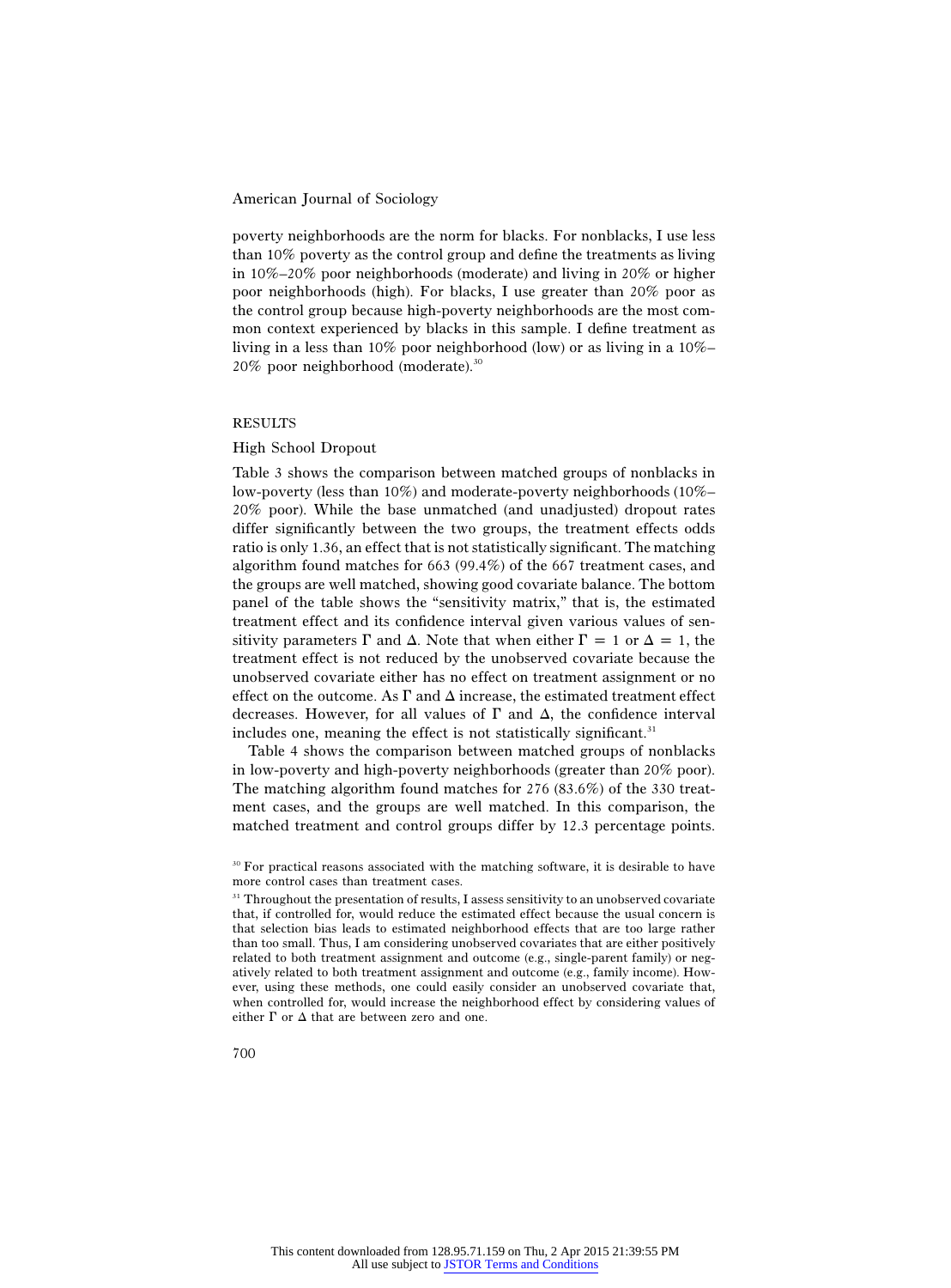poverty neighborhoods are the norm for blacks. For nonblacks, I use less than 10% poverty as the control group and define the treatments as living in 10%–20% poor neighborhoods (moderate) and living in 20% or higher poor neighborhoods (high). For blacks, I use greater than 20% poor as the control group because high-poverty neighborhoods are the most common context experienced by blacks in this sample. I define treatment as living in a less than 10% poor neighborhood (low) or as living in a 10%– 20% poor neighborhood (moderate).30

## RESULTS

#### High School Dropout

Table 3 shows the comparison between matched groups of nonblacks in low-poverty (less than 10%) and moderate-poverty neighborhoods (10%– 20% poor). While the base unmatched (and unadjusted) dropout rates differ significantly between the two groups, the treatment effects odds ratio is only 1.36, an effect that is not statistically significant. The matching algorithm found matches for 663 (99.4%) of the 667 treatment cases, and the groups are well matched, showing good covariate balance. The bottom panel of the table shows the "sensitivity matrix," that is, the estimated treatment effect and its confidence interval given various values of sensitivity parameters  $\Gamma$  and  $\Delta$ . Note that when either  $\Gamma = 1$  or  $\Delta = 1$ , the treatment effect is not reduced by the unobserved covariate because the unobserved covariate either has no effect on treatment assignment or no effect on the outcome. As  $\Gamma$  and  $\Delta$  increase, the estimated treatment effect decreases. However, for all values of  $\Gamma$  and  $\Delta$ , the confidence interval includes one, meaning the effect is not statistically significant. $31$ 

Table 4 shows the comparison between matched groups of nonblacks in low-poverty and high-poverty neighborhoods (greater than 20% poor). The matching algorithm found matches for 276 (83.6%) of the 330 treatment cases, and the groups are well matched. In this comparison, the matched treatment and control groups differ by 12.3 percentage points.

<sup>&</sup>lt;sup>30</sup> For practical reasons associated with the matching software, it is desirable to have more control cases than treatment cases.

<sup>&</sup>lt;sup>31</sup> Throughout the presentation of results, I assess sensitivity to an unobserved covariate that, if controlled for, would reduce the estimated effect because the usual concern is that selection bias leads to estimated neighborhood effects that are too large rather than too small. Thus, I am considering unobserved covariates that are either positively related to both treatment assignment and outcome (e.g., single-parent family) or negatively related to both treatment assignment and outcome (e.g., family income). However, using these methods, one could easily consider an unobserved covariate that, when controlled for, would increase the neighborhood effect by considering values of either  $\Gamma$  or  $\Delta$  that are between zero and one.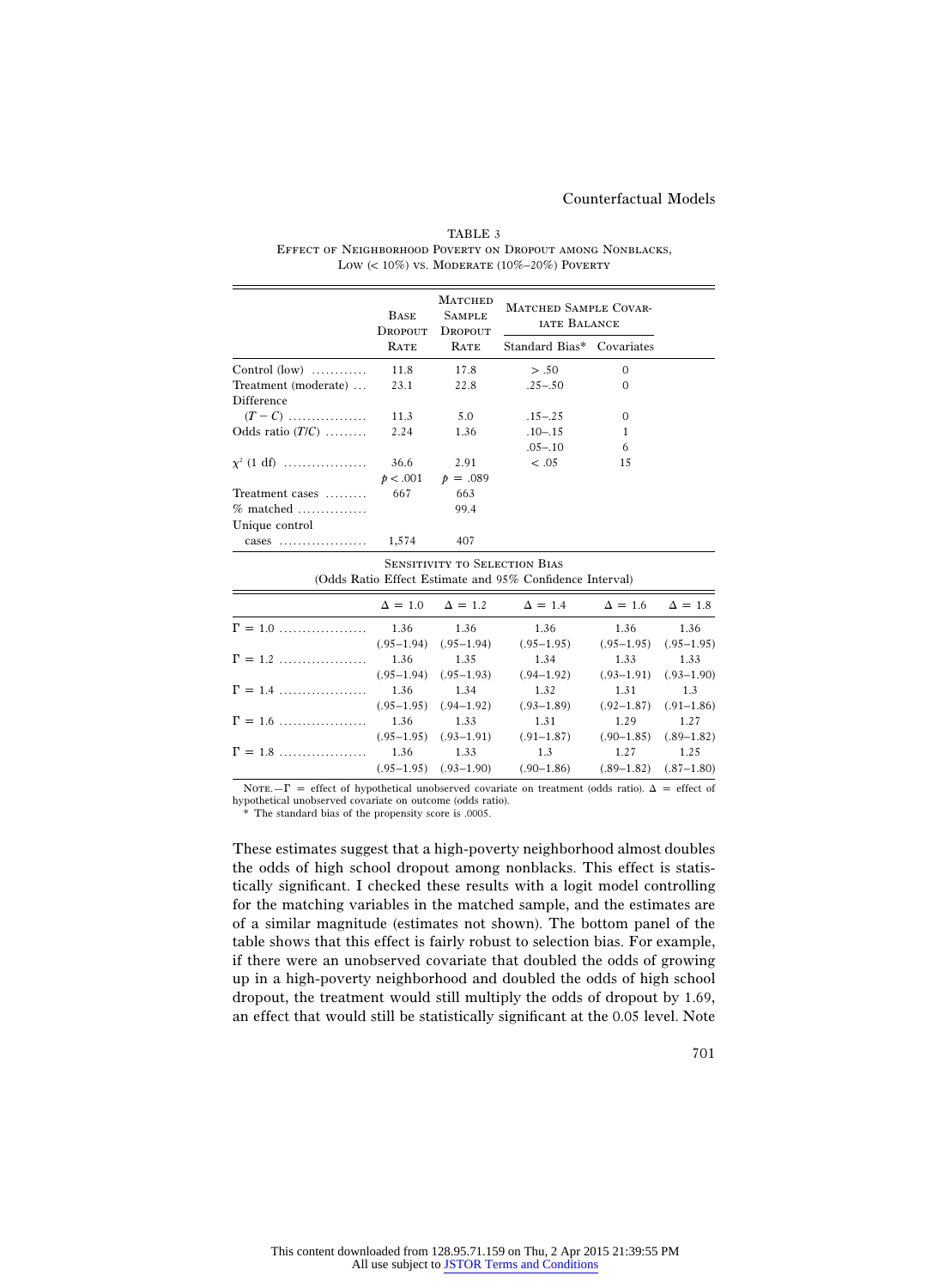| TABLE 3                                                    |
|------------------------------------------------------------|
| EFFECT OF NEIGHBORHOOD POVERTY ON DROPOUT AMONG NONBLACKS, |
| Low $(< 10\%)$ vs. MODERATE $(10\%-20\%)$ POVERTY          |

|                      | <b>BASE</b><br>DROPOUT | <b>MATCHED</b><br><b>MATCHED SAMPLE COVAR-</b><br><b>SAMPLE</b><br>IATE BALANCE<br>DROPOUT |                           |          |  |
|----------------------|------------------------|--------------------------------------------------------------------------------------------|---------------------------|----------|--|
|                      | RATE                   | <b>RATE</b>                                                                                | Standard Bias* Covariates |          |  |
| Control $(low)$      | 11.8                   | 17.8                                                                                       | > .50                     | $\Omega$ |  |
| Treatment (moderate) | 23.1                   | 22.8                                                                                       | $.25 - .50$               | $\Omega$ |  |
| Difference           |                        |                                                                                            |                           |          |  |
| $(T-C)$              | 11.3                   | 5.0                                                                                        | $.15 - .25$               | $\Omega$ |  |
| Odds ratio $(T/C)$   | 2.24                   | 1.36                                                                                       | $.10 - .15$               | 1        |  |
|                      |                        |                                                                                            | $.05 - .10$               | 6        |  |
| $\chi^2$ (1 df)      | 36.6                   | 2.91                                                                                       | < .05                     | 15       |  |
|                      | p < .001               | $p = .089$                                                                                 |                           |          |  |
| Treatment cases      | 667                    | 663                                                                                        |                           |          |  |
| $\%$ matched         |                        | 99.4                                                                                       |                           |          |  |
| Unique control       |                        |                                                                                            |                           |          |  |
| $cases$              | 1,574                  | 407                                                                                        |                           |          |  |

Sensitivity to Selection Bias

(Odds Ratio Effect Estimate and 95% Confidence Interval)

|                                                                |                           | $\Delta = 1.0$ $\Delta = 1.2$ $\Delta = 1.4$ $\Delta = 1.6$ $\Delta = 1.8$ |           |  |
|----------------------------------------------------------------|---------------------------|----------------------------------------------------------------------------|-----------|--|
| $\Gamma = 1.0$ (1.36 $1.36$ $1.36$ $1.36$ $1.36$ $1.36$ $1.36$ |                           |                                                                            |           |  |
|                                                                |                           | $(.95-1.94)$ $(.95-1.94)$ $(.95-1.95)$ $(.95-1.95)$ $(.95-1.95)$           |           |  |
|                                                                |                           | 1.34                                                                       | 1.33 1.33 |  |
|                                                                |                           | $(.95-1.94)$ $(.95-1.93)$ $(.94-1.92)$ $(.93-1.91)$ $(.93-1.90)$           |           |  |
|                                                                |                           | 1.32                                                                       | 1.31 1.3  |  |
|                                                                |                           | $(.95-1.95)$ $(.94-1.92)$ $(.93-1.89)$ $(.92-1.87)$ $(.91-1.86)$           |           |  |
|                                                                |                           | 1.31                                                                       | 1.29 1.27 |  |
|                                                                |                           | $(.95-1.95)$ $(.93-1.91)$ $(.91-1.87)$ $(.90-1.85)$ $(.89-1.82)$           |           |  |
|                                                                |                           | 1.3 1.27 1.25                                                              |           |  |
|                                                                | $(.95-1.95)$ $(.93-1.90)$ | $(.90-1.86)$ $(.89-1.82)$ $(.87-1.80)$                                     |           |  |

NOTE. -  $\Gamma$  = effect of hypothetical unobserved covariate on treatment (odds ratio).  $\Delta$  = effect of

hypothetical unobserved covariate on outcome (odds ratio). \* The standard bias of the propensity score is .0005.

These estimates suggest that a high-poverty neighborhood almost doubles the odds of high school dropout among nonblacks. This effect is statistically significant. I checked these results with a logit model controlling for the matching variables in the matched sample, and the estimates are of a similar magnitude (estimates not shown). The bottom panel of the table shows that this effect is fairly robust to selection bias. For example, if there were an unobserved covariate that doubled the odds of growing up in a high-poverty neighborhood and doubled the odds of high school dropout, the treatment would still multiply the odds of dropout by 1.69, an effect that would still be statistically significant at the 0.05 level. Note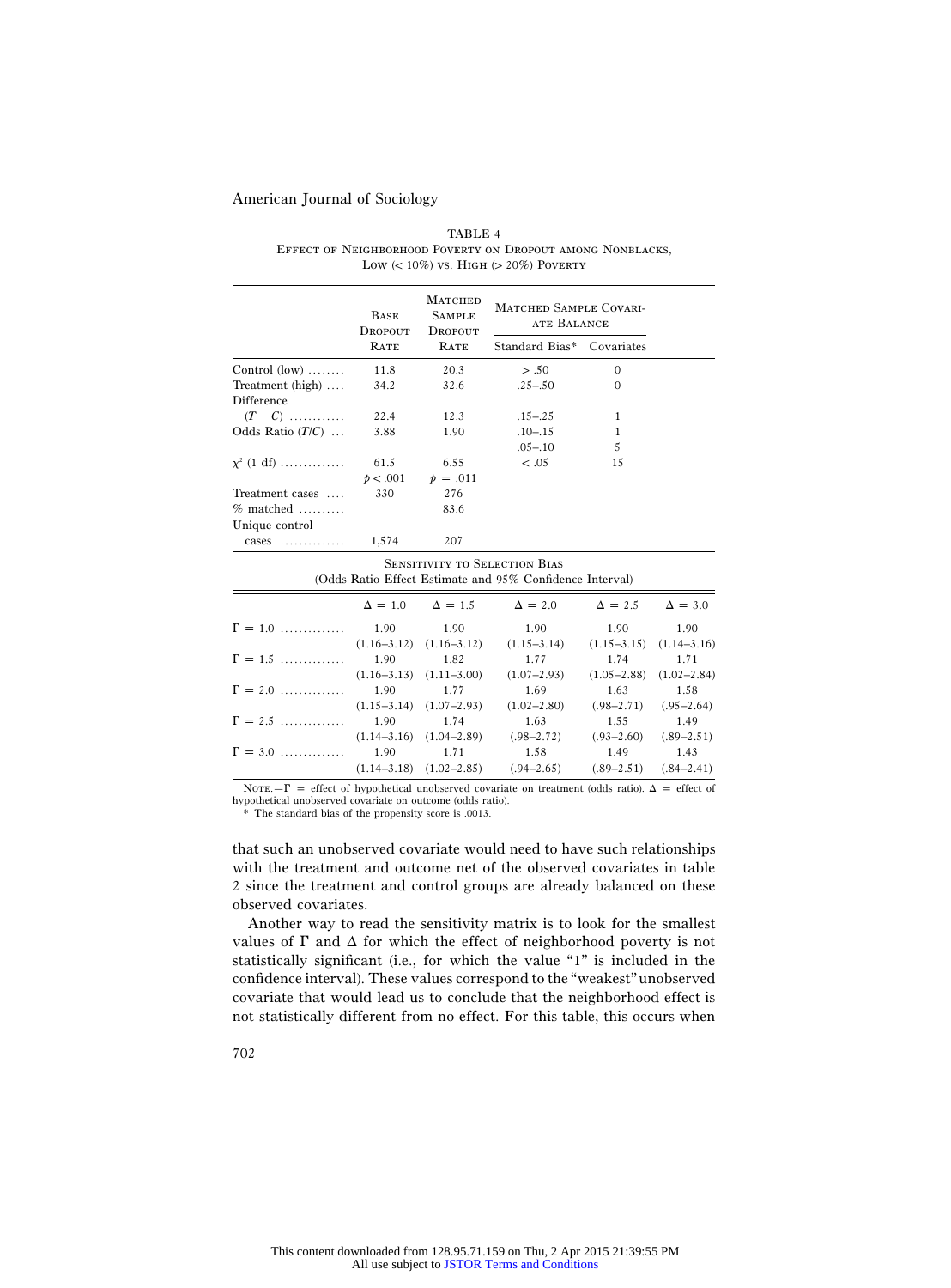| TABLE 4                                                    |  |  |  |  |  |
|------------------------------------------------------------|--|--|--|--|--|
| EFFECT OF NEIGHBORHOOD POVERTY ON DROPOUT AMONG NONBLACKS, |  |  |  |  |  |
| Low $(< 10\%)$ vs. HIGH $(> 20\%)$ POVERTY                 |  |  |  |  |  |

|                                         | <b>MATCHED</b><br><b>SAMPLE</b><br><b>BASE</b><br>DROPOUT<br>DROPOUT | <b>MATCHED SAMPLE COVARI-</b><br>ATE BALANCE |                            |              |  |
|-----------------------------------------|----------------------------------------------------------------------|----------------------------------------------|----------------------------|--------------|--|
|                                         | RATE                                                                 | RATE                                         | Standard Bias* Covariates  |              |  |
| Control $(low)$                         | 11.8                                                                 | 20.3                                         | > .50                      | $\Omega$     |  |
| Treatment $(high)$<br><b>Difference</b> | 34.2                                                                 | 32.6                                         | $.25 - .50$                | $\mathbf{0}$ |  |
| $(T-C)$                                 | 22.4                                                                 | 12.3                                         | $.15 - .25$                | 1            |  |
| Odds Ratio $(T/C)$                      | 3.88                                                                 | 1.90                                         | $.10 - .15$<br>$.05 - .10$ | 1<br>5       |  |
| $\chi^2$ (1 df)                         | 61.5                                                                 | 6.55<br>$p < .001$ $p = .011$                | < .05                      | 15           |  |
| Treatment cases<br>$\%$ matched         | 330                                                                  | 276<br>83.6                                  |                            |              |  |
| Unique control                          | 1,574                                                                | 207                                          |                            |              |  |



(Odds Ratio Effect Estimate and 95% Confidence Interval)

|                                              |           | $\Delta = 1.0 \qquad \Delta = 1.5$ | $\Delta = 2.0$  | $\Delta = 2.5 \qquad \Delta = 3.0$        |                             |
|----------------------------------------------|-----------|------------------------------------|-----------------|-------------------------------------------|-----------------------------|
| $\Gamma = 1.0$ 1.90 1.90                     |           |                                    | 1.90 1.90 1.90  |                                           |                             |
|                                              |           | $(1.16-3.12)$ $(1.16-3.12)$        |                 | $(1.15-3.14)$ $(1.15-3.15)$ $(1.14-3.16)$ |                             |
| $\Gamma = 1.5$                               | 1.90 1.82 |                                    | 1.77            | 1.74 1.71                                 |                             |
|                                              |           | $(1.16-3.13)$ $(1.11-3.00)$        | $(1.07 - 2.93)$ |                                           | $(1.05-2.88)$ $(1.02-2.84)$ |
|                                              |           |                                    | 1.69            | 1.63 1.58                                 |                             |
|                                              |           | $(1.15-3.14)$ $(1.07-2.93)$        | $(1.02 - 2.80)$ |                                           | $(.98-2.71)$ $(.95-2.64)$   |
| $\Gamma = 2.5$ 1.90 1.74                     |           |                                    | 1.63            | 1.55 1.49                                 |                             |
|                                              |           | $(1.14-3.16)$ $(1.04-2.89)$        | $(.98 - 2.72)$  |                                           | $(.93-2.60)$ $(.89-2.51)$   |
| $\Gamma = 3.0 \dots \dots \dots \dots \dots$ | 1.90 1.71 |                                    | 1.58            | 1.49 1.43                                 |                             |
|                                              |           | $(1.14-3.18)$ $(1.02-2.85)$        | $(.94 - 2.65)$  |                                           | $(.89-2.51)$ $(.84-2.41)$   |

NOTE. -  $\Gamma$  = effect of hypothetical unobserved covariate on treatment (odds ratio).  $\Delta$  = effect of

hypothetical unobserved covariate on outcome (odds ratio). \* The standard bias of the propensity score is .0013.

that such an unobserved covariate would need to have such relationships with the treatment and outcome net of the observed covariates in table 2 since the treatment and control groups are already balanced on these observed covariates.

Another way to read the sensitivity matrix is to look for the smallest values of  $\Gamma$  and  $\Delta$  for which the effect of neighborhood poverty is not statistically significant (i.e., for which the value "1" is included in the confidence interval). These values correspond to the "weakest" unobserved covariate that would lead us to conclude that the neighborhood effect is not statistically different from no effect. For this table, this occurs when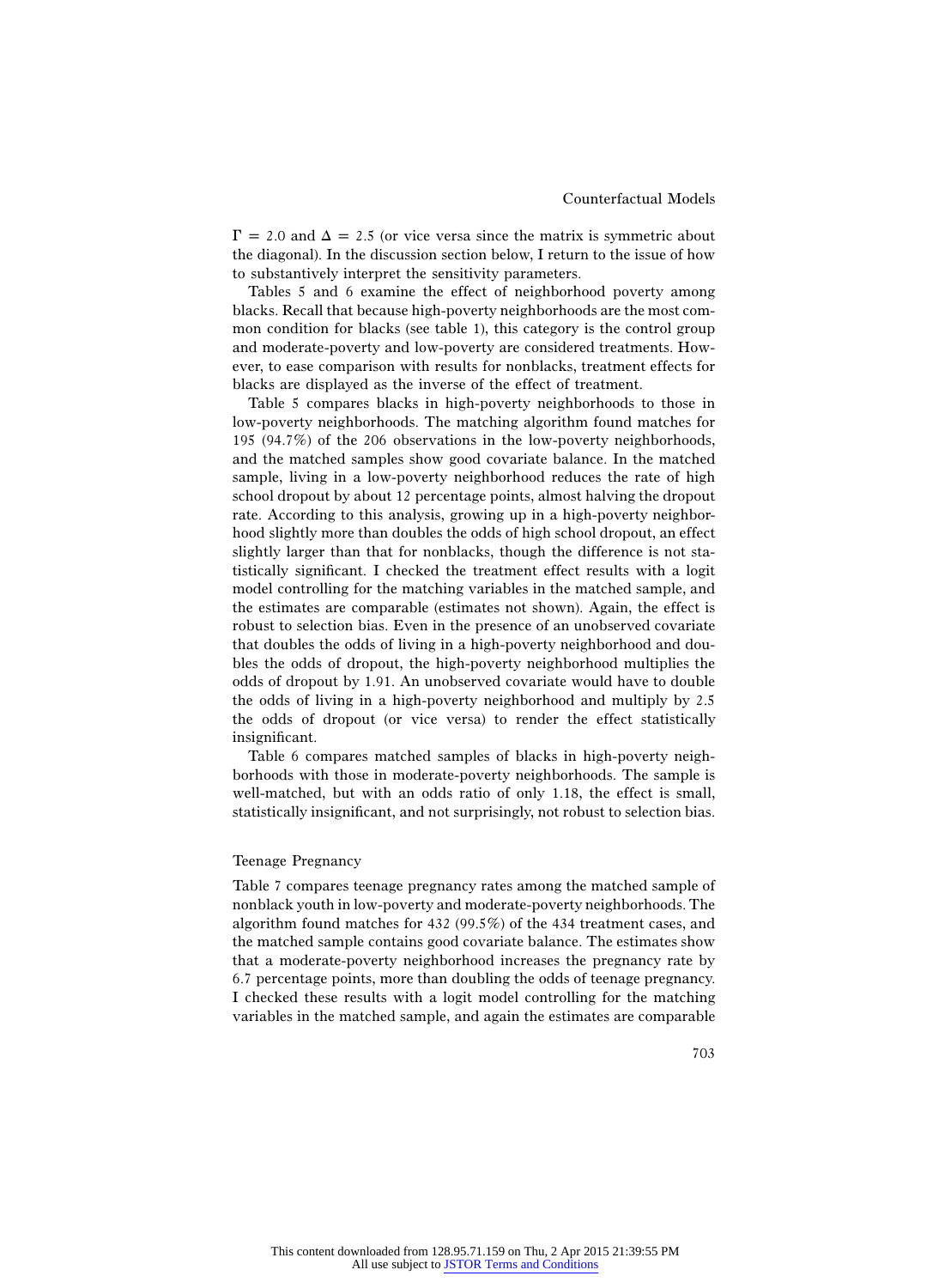$\Gamma = 2.0$  and  $\Delta = 2.5$  (or vice versa since the matrix is symmetric about the diagonal). In the discussion section below, I return to the issue of how to substantively interpret the sensitivity parameters.

Tables 5 and 6 examine the effect of neighborhood poverty among blacks. Recall that because high-poverty neighborhoods are the most common condition for blacks (see table 1), this category is the control group and moderate-poverty and low-poverty are considered treatments. However, to ease comparison with results for nonblacks, treatment effects for blacks are displayed as the inverse of the effect of treatment.

Table 5 compares blacks in high-poverty neighborhoods to those in low-poverty neighborhoods. The matching algorithm found matches for 195 (94.7%) of the 206 observations in the low-poverty neighborhoods, and the matched samples show good covariate balance. In the matched sample, living in a low-poverty neighborhood reduces the rate of high school dropout by about 12 percentage points, almost halving the dropout rate. According to this analysis, growing up in a high-poverty neighborhood slightly more than doubles the odds of high school dropout, an effect slightly larger than that for nonblacks, though the difference is not statistically significant. I checked the treatment effect results with a logit model controlling for the matching variables in the matched sample, and the estimates are comparable (estimates not shown). Again, the effect is robust to selection bias. Even in the presence of an unobserved covariate that doubles the odds of living in a high-poverty neighborhood and doubles the odds of dropout, the high-poverty neighborhood multiplies the odds of dropout by 1.91. An unobserved covariate would have to double the odds of living in a high-poverty neighborhood and multiply by 2.5 the odds of dropout (or vice versa) to render the effect statistically insignificant.

Table 6 compares matched samples of blacks in high-poverty neighborhoods with those in moderate-poverty neighborhoods. The sample is well-matched, but with an odds ratio of only 1.18, the effect is small, statistically insignificant, and not surprisingly, not robust to selection bias.

#### Teenage Pregnancy

Table 7 compares teenage pregnancy rates among the matched sample of nonblack youth in low-poverty and moderate-poverty neighborhoods. The algorithm found matches for 432 (99.5%) of the 434 treatment cases, and the matched sample contains good covariate balance. The estimates show that a moderate-poverty neighborhood increases the pregnancy rate by 6.7 percentage points, more than doubling the odds of teenage pregnancy. I checked these results with a logit model controlling for the matching variables in the matched sample, and again the estimates are comparable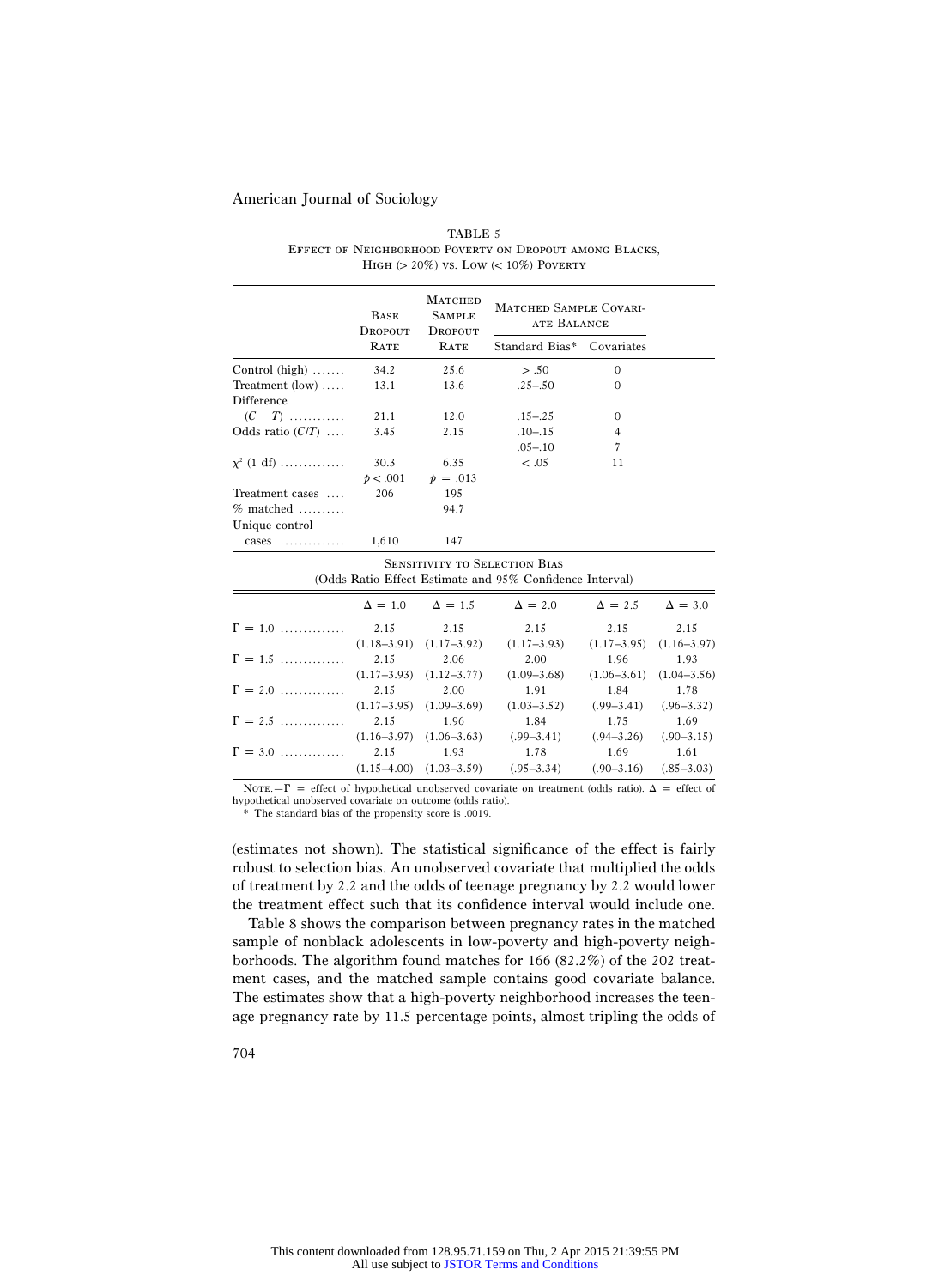| TABLE 5                                                 |
|---------------------------------------------------------|
| EFFECT OF NEIGHBORHOOD POVERTY ON DROPOUT AMONG BLACKS, |
| HIGH $(> 20\%)$ vs. Low $(< 10\%)$ POVERTY              |

|                                 | <b>BASE</b><br>DROPOUT | <b>MATCHED</b><br><b>SAMPLE</b><br>DROPOUT | <b>MATCHED SAMPLE COVARI-</b><br>ATE BALANCE |                                  |  |  |
|---------------------------------|------------------------|--------------------------------------------|----------------------------------------------|----------------------------------|--|--|
|                                 | RATE                   | RATE                                       | Standard Bias* Covariates                    |                                  |  |  |
| Control $(high)$                | 34.2                   | 25.6                                       | > .50                                        | $\Omega$                         |  |  |
| Treatment $(low)$<br>Difference | 13.1                   | 13.6                                       | $.25 - .50$                                  | $\Omega$                         |  |  |
| $(C-T)$                         | 21.1                   | 12.0                                       | $.15 - .25$                                  | 0                                |  |  |
| Odds ratio $(C/T)$              | 3.45                   | 2.15                                       | $.10 - .15$<br>$.05 - .10$                   | $\overline{4}$<br>$\overline{7}$ |  |  |
| $x^2$ (1 df)                    | 30.3                   | 6.35<br>$p < .001$ $p = .013$              | < .05                                        | 11                               |  |  |
| Treatment cases                 | 206                    | 195                                        |                                              |                                  |  |  |
| $\%$ matched<br>Unique control  |                        | 94.7                                       |                                              |                                  |  |  |
| $cases$                         | 1,610                  | 147                                        |                                              |                                  |  |  |



(Odds Ratio Effect Estimate and 95% Confidence Interval)

|                                              |           | $\Delta = 1.0 \qquad \Delta = 1.5$ | $\Delta = 2.0$  | $\Delta = 2.5 \qquad \Delta = 3.0$ |                             |
|----------------------------------------------|-----------|------------------------------------|-----------------|------------------------------------|-----------------------------|
|                                              |           |                                    | 2.15 2.15 2.15  |                                    |                             |
|                                              |           | $(1.18-3.91)$ $(1.17-3.92)$        | $(1.17 - 3.93)$ | $(1.17-3.95)$ $(1.16-3.97)$        |                             |
| $\Gamma = 1.5$                               | 2.15 2.06 |                                    | 2.00            | 1.96 1.93                          |                             |
|                                              |           | $(1.17-3.93)$ $(1.12-3.77)$        | $(1.09 - 3.68)$ |                                    | $(1.06-3.61)$ $(1.04-3.56)$ |
|                                              |           |                                    | 1.91            | 1.84 1.78                          |                             |
|                                              |           | $(1.17-3.95)$ $(1.09-3.69)$        | $(1.03 - 3.52)$ |                                    | $(.99-3.41)$ $(.96-3.32)$   |
|                                              |           |                                    | 1.84            | 1.75 1.69                          |                             |
|                                              |           | $(1.16-3.97)$ $(1.06-3.63)$        | $(.99 - 3.41)$  | $(.94 - 3.26)$                     | $(.90 - 3.15)$              |
| $\Gamma = 3.0 \dots \dots \dots \dots \dots$ | 2.15 1.93 |                                    | 1.78            | 1.69 1.61                          |                             |
|                                              |           | $(1.15-4.00)$ $(1.03-3.59)$        | $(.95 - 3.34)$  | $(.90 - 3.16)$                     | $(.85 - 3.03)$              |

NOTE. -  $\Gamma$  = effect of hypothetical unobserved covariate on treatment (odds ratio).  $\Delta$  = effect of

hypothetical unobserved covariate on outcome (odds ratio). \* The standard bias of the propensity score is .0019.

(estimates not shown). The statistical significance of the effect is fairly robust to selection bias. An unobserved covariate that multiplied the odds of treatment by 2.2 and the odds of teenage pregnancy by 2.2 would lower the treatment effect such that its confidence interval would include one.

Table 8 shows the comparison between pregnancy rates in the matched sample of nonblack adolescents in low-poverty and high-poverty neighborhoods. The algorithm found matches for 166 (82.2%) of the 202 treatment cases, and the matched sample contains good covariate balance. The estimates show that a high-poverty neighborhood increases the teenage pregnancy rate by 11.5 percentage points, almost tripling the odds of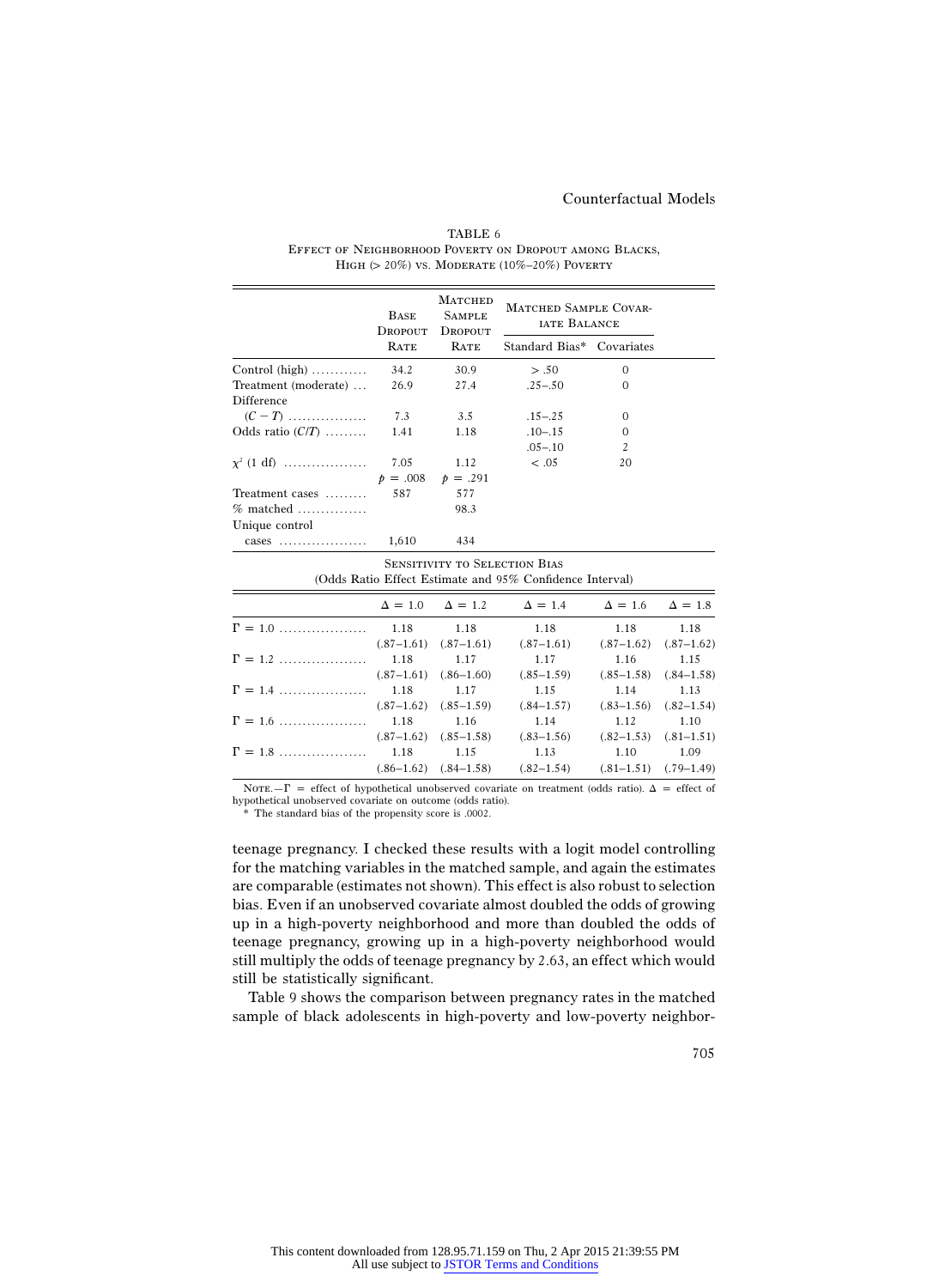|                                       | <b>BASE</b><br>DROPOUT | <b>MATCHED</b><br><b>SAMPLE</b><br>DROPOUT | <b>MATCHED SAMPLE COVAR-</b><br>IATE BALANCE |          |  |
|---------------------------------------|------------------------|--------------------------------------------|----------------------------------------------|----------|--|
|                                       | RATE                   | RATE                                       | Standard Bias* Covariates                    |          |  |
| Control (high) $\dots\dots\dots\dots$ | 34.2                   | 30.9                                       | > .50                                        | $\Omega$ |  |
| Treatment (moderate)                  | 26.9                   | 27.4                                       | $.25 - .50$                                  | $\Omega$ |  |
| Difference                            |                        |                                            |                                              |          |  |
| $(C-T)$                               | 7.3                    | 3.5                                        | $.15 - .25$                                  | $\Omega$ |  |
| Odds ratio $(C/T)$                    | 1.41                   | 1.18                                       | $.10 - .15$                                  | $\Omega$ |  |
|                                       |                        |                                            | $.05 - .10$                                  | 2        |  |
| $\chi^2$ (1 df)                       | 7.05                   | 1.12                                       | < .05                                        | 20       |  |
|                                       |                        | $p = .008$ $p = .291$                      |                                              |          |  |
| Treatment cases                       | 587                    | 577                                        |                                              |          |  |
| $\%$ matched                          |                        | 98.3                                       |                                              |          |  |
| Unique control                        |                        |                                            |                                              |          |  |
| $cases$                               | 1,610                  | 434                                        |                                              |          |  |

TABLE 6 Effect of Neighborhood Poverty on Dropout among Blacks, HIGH  $(> 20\%)$  VS. MODERATE  $(10\%-20\%)$  POVERTY

Sensitivity to Selection Bias

(Odds Ratio Effect Estimate and 95% Confidence Interval)

|  |                           | $\Delta = 1.0$ $\Delta = 1.2$ $\Delta = 1.4$ $\Delta = 1.6$ $\Delta = 1.8$ |                           |  |
|--|---------------------------|----------------------------------------------------------------------------|---------------------------|--|
|  |                           |                                                                            |                           |  |
|  |                           | $(.87-1.61)$ $(.87-1.61)$ $(.87-1.61)$ $(.87-1.62)$ $(.87-1.62)$           |                           |  |
|  |                           |                                                                            | 1.16 1.15                 |  |
|  | $(.87-1.61)$ $(.86-1.60)$ | $(.85 - 1.59)$                                                             | $(.85-1.58)$ $(.84-1.58)$ |  |
|  |                           | 1.15                                                                       | 1.14 1.13                 |  |
|  | $(.87-1.62)$ $(.85-1.59)$ | $(.84-1.57)$ $(.83-1.56)$ $(.82-1.54)$                                     |                           |  |
|  |                           | 1.14                                                                       | 1.12 1.10                 |  |
|  | $(.87-1.62)$ $(.85-1.58)$ | $(.83-1.56)$                                                               | $(.82-1.53)$ $(.81-1.51)$ |  |
|  |                           |                                                                            |                           |  |
|  | $(.86-1.62)$ $(.84-1.58)$ | $(.82-1.54)$ $(.81-1.51)$ $(.79-1.49)$                                     |                           |  |

NOTE. -  $\Gamma$  = effect of hypothetical unobserved covariate on treatment (odds ratio).  $\Delta$  = effect of

hypothetical unobserved covariate on outcome (odds ratio). \* The standard bias of the propensity score is .0002.

teenage pregnancy. I checked these results with a logit model controlling for the matching variables in the matched sample, and again the estimates are comparable (estimates not shown). This effect is also robust to selection bias. Even if an unobserved covariate almost doubled the odds of growing up in a high-poverty neighborhood and more than doubled the odds of teenage pregnancy, growing up in a high-poverty neighborhood would still multiply the odds of teenage pregnancy by 2.63, an effect which would still be statistically significant.

Table 9 shows the comparison between pregnancy rates in the matched sample of black adolescents in high-poverty and low-poverty neighbor-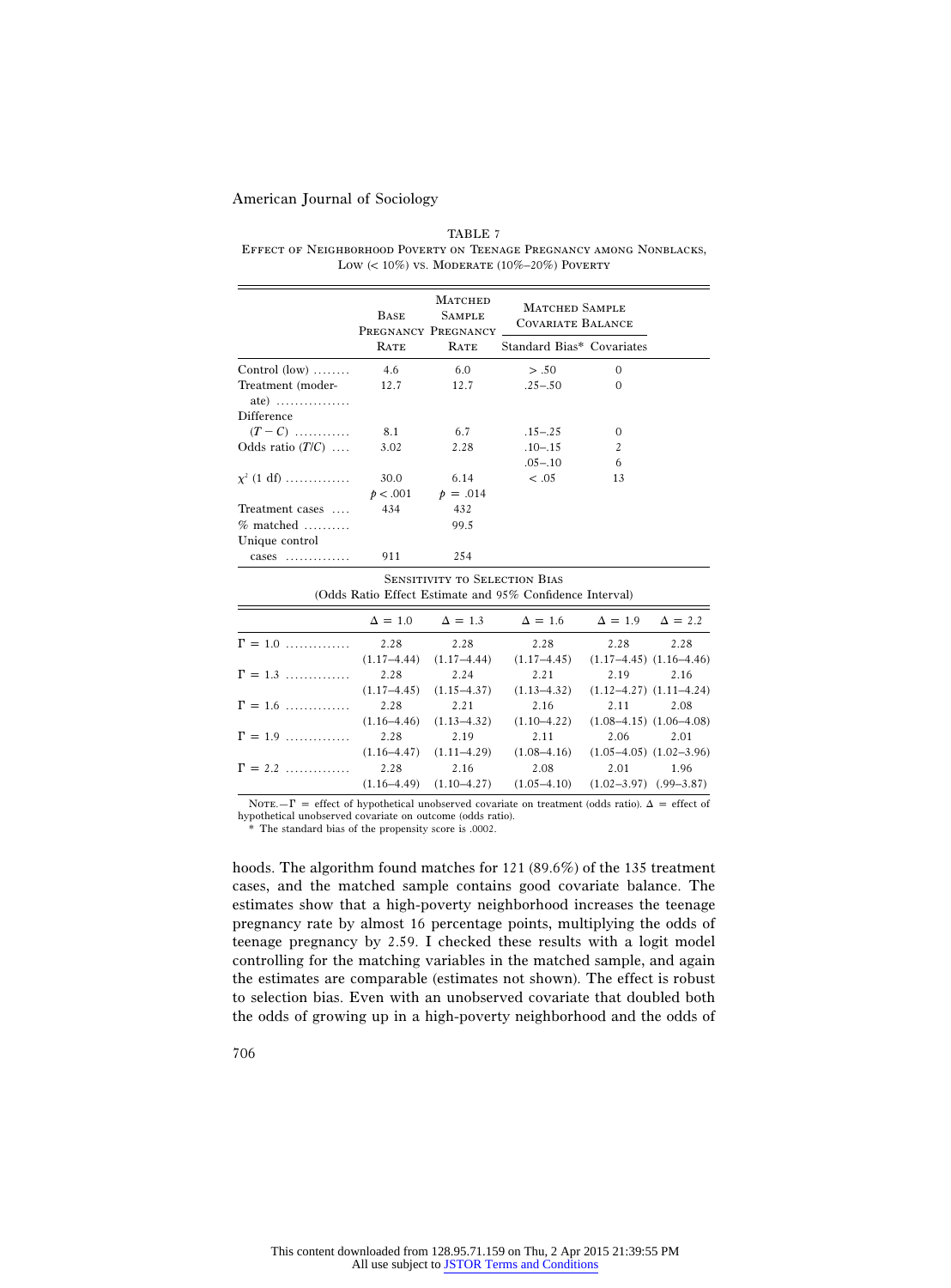TABLE 7 Effect of Neighborhood Poverty on Teenage Pregnancy among Nonblacks, Low  $(< 10\%)$  vs. MODERATE (10%–20%) POVERTY

|                                     | <b>BASE</b>     | <b>MATCHED</b><br><b>SAMPLE</b><br>PREGNANCY PREGNANCY | <b>MATCHED SAMPLE</b><br><b>COVARIATE BALANCE</b>        |                             |                |
|-------------------------------------|-----------------|--------------------------------------------------------|----------------------------------------------------------|-----------------------------|----------------|
|                                     | RATE            | RATE                                                   | Standard Bias* Covariates                                |                             |                |
| Control $\left( \text{low} \right)$ | 4.6             | 6.0                                                    | > .50                                                    | $\Omega$                    |                |
| Treatment (moder-<br>ate)           | 12.7            | 12.7                                                   | $.25 - .50$                                              | $\Omega$                    |                |
| Difference                          |                 |                                                        |                                                          |                             |                |
| $(T-C)$                             | 8.1             | 6.7                                                    | $.15 - .25$                                              | $\overline{0}$              |                |
| Odds ratio $(T/C)$                  | 3.02            | 2.28                                                   | $.10 - .15$                                              | 2                           |                |
|                                     |                 |                                                        | $.05 - .10$                                              | 6                           |                |
| $\chi^2$ (1 df)                     | 30.0            | 6.14                                                   | < .05                                                    | 13                          |                |
|                                     | p < .001        | $p = .014$                                             |                                                          |                             |                |
| Treatment cases                     | 434             | 432                                                    |                                                          |                             |                |
| $%$ matched                         |                 | 99.5                                                   |                                                          |                             |                |
| Unique control                      |                 |                                                        |                                                          |                             |                |
| $cases$                             | 911             | 254                                                    |                                                          |                             |                |
|                                     |                 | <b>SENSITIVITY TO SELECTION BIAS</b>                   | (Odds Ratio Effect Estimate and 95% Confidence Interval) |                             |                |
|                                     | $\Delta = 1.0$  | $\Delta = 1.3$                                         | $\Delta = 1.6$                                           | $\Delta = 1.9$              | $\Delta = 2.2$ |
| $\Gamma = 1.0$                      | 2.28            | 2.28                                                   | 2.28                                                     | 2.28                        | 2.28           |
|                                     | $(1.17 - 4.44)$ | $(1.17 - 4.44)$                                        | $(1.17 - 4.45)$                                          | $(1.17-4.45)$ $(1.16-4.46)$ |                |
| $\Gamma = 1.3$                      | 2.28            | 2.24                                                   | 2.21                                                     | 2.19                        | 2.16           |
|                                     |                 | $(1.17-4.45)$ $(1.15-4.37)$                            | $(1.13 - 4.32)$                                          | $(1.12-4.27)$ $(1.11-4.24)$ |                |
| $\Gamma = 1.6$                      | 2.28            | 2.21                                                   | 2.16                                                     | 2.11                        | 2.08           |
|                                     |                 | $(1.16-4.46)$ $(1.13-4.32)$                            | $(1.10 - 4.22)$                                          | $(1.08-4.15)$ $(1.06-4.08)$ |                |

NOTE.— $\Gamma$  = effect of hypothetical unobserved covariate on treatment (odds ratio).  $\Delta$  = effect of

G p 1.9 2.28 2.19 2.11 2.06 2.01 ..............

G p 2.2 2.28 2.16 2.08 2.01 1.96 ..............

 $(1.16-4.47)$   $(1.11-4.29)$   $(1.08-4.16)$   $(1.05-4.05)$   $(1.02-3.96)$ 

 $(1.16-4.49)$   $(1.10-4.27)$   $(1.05-4.10)$   $(1.02-3.97)$   $(0.99-3.87)$ 

hypothetical unobserved covariate on outcome (odds ratio).

The standard bias of the propensity score is .0002.

hoods. The algorithm found matches for 121 (89.6%) of the 135 treatment cases, and the matched sample contains good covariate balance. The estimates show that a high-poverty neighborhood increases the teenage pregnancy rate by almost 16 percentage points, multiplying the odds of teenage pregnancy by 2.59. I checked these results with a logit model controlling for the matching variables in the matched sample, and again the estimates are comparable (estimates not shown). The effect is robust to selection bias. Even with an unobserved covariate that doubled both the odds of growing up in a high-poverty neighborhood and the odds of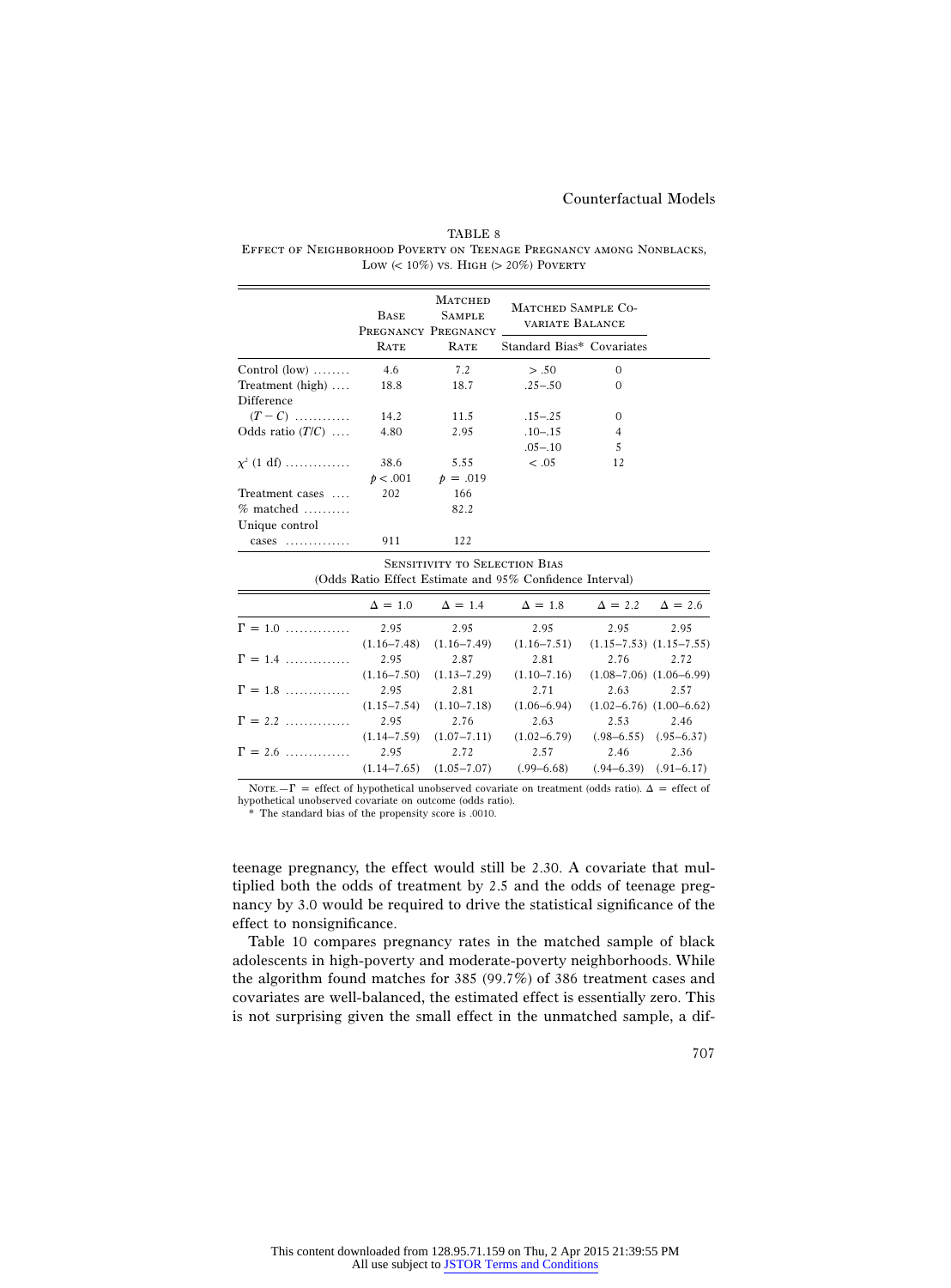Effect of Neighborhood Poverty on Teenage Pregnancy among Nonblacks, Low  $(< 10\%)$  vs. High  $(> 20\%)$  Poverty

|                    | <b>BASE</b> | <b>MATCHED</b><br><b>SAMPLE</b><br>PREGNANCY PREGNANCY | MATCHED SAMPLE CO-<br>VARIATE BALANCE |                |  |
|--------------------|-------------|--------------------------------------------------------|---------------------------------------|----------------|--|
|                    | RATE        | <b>RATE</b>                                            | Standard Bias* Covariates             |                |  |
| Control $(low)$    | 4.6         | 7.2                                                    | > .50                                 | $\Omega$       |  |
| Treatment $(high)$ | 18.8        | 18.7                                                   | $.25 - .50$                           | $\Omega$       |  |
| Difference         |             |                                                        |                                       |                |  |
| $(T-C)$            | 14.2        | 11.5                                                   | $.15 - .25$                           | $\mathbf{0}$   |  |
| Odds ratio $(T/C)$ | 4.80        | 2.95                                                   | $.10 - .15$                           | $\overline{4}$ |  |
|                    |             |                                                        | $.05 - .10$                           | 5              |  |
| $\chi^2$ (1 df)    | 38.6        | 5.55                                                   | < .05                                 | 12             |  |
|                    | p < .001    | $p = .019$                                             |                                       |                |  |
| Treatment cases    | 202         | 166                                                    |                                       |                |  |
| $\%$ matched       |             | 82.2                                                   |                                       |                |  |
| Unique control     |             |                                                        |                                       |                |  |
| $cases$            | 911         | 122                                                    |                                       |                |  |



(Odds Ratio Effect Estimate and 95% Confidence Interval)

|                                              |           | $\Delta = 1.0 \qquad \Delta = 1.4$ | $\Delta = 1.8$           | $\Delta = 2.2 \quad \Delta = 2.6$         |                                 |
|----------------------------------------------|-----------|------------------------------------|--------------------------|-------------------------------------------|---------------------------------|
| $\Gamma = 1.0 \dots \dots \dots \dots \dots$ |           |                                    | 2.95 2.95 2.95 2.95 2.95 |                                           |                                 |
|                                              |           | $(1.16-7.48)$ $(1.16-7.49)$        |                          | $(1.16-7.51)$ $(1.15-7.53)$ $(1.15-7.55)$ |                                 |
| $\Gamma = 1.4 \dots \dots \dots \dots$       |           | 2.95 2.87                          | 2.81                     | 2.76 2.72                                 |                                 |
|                                              |           | $(1.16-7.50)$ $(1.13-7.29)$        | $(1.10 - 7.16)$          |                                           | $(1.08-7.06)$ $(1.06-6.99)$     |
| $\Gamma = 1.8$                               | 2.95 2.81 |                                    | 2.71                     | 2.63 2.57                                 |                                 |
|                                              |           | $(1.15-7.54)$ $(1.10-7.18)$        | $(1.06 - 6.94)$          |                                           | $(1.02 - 6.76)$ $(1.00 - 6.62)$ |
| $\Gamma = 2.2 \dots \dots \dots \dots \dots$ |           | 2.95 2.76                          | 2.63                     | 2.53 2.46                                 |                                 |
|                                              |           | $(1.14-7.59)$ $(1.07-7.11)$        | $(1.02 - 6.79)$          |                                           | $(.98-6.55)$ $(.95-6.37)$       |
| $\Gamma = 2.6$                               |           | 2.95 2.72                          | 2.57                     | 2.46 2.36                                 |                                 |
|                                              |           | $(1.14-7.65)$ $(1.05-7.07)$        | $(.99-6.68)$             |                                           | $(.94-6.39)$ $(.91-6.17)$       |

NOTE. -  $\Gamma$  = effect of hypothetical unobserved covariate on treatment (odds ratio).  $\Delta$  = effect of

hypothetical unobserved covariate on outcome (odds ratio). \* The standard bias of the propensity score is .0010.

teenage pregnancy, the effect would still be 2.30. A covariate that multiplied both the odds of treatment by 2.5 and the odds of teenage pregnancy by 3.0 would be required to drive the statistical significance of the effect to nonsignificance.

Table 10 compares pregnancy rates in the matched sample of black adolescents in high-poverty and moderate-poverty neighborhoods. While the algorithm found matches for 385 (99.7%) of 386 treatment cases and covariates are well-balanced, the estimated effect is essentially zero. This is not surprising given the small effect in the unmatched sample, a dif-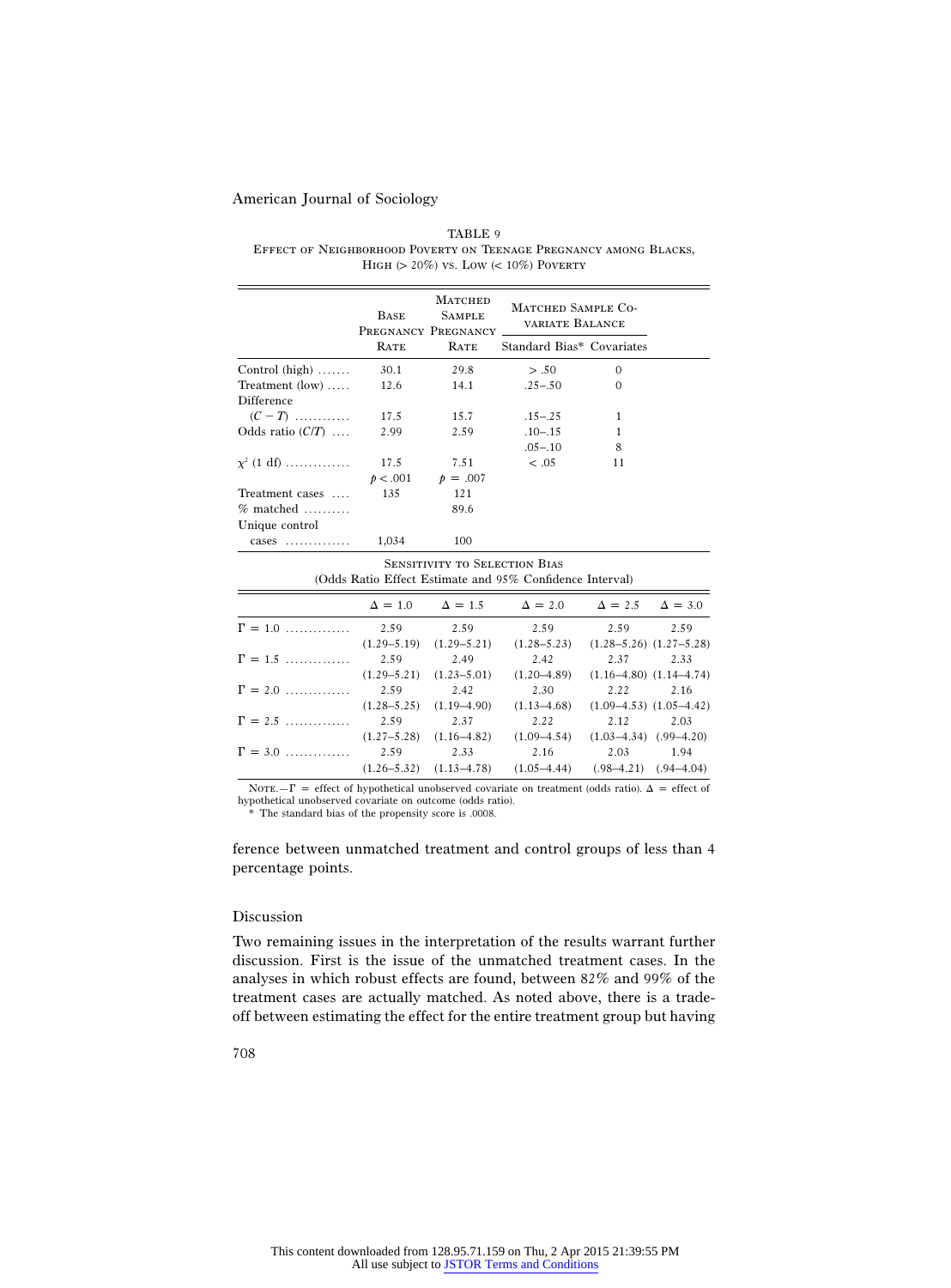| TABLE 9                                                           |  |  |  |                                            |  |
|-------------------------------------------------------------------|--|--|--|--------------------------------------------|--|
| EFFECT OF NEIGHBORHOOD POVERTY ON TEENAGE PREGNANCY AMONG BLACKS, |  |  |  |                                            |  |
|                                                                   |  |  |  | HIGH $(> 20\%)$ vs. Low $(< 10\%)$ Poverty |  |

|                              | <b>BASE</b> | <b>MATCHED</b><br><b>SAMPLE</b><br>PREGNANCY PREGNANCY | MATCHED SAMPLE CO-<br>VARIATE BALANCE |          |  |
|------------------------------|-------------|--------------------------------------------------------|---------------------------------------|----------|--|
|                              | RATE        | RATE                                                   | Standard Bias* Covariates             |          |  |
| Control $(high)$             | 30.1        | 29.8                                                   | > .50                                 | $\Omega$ |  |
| Treatment $(low)$            | 12.6        | 14.1                                                   | $.25 - .50$                           | $\Omega$ |  |
| Difference                   |             |                                                        |                                       |          |  |
| $(C-T)$                      | 17.5        | 15.7                                                   | $.15 - .25$                           | 1        |  |
| Odds ratio $(C/T)$           | 2.99        | 2.59                                                   | $.10 - .15$                           | 1        |  |
|                              |             |                                                        | $.05 - .10$                           | 8        |  |
| $x^2$ (1 df)                 | 17.5        | 7.51                                                   | < .05                                 | 11       |  |
|                              | p < .001    | $p = .007$                                             |                                       |          |  |
| Treatment cases              | 135         | 121                                                    |                                       |          |  |
| $\%$ matched                 |             | 89.6                                                   |                                       |          |  |
| Unique control               |             |                                                        |                                       |          |  |
| cases $\dots\dots\dots\dots$ | 1,034       | 100                                                    |                                       |          |  |



(Odds Ratio Effect Estimate and 95% Confidence Interval)

|                                              | $\Delta = 1.0 \qquad \Delta = 1.5$ |                             | $\Delta = 2.0$  | $\Delta = 2.5 \quad \Delta = 3.0$ |                             |
|----------------------------------------------|------------------------------------|-----------------------------|-----------------|-----------------------------------|-----------------------------|
| $\Gamma = 1.0$                               |                                    |                             | 2.59 2.59 2.59  | 2.59 2.59                         |                             |
|                                              |                                    | $(1.29-5.19)$ $(1.29-5.21)$ | $(1.28 - 5.23)$ | $(1.28 - 5.26)$ $(1.27 - 5.28)$   |                             |
| $\Gamma = 1.5$                               | 2.59 2.49                          |                             | 2.42            | 2.37 2.33                         |                             |
|                                              |                                    | $(1.29-5.21)$ $(1.23-5.01)$ | $(1.20 - 4.89)$ |                                   | $(1.16-4.80)$ $(1.14-4.74)$ |
| $\Gamma = 2.0 \dots \dots \dots \dots \dots$ | 2.59 2.42                          |                             | 2.30            | 2.22 2.16                         |                             |
|                                              |                                    | $(1.28-5.25)$ $(1.19-4.90)$ | $(1.13 - 4.68)$ |                                   | $(1.09-4.53)$ $(1.05-4.42)$ |
| $\Gamma = 2.5$                               | 2.59 2.37                          |                             | 2.22            | 2.12 2.03                         |                             |
|                                              |                                    | $(1.27-5.28)$ $(1.16-4.82)$ | $(1.09 - 4.54)$ | $(1.03-4.34)$ $(.99-4.20)$        |                             |
| $\Gamma = 3.0$                               | 2.59 2.33                          |                             | 2.16            | 2.03 1.94                         |                             |
|                                              |                                    | $(1.26-5.32)$ $(1.13-4.78)$ | $(1.05-4.44)$   |                                   | $(.98-4.21)$ $(.94-4.04)$   |

NOTE.  $-\Gamma$  = effect of hypothetical unobserved covariate on treatment (odds ratio).  $\Delta$  = effect of

hypothetical unobserved covariate on outcome (odds ratio). \* The standard bias of the propensity score is .0008.

ference between unmatched treatment and control groups of less than 4 percentage points.

# Discussion

Two remaining issues in the interpretation of the results warrant further discussion. First is the issue of the unmatched treatment cases. In the analyses in which robust effects are found, between 82% and 99% of the treatment cases are actually matched. As noted above, there is a tradeoff between estimating the effect for the entire treatment group but having

708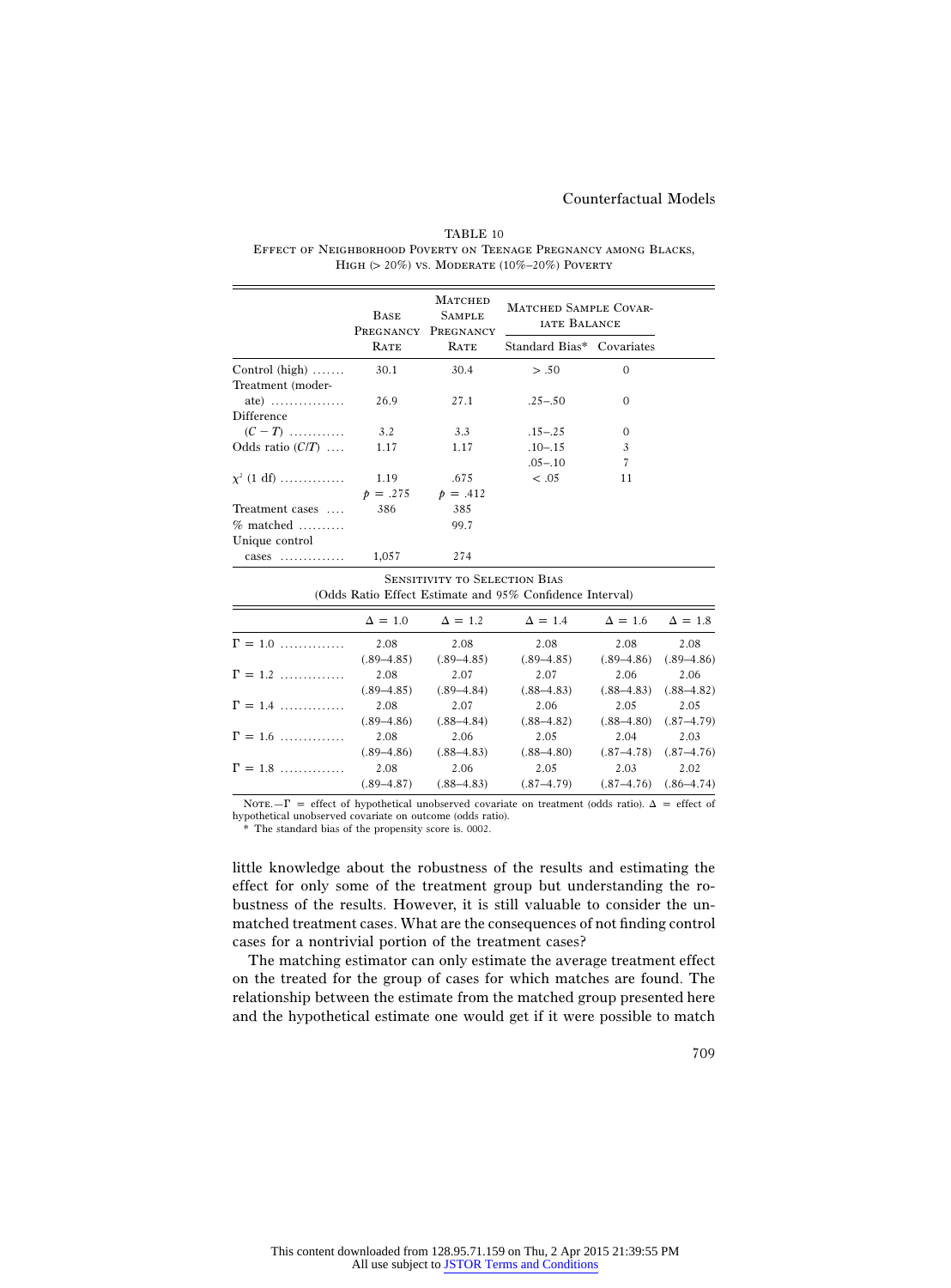| TABLE 10                                                          |
|-------------------------------------------------------------------|
| EFFECT OF NEIGHBORHOOD POVERTY ON TEENAGE PREGNANCY AMONG BLACKS. |
| HIGH $(> 20\%)$ VS. MODERATE $(10\%-20\%)$ POVERTY                |

|                                                       | <b>BASE</b> | <b>MATCHED</b><br><b>SAMPLE</b><br>PREGNANCY PREGNANCY | <b>MATCHED SAMPLE COVAR-</b><br>IATE BALANCE |              |  |
|-------------------------------------------------------|-------------|--------------------------------------------------------|----------------------------------------------|--------------|--|
|                                                       | RATE        | RATE                                                   | Standard Bias* Covariates                    |              |  |
| Control $(high)$<br>Treatment (moder-                 | 30.1        | 30.4                                                   | > .50                                        | $\Omega$     |  |
| ate) $\dots\dots\dots\dots\dots$<br><b>Difference</b> | 26.9        | 27.1                                                   | $.25 - .50$                                  | $\mathbf{0}$ |  |
| $(C-T)$                                               | 3.2         | 3.3                                                    | $.15 - .25$                                  | $\Omega$     |  |
| Odds ratio $(C/T)$                                    | 1.17        | 1.17                                                   | $.10 - .15$<br>$.05 - .10$                   | 3<br>7       |  |
| $\chi^2$ (1 df)                                       | 1.19        | .675<br>$p = .275$ $p = .412$                          | < .05                                        | 11           |  |
| Treatment cases                                       | 386         | 385                                                    |                                              |              |  |
| $%$ matched<br>Unique control                         |             | 99.7                                                   |                                              |              |  |
| $cases$                                               | 1,057       | 274                                                    |                                              |              |  |

Sensitivity to Selection Bias

|  |  | (Odds Ratio Effect Estimate and 95% Confidence Interval) |
|--|--|----------------------------------------------------------|
|--|--|----------------------------------------------------------|

|                                              | $\Delta = 1.0$ | $\Delta = 1.2$ | $\Delta = 1.4$ | $\Delta = 1.6$ | $\Delta = 1.8$            |
|----------------------------------------------|----------------|----------------|----------------|----------------|---------------------------|
| $\Gamma = 1.0 \dots \dots \dots \dots$       | 2.08           | 2.08           | 2.08           | 2.08           | 2.08                      |
|                                              | $(.89 - 4.85)$ | $(.89 - 4.85)$ | $(.89 - 4.85)$ | $(.89 - 4.86)$ | $(.89 - 4.86)$            |
| $\Gamma = 1.2 \dots \dots \dots \dots \dots$ | 2.08           | 2.07           | 2.07           | 2.06           | 2.06                      |
|                                              | $(.89 - 4.85)$ | $(.89 - 4.84)$ | $(.88-4.83)$   | $(.88 - 4.83)$ | $(.88-4.82)$              |
| $\Gamma = 1.4$                               | 2.08           | 2.07           | 2.06           | 2.05           | 2.05                      |
|                                              | $(.89 - 4.86)$ | $(.88-4.84)$   | $(.88-4.82)$   | $(.88 - 4.80)$ | $(.87 - 4.79)$            |
| $\Gamma = 1.6$                               | 2.08           | 2.06           | 2.05           | 2.04           | 2.03                      |
|                                              | $(.89 - 4.86)$ | $(.88 - 4.83)$ | $(.88 - 4.80)$ |                | $(.87-4.78)$ $(.87-4.76)$ |
| $\Gamma = 1.8 \dots \dots \dots \dots$       | 2.08           | 2.06           | 2.05           | 2.03           | 2.02                      |
|                                              | $(.89 - 4.87)$ | $(.88-4.83)$   | $(.87 - 4.79)$ |                | $(.87-4.76)$ $(.86-4.74)$ |

NOTE.— $\Gamma$  = effect of hypothetical unobserved covariate on treatment (odds ratio).  $\Delta$  = effect of

hypothetical unobserved covariate on outcome (odds ratio). \* The standard bias of the propensity score is. 0002.

little knowledge about the robustness of the results and estimating the effect for only some of the treatment group but understanding the robustness of the results. However, it is still valuable to consider the unmatched treatment cases. What are the consequences of not finding control cases for a nontrivial portion of the treatment cases?

The matching estimator can only estimate the average treatment effect on the treated for the group of cases for which matches are found. The relationship between the estimate from the matched group presented here and the hypothetical estimate one would get if it were possible to match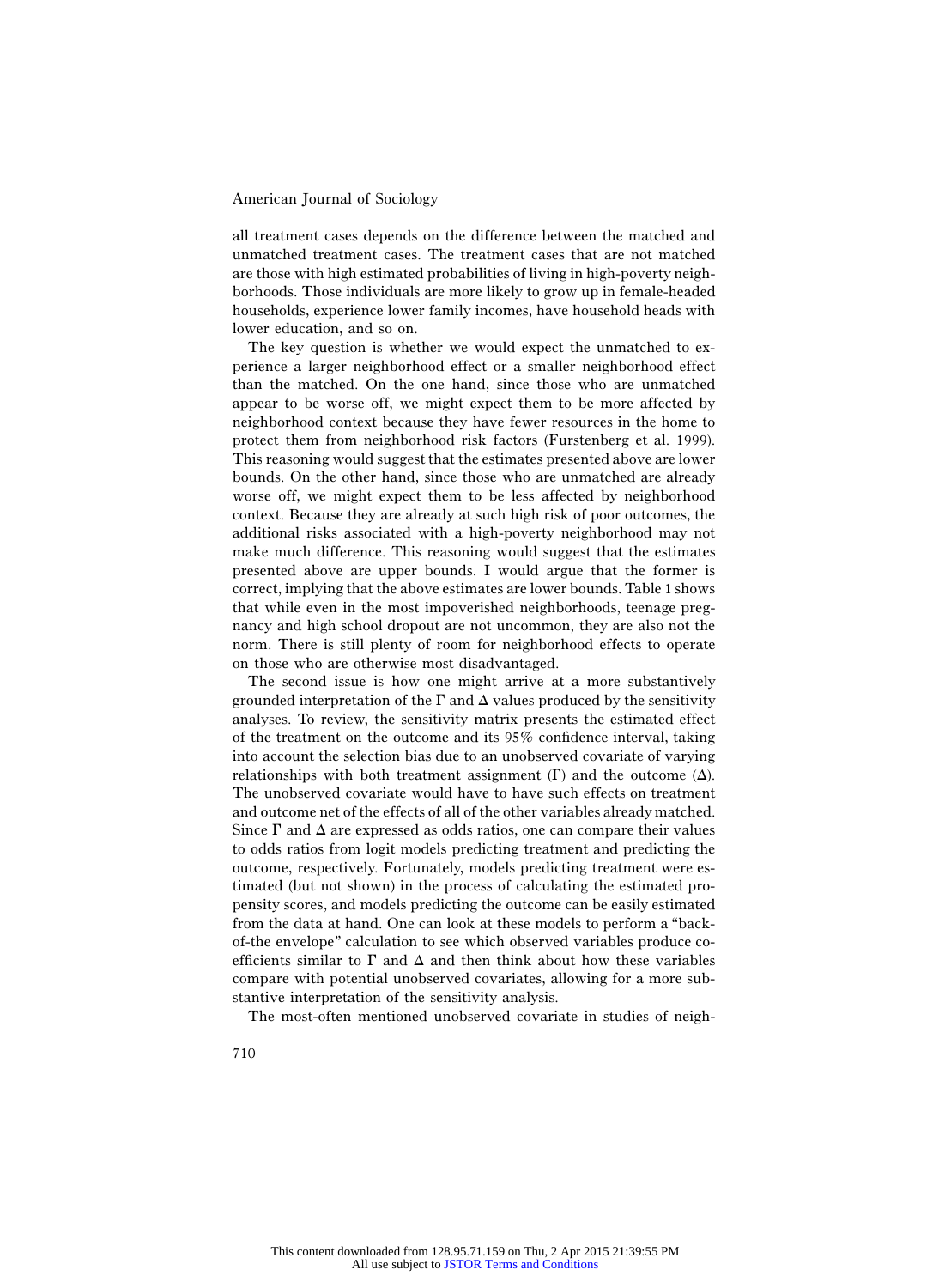all treatment cases depends on the difference between the matched and unmatched treatment cases. The treatment cases that are not matched are those with high estimated probabilities of living in high-poverty neighborhoods. Those individuals are more likely to grow up in female-headed households, experience lower family incomes, have household heads with lower education, and so on.

The key question is whether we would expect the unmatched to experience a larger neighborhood effect or a smaller neighborhood effect than the matched. On the one hand, since those who are unmatched appear to be worse off, we might expect them to be more affected by neighborhood context because they have fewer resources in the home to protect them from neighborhood risk factors (Furstenberg et al. 1999). This reasoning would suggest that the estimates presented above are lower bounds. On the other hand, since those who are unmatched are already worse off, we might expect them to be less affected by neighborhood context. Because they are already at such high risk of poor outcomes, the additional risks associated with a high-poverty neighborhood may not make much difference. This reasoning would suggest that the estimates presented above are upper bounds. I would argue that the former is correct, implying that the above estimates are lower bounds. Table 1 shows that while even in the most impoverished neighborhoods, teenage pregnancy and high school dropout are not uncommon, they are also not the norm. There is still plenty of room for neighborhood effects to operate on those who are otherwise most disadvantaged.

The second issue is how one might arrive at a more substantively grounded interpretation of the  $\Gamma$  and  $\Delta$  values produced by the sensitivity analyses. To review, the sensitivity matrix presents the estimated effect of the treatment on the outcome and its 95% confidence interval, taking into account the selection bias due to an unobserved covariate of varying relationships with both treatment assignment  $(\Gamma)$  and the outcome  $(\Delta)$ . The unobserved covariate would have to have such effects on treatment and outcome net of the effects of all of the other variables already matched. Since  $\Gamma$  and  $\Delta$  are expressed as odds ratios, one can compare their values to odds ratios from logit models predicting treatment and predicting the outcome, respectively. Fortunately, models predicting treatment were estimated (but not shown) in the process of calculating the estimated propensity scores, and models predicting the outcome can be easily estimated from the data at hand. One can look at these models to perform a "backof-the envelope" calculation to see which observed variables produce coefficients similar to  $\Gamma$  and  $\Delta$  and then think about how these variables compare with potential unobserved covariates, allowing for a more substantive interpretation of the sensitivity analysis.

The most-often mentioned unobserved covariate in studies of neigh-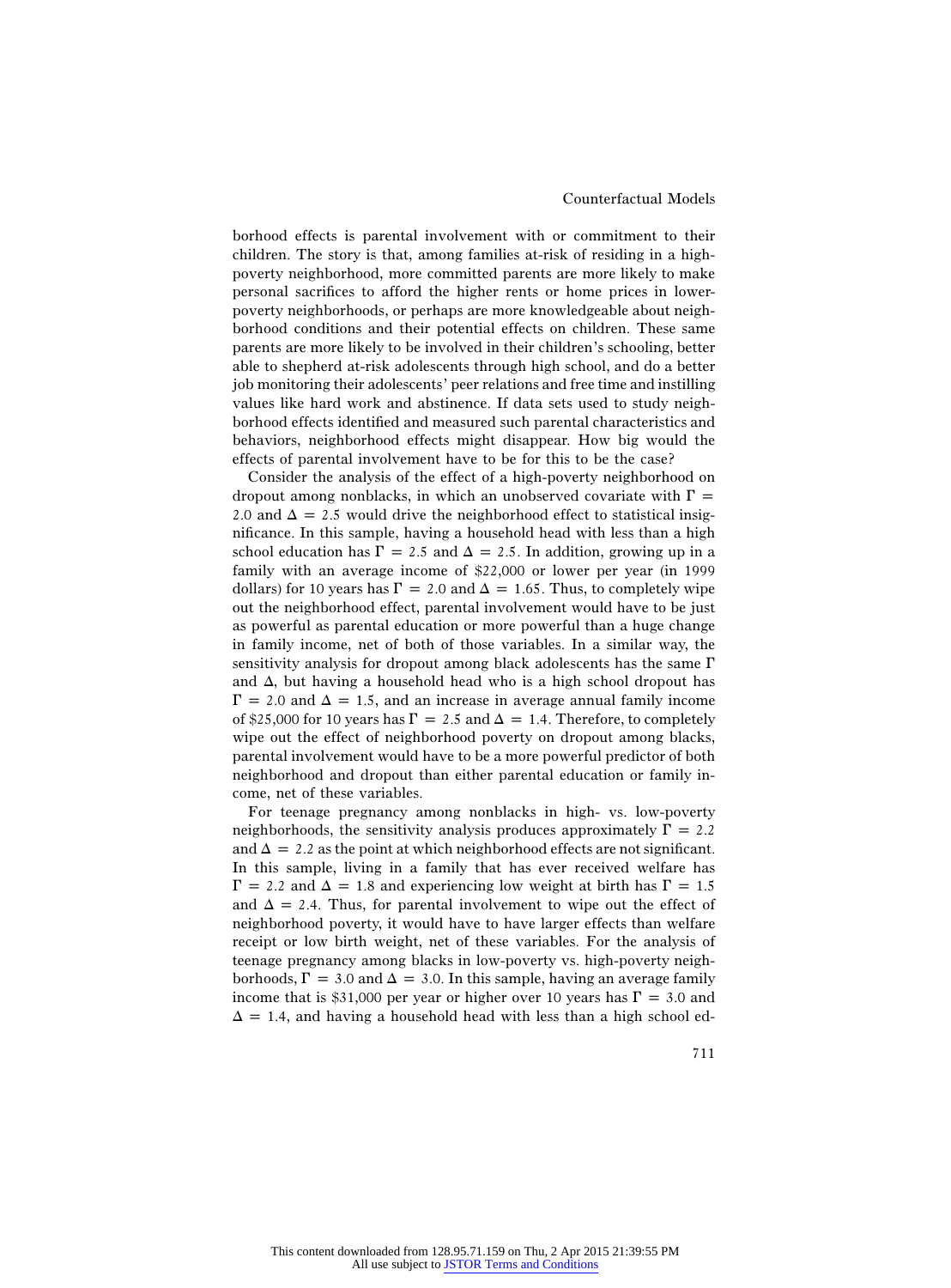borhood effects is parental involvement with or commitment to their children. The story is that, among families at-risk of residing in a highpoverty neighborhood, more committed parents are more likely to make personal sacrifices to afford the higher rents or home prices in lowerpoverty neighborhoods, or perhaps are more knowledgeable about neighborhood conditions and their potential effects on children. These same parents are more likely to be involved in their children's schooling, better able to shepherd at-risk adolescents through high school, and do a better job monitoring their adolescents' peer relations and free time and instilling values like hard work and abstinence. If data sets used to study neighborhood effects identified and measured such parental characteristics and behaviors, neighborhood effects might disappear. How big would the effects of parental involvement have to be for this to be the case?

Consider the analysis of the effect of a high-poverty neighborhood on dropout among nonblacks, in which an unobserved covariate with  $\Gamma =$ 2.0 and  $\Delta = 2.5$  would drive the neighborhood effect to statistical insignificance. In this sample, having a household head with less than a high school education has  $\Gamma = 2.5$  and  $\Delta = 2.5$ . In addition, growing up in a family with an average income of \$22,000 or lower per year (in 1999 dollars) for 10 years has  $\Gamma = 2.0$  and  $\Delta = 1.65$ . Thus, to completely wipe out the neighborhood effect, parental involvement would have to be just as powerful as parental education or more powerful than a huge change in family income, net of both of those variables. In a similar way, the sensitivity analysis for dropout among black adolescents has the same  $\Gamma$ and  $\Delta$ , but having a household head who is a high school dropout has  $\Gamma = 2.0$  and  $\Delta = 1.5$ , and an increase in average annual family income of \$25,000 for 10 years has  $\Gamma = 2.5$  and  $\Delta = 1.4$ . Therefore, to completely wipe out the effect of neighborhood poverty on dropout among blacks, parental involvement would have to be a more powerful predictor of both neighborhood and dropout than either parental education or family income, net of these variables.

For teenage pregnancy among nonblacks in high- vs. low-poverty neighborhoods, the sensitivity analysis produces approximately  $\Gamma = 2.2$ and  $\Delta = 2.2$  as the point at which neighborhood effects are not significant. In this sample, living in a family that has ever received welfare has  $\Gamma = 2.2$  and  $\Delta = 1.8$  and experiencing low weight at birth has  $\Gamma = 1.5$ and  $\Delta = 2.4$ . Thus, for parental involvement to wipe out the effect of neighborhood poverty, it would have to have larger effects than welfare receipt or low birth weight, net of these variables. For the analysis of teenage pregnancy among blacks in low-poverty vs. high-poverty neighborhoods,  $\Gamma = 3.0$  and  $\Delta = 3.0$ . In this sample, having an average family income that is \$31,000 per year or higher over 10 years has  $\Gamma = 3.0$  and  $\Delta = 1.4$ , and having a household head with less than a high school ed-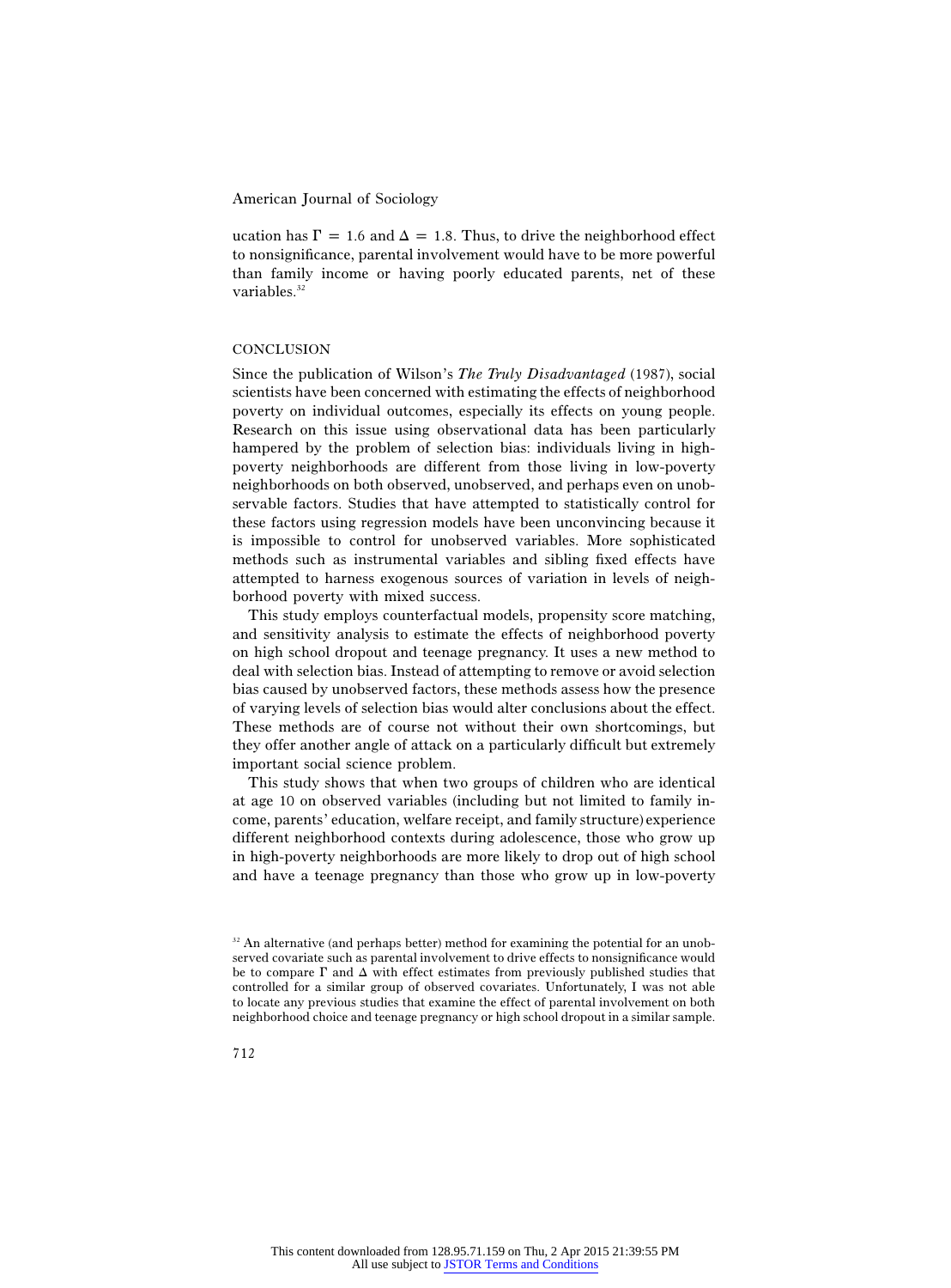ucation has  $\Gamma = 1.6$  and  $\Delta = 1.8$ . Thus, to drive the neighborhood effect to nonsignificance, parental involvement would have to be more powerful than family income or having poorly educated parents, net of these variables.<sup>32</sup>

## **CONCLUSION**

Since the publication of Wilson's *The Truly Disadvantaged* (1987), social scientists have been concerned with estimating the effects of neighborhood poverty on individual outcomes, especially its effects on young people. Research on this issue using observational data has been particularly hampered by the problem of selection bias: individuals living in highpoverty neighborhoods are different from those living in low-poverty neighborhoods on both observed, unobserved, and perhaps even on unobservable factors. Studies that have attempted to statistically control for these factors using regression models have been unconvincing because it is impossible to control for unobserved variables. More sophisticated methods such as instrumental variables and sibling fixed effects have attempted to harness exogenous sources of variation in levels of neighborhood poverty with mixed success.

This study employs counterfactual models, propensity score matching, and sensitivity analysis to estimate the effects of neighborhood poverty on high school dropout and teenage pregnancy. It uses a new method to deal with selection bias. Instead of attempting to remove or avoid selection bias caused by unobserved factors, these methods assess how the presence of varying levels of selection bias would alter conclusions about the effect. These methods are of course not without their own shortcomings, but they offer another angle of attack on a particularly difficult but extremely important social science problem.

This study shows that when two groups of children who are identical at age 10 on observed variables (including but not limited to family income, parents' education, welfare receipt, and family structure) experience different neighborhood contexts during adolescence, those who grow up in high-poverty neighborhoods are more likely to drop out of high school and have a teenage pregnancy than those who grow up in low-poverty

<sup>&</sup>lt;sup>32</sup> An alternative (and perhaps better) method for examining the potential for an unobserved covariate such as parental involvement to drive effects to nonsignificance would be to compare  $\Gamma$  and  $\Delta$  with effect estimates from previously published studies that controlled for a similar group of observed covariates. Unfortunately, I was not able to locate any previous studies that examine the effect of parental involvement on both neighborhood choice and teenage pregnancy or high school dropout in a similar sample.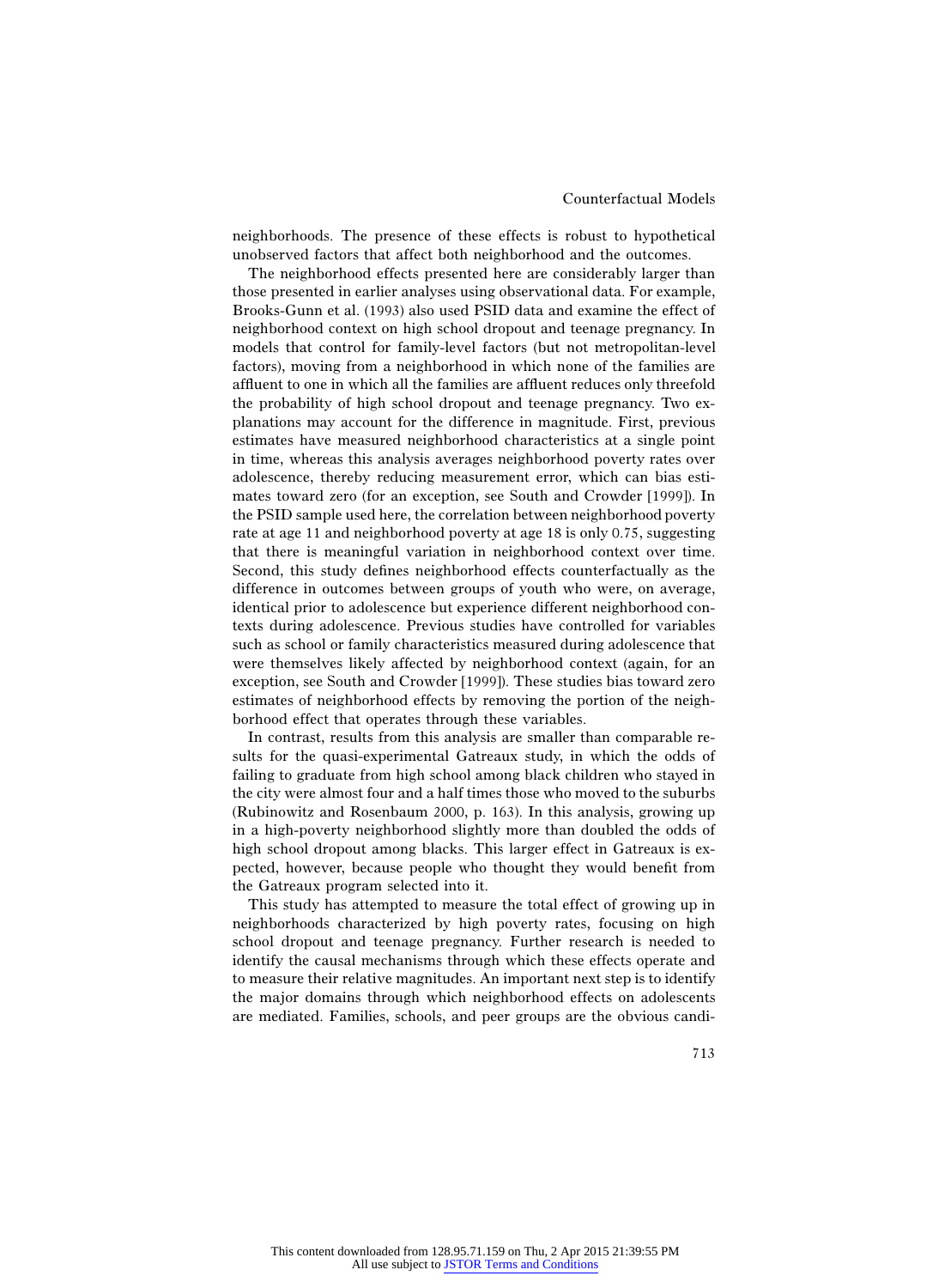neighborhoods. The presence of these effects is robust to hypothetical unobserved factors that affect both neighborhood and the outcomes.

The neighborhood effects presented here are considerably larger than those presented in earlier analyses using observational data. For example, Brooks-Gunn et al. (1993) also used PSID data and examine the effect of neighborhood context on high school dropout and teenage pregnancy. In models that control for family-level factors (but not metropolitan-level factors), moving from a neighborhood in which none of the families are affluent to one in which all the families are affluent reduces only threefold the probability of high school dropout and teenage pregnancy. Two explanations may account for the difference in magnitude. First, previous estimates have measured neighborhood characteristics at a single point in time, whereas this analysis averages neighborhood poverty rates over adolescence, thereby reducing measurement error, which can bias estimates toward zero (for an exception, see South and Crowder [1999]). In the PSID sample used here, the correlation between neighborhood poverty rate at age 11 and neighborhood poverty at age 18 is only 0.75, suggesting that there is meaningful variation in neighborhood context over time. Second, this study defines neighborhood effects counterfactually as the difference in outcomes between groups of youth who were, on average, identical prior to adolescence but experience different neighborhood contexts during adolescence. Previous studies have controlled for variables such as school or family characteristics measured during adolescence that were themselves likely affected by neighborhood context (again, for an exception, see South and Crowder [1999]). These studies bias toward zero estimates of neighborhood effects by removing the portion of the neighborhood effect that operates through these variables.

In contrast, results from this analysis are smaller than comparable results for the quasi-experimental Gatreaux study, in which the odds of failing to graduate from high school among black children who stayed in the city were almost four and a half times those who moved to the suburbs (Rubinowitz and Rosenbaum 2000, p. 163). In this analysis, growing up in a high-poverty neighborhood slightly more than doubled the odds of high school dropout among blacks. This larger effect in Gatreaux is expected, however, because people who thought they would benefit from the Gatreaux program selected into it.

This study has attempted to measure the total effect of growing up in neighborhoods characterized by high poverty rates, focusing on high school dropout and teenage pregnancy. Further research is needed to identify the causal mechanisms through which these effects operate and to measure their relative magnitudes. An important next step is to identify the major domains through which neighborhood effects on adolescents are mediated. Families, schools, and peer groups are the obvious candi-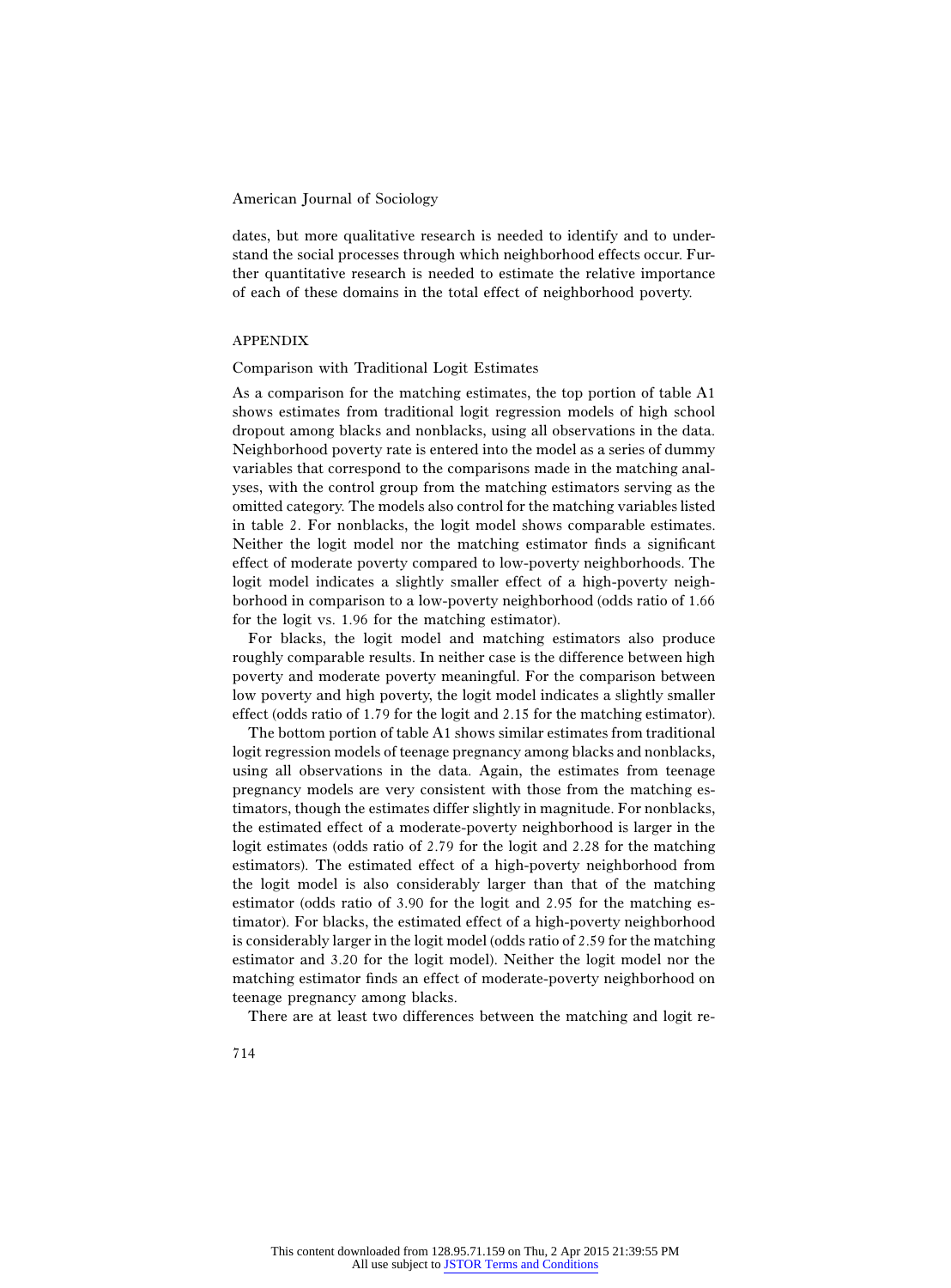dates, but more qualitative research is needed to identify and to understand the social processes through which neighborhood effects occur. Further quantitative research is needed to estimate the relative importance of each of these domains in the total effect of neighborhood poverty.

## APPENDIX

## Comparison with Traditional Logit Estimates

As a comparison for the matching estimates, the top portion of table A1 shows estimates from traditional logit regression models of high school dropout among blacks and nonblacks, using all observations in the data. Neighborhood poverty rate is entered into the model as a series of dummy variables that correspond to the comparisons made in the matching analyses, with the control group from the matching estimators serving as the omitted category. The models also control for the matching variables listed in table 2. For nonblacks, the logit model shows comparable estimates. Neither the logit model nor the matching estimator finds a significant effect of moderate poverty compared to low-poverty neighborhoods. The logit model indicates a slightly smaller effect of a high-poverty neighborhood in comparison to a low-poverty neighborhood (odds ratio of 1.66 for the logit vs. 1.96 for the matching estimator).

For blacks, the logit model and matching estimators also produce roughly comparable results. In neither case is the difference between high poverty and moderate poverty meaningful. For the comparison between low poverty and high poverty, the logit model indicates a slightly smaller effect (odds ratio of 1.79 for the logit and 2.15 for the matching estimator).

The bottom portion of table A1 shows similar estimates from traditional logit regression models of teenage pregnancy among blacks and nonblacks, using all observations in the data. Again, the estimates from teenage pregnancy models are very consistent with those from the matching estimators, though the estimates differ slightly in magnitude. For nonblacks, the estimated effect of a moderate-poverty neighborhood is larger in the logit estimates (odds ratio of 2.79 for the logit and 2.28 for the matching estimators). The estimated effect of a high-poverty neighborhood from the logit model is also considerably larger than that of the matching estimator (odds ratio of 3.90 for the logit and 2.95 for the matching estimator). For blacks, the estimated effect of a high-poverty neighborhood is considerably larger in the logit model (odds ratio of 2.59 for the matching estimator and 3.20 for the logit model). Neither the logit model nor the matching estimator finds an effect of moderate-poverty neighborhood on teenage pregnancy among blacks.

There are at least two differences between the matching and logit re-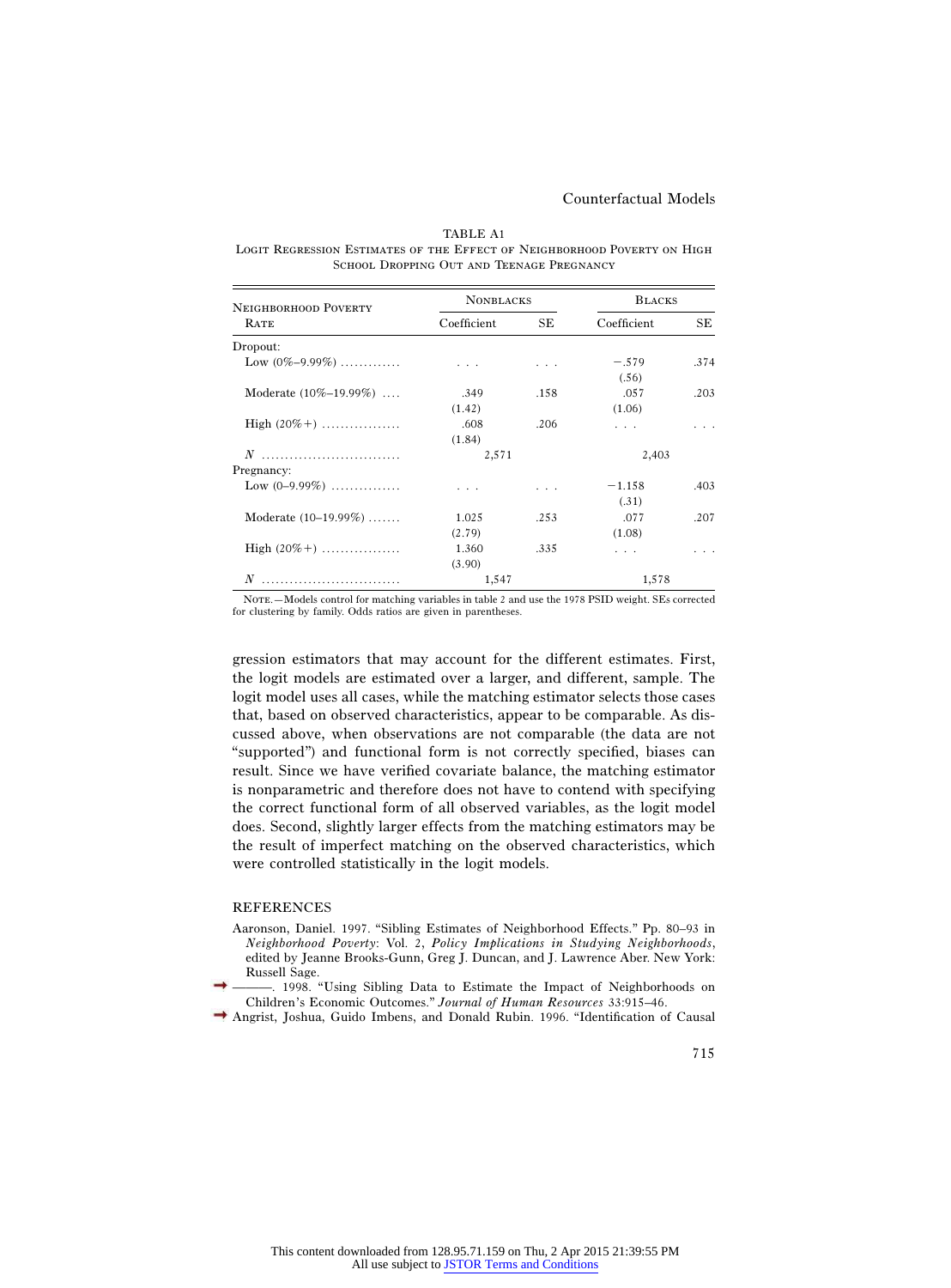#### TABLE A1

Logit Regression Estimates of the Effect of Neighborhood Poverty on High School Dropping Out and Teenage Pregnancy

| NEIGHBORHOOD POVERTY        | <b>NONBLACKS</b>                       |          | <b>BLACKS</b>      |                 |
|-----------------------------|----------------------------------------|----------|--------------------|-----------------|
| <b>RATE</b>                 | Coefficient                            | SE       | Coefficient        | SE              |
| Dropout:                    |                                        |          |                    |                 |
| Low $(0\% - 9.99\%)$        | $\mathbf{1}$ $\mathbf{1}$ $\mathbf{1}$ | $\cdots$ | $-.579$<br>(.56)   | .374            |
| Moderate $(10\% - 19.99\%)$ | .349                                   | .158     | .057               | .203            |
| High $(20\% +)$             | (1.42)<br>.608                         | .206     | (1.06)<br>$\cdots$ |                 |
| $N$                         | (1.84)<br>2,571                        |          | 2,403              |                 |
| Pregnancy:                  |                                        |          |                    |                 |
| Low $(0-9.99\%)$            | $\mathbf{1}$                           | $\cdots$ | $-1.158$<br>(.31)  | .403            |
| Moderate $(10-19.99\%)$     | 1.025<br>(2.79)                        | .253     | .077<br>(1.08)     | .207            |
| High $(20\% +)$             | 1.360<br>(3.90)                        | .335     | $\cdots$           | $\cdot$ $\cdot$ |
|                             | 1,547                                  |          | 1,578              |                 |

Note.—Models control for matching variables in table 2 and use the 1978 PSID weight. SEs corrected for clustering by family. Odds ratios are given in parentheses.

gression estimators that may account for the different estimates. First, the logit models are estimated over a larger, and different, sample. The logit model uses all cases, while the matching estimator selects those cases that, based on observed characteristics, appear to be comparable. As discussed above, when observations are not comparable (the data are not "supported") and functional form is not correctly specified, biases can result. Since we have verified covariate balance, the matching estimator is nonparametric and therefore does not have to contend with specifying the correct functional form of all observed variables, as the logit model does. Second, slightly larger effects from the matching estimators may be the result of imperfect matching on the observed characteristics, which were controlled statistically in the logit models.

#### **REFERENCES**

- Aaronson, Daniel. 1997. "Sibling Estimates of Neighborhood Effects." Pp. 80–93 in *Neighborhood Poverty*: Vol. 2, *Policy Implications in Studying Neighborhoods*, edited by Jeanne Brooks-Gunn, Greg J. Duncan, and J. Lawrence Aber. New York: Russell Sage.
- . 1998. "Using Sibling Data to Estimate the Impact of Neighborhoods on Children's Economic Outcomes." *Journal of Human Resources* 33:915–46.

Angrist, Joshua, Guido Imbens, and Donald Rubin. 1996. "Identification of Causal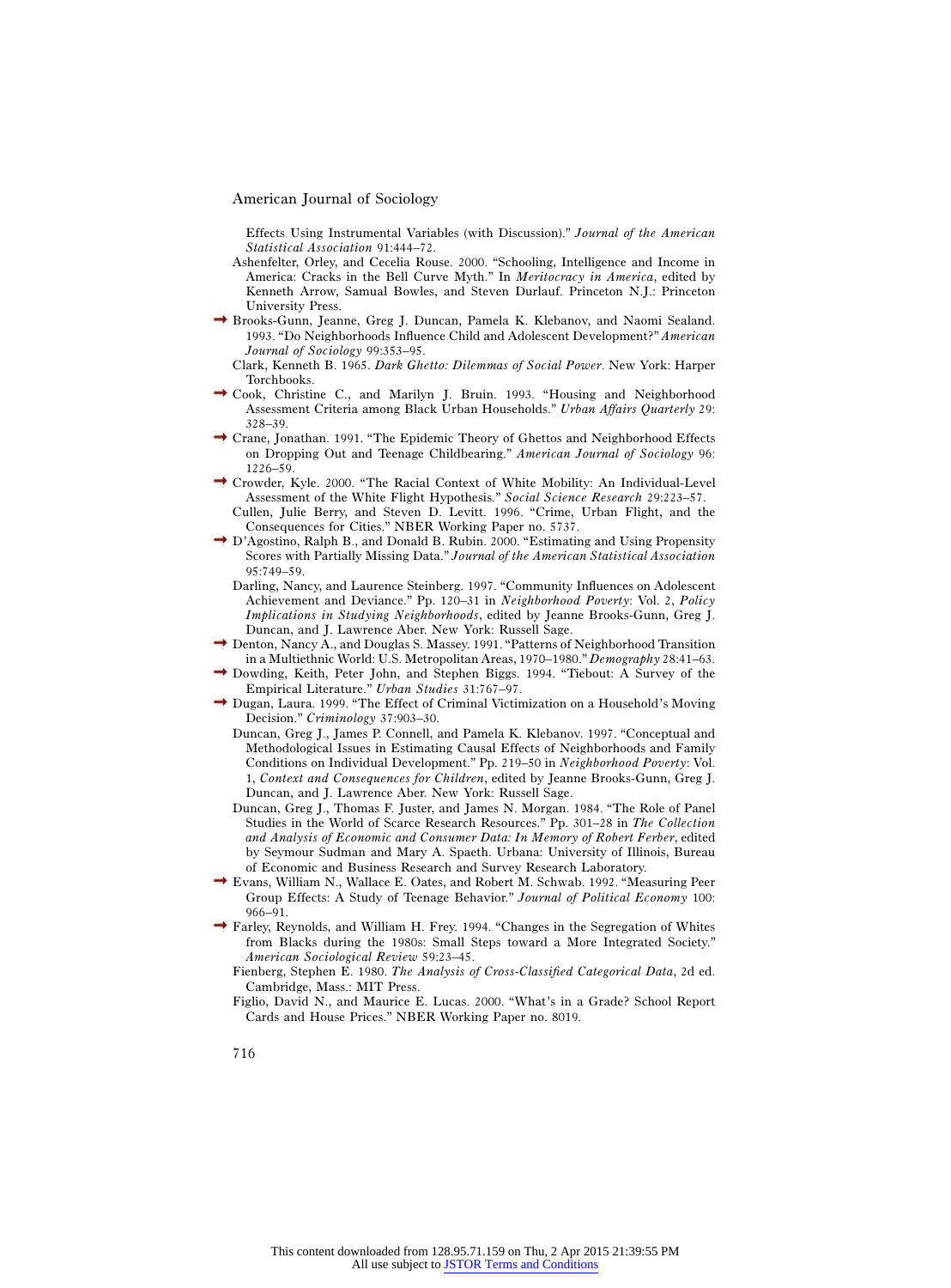Effects Using Instrumental Variables (with Discussion)." *Journal of the American Statistical Association* 91:444–72.

- Ashenfelter, Orley, and Cecelia Rouse. 2000. "Schooling, Intelligence and Income in America: Cracks in the Bell Curve Myth." In *Meritocracy in America*, edited by Kenneth Arrow, Samual Bowles, and Steven Durlauf. Princeton N.J.: Princeton University Press.
- Brooks-Gunn, Jeanne, Greg J. Duncan, Pamela K. Klebanov, and Naomi Sealand. 1993. "Do Neighborhoods Influence Child and Adolescent Development?" *American Journal of Sociology* 99:353–95.
	- Clark, Kenneth B. 1965. *Dark Ghetto: Dilemmas of Social Power*. New York: Harper **Torchbooks**
- $\rightarrow$  Cook, Christine C., and Marilyn J. Bruin. 1993. "Housing and Neighborhood Assessment Criteria among Black Urban Households." *Urban Affairs Quarterly* 29: 328–39.
- Crane, Jonathan. 1991. "The Epidemic Theory of Ghettos and Neighborhood Effects on Dropping Out and Teenage Childbearing." *American Journal of Sociology* 96: 1226–59.
- $\rightarrow$  Crowder, Kyle. 2000. "The Racial Context of White Mobility: An Individual-Level Assessment of the White Flight Hypothesis." *Social Science Research* 29:223–57. Cullen, Julie Berry, and Steven D. Levitt. 1996. "Crime, Urban Flight, and the
- Consequences for Cities." NBER Working Paper no. 5737.  $\rightarrow$  D'Agostino, Ralph B., and Donald B. Rubin. 2000. "Estimating and Using Propensity
- Scores with Partially Missing Data." *Journal of the American Statistical Association* 95:749–59.
	- Darling, Nancy, and Laurence Steinberg. 1997. "Community Influences on Adolescent Achievement and Deviance." Pp. 120–31 in *Neighborhood Poverty*: Vol. 2, *Policy Implications in Studying Neighborhoods*, edited by Jeanne Brooks-Gunn, Greg J. Duncan, and J. Lawrence Aber. New York: Russell Sage.
- Denton, Nancy A., and Douglas S. Massey. 1991. "Patterns of Neighborhood Transition in a Multiethnic World: U.S. Metropolitan Areas, 1970–1980." *Demography* 28:41–63.
- $\rightarrow$  Dowding, Keith, Peter John, and Stephen Biggs. 1994. "Tiebout: A Survey of the Empirical Literature." *Urban Studies* 31:767–97.
- Dugan, Laura. 1999. "The Effect of Criminal Victimization on a Household's Moving Decision." *Criminology* 37:903–30.
	- Duncan, Greg J., James P. Connell, and Pamela K. Klebanov. 1997. "Conceptual and Methodological Issues in Estimating Causal Effects of Neighborhoods and Family Conditions on Individual Development." Pp. 219–50 in *Neighborhood Poverty*: Vol. 1, *Context and Consequences for Children*, edited by Jeanne Brooks-Gunn, Greg J. Duncan, and J. Lawrence Aber. New York: Russell Sage.
	- Duncan, Greg J., Thomas F. Juster, and James N. Morgan. 1984. "The Role of Panel Studies in the World of Scarce Research Resources." Pp. 301–28 in *The Collection and Analysis of Economic and Consumer Data: In Memory of Robert Ferber*, edited by Seymour Sudman and Mary A. Spaeth. Urbana: University of Illinois, Bureau of Economic and Business Research and Survey Research Laboratory.
- Evans, William N., Wallace E. Oates, and Robert M. Schwab. 1992. "Measuring Peer Group Effects: A Study of Teenage Behavior." *Journal of Political Economy* 100: 966–91.
- Farley, Reynolds, and William H. Frey. 1994. "Changes in the Segregation of Whites from Blacks during the 1980s: Small Steps toward a More Integrated Society." *American Sociological Review* 59:23–45.
	- Fienberg, Stephen E. 1980. *The Analysis of Cross-Classified Categorical Data*, 2d ed. Cambridge, Mass.: MIT Press.
	- Figlio, David N., and Maurice E. Lucas. 2000. "What's in a Grade? School Report Cards and House Prices." NBER Working Paper no. 8019.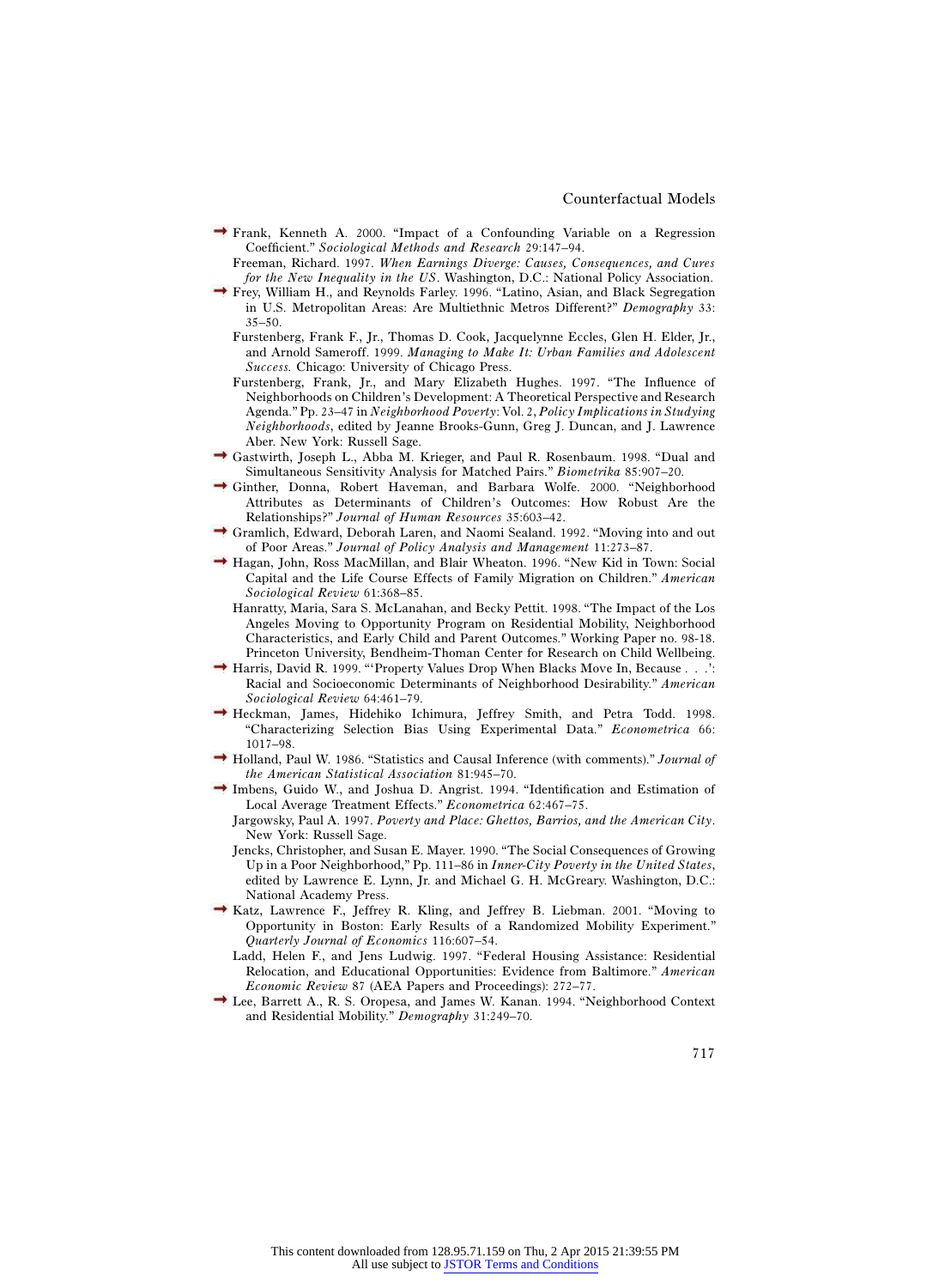- Frank, Kenneth A. 2000. "Impact of a Confounding Variable on a Regression Coefficient." *Sociological Methods and Research* 29:147–94.
	- Freeman, Richard. 1997. *When Earnings Diverge: Causes, Consequences, and Cures for the New Inequality in the US*. Washington, D.C.: National Policy Association.
- Frey, William H., and Reynolds Farley. 1996. "Latino, Asian, and Black Segregation in U.S. Metropolitan Areas: Are Multiethnic Metros Different?" *Demography* 33: 35–50.
	- Furstenberg, Frank F., Jr., Thomas D. Cook, Jacquelynne Eccles, Glen H. Elder, Jr., and Arnold Sameroff. 1999. *Managing to Make It: Urban Families and Adolescent Success.* Chicago: University of Chicago Press.
	- Furstenberg, Frank, Jr., and Mary Elizabeth Hughes. 1997. "The Influence of Neighborhoods on Children's Development: A Theoretical Perspective and Research Agenda." Pp. 23–47 in *Neighborhood Poverty*: Vol. 2, *Policy Implications in Studying Neighborhoods*, edited by Jeanne Brooks-Gunn, Greg J. Duncan, and J. Lawrence Aber. New York: Russell Sage.
- Gastwirth, Joseph L., Abba M. Krieger, and Paul R. Rosenbaum. 1998. "Dual and Simultaneous Sensitivity Analysis for Matched Pairs." *Biometrika* 85:907–20.
- Ginther, Donna, Robert Haveman, and Barbara Wolfe. 2000. "Neighborhood Attributes as Determinants of Children's Outcomes: How Robust Are the Relationships?" *Journal of Human Resources* 35:603–42.
- Gramlich, Edward, Deborah Laren, and Naomi Sealand. 1992. "Moving into and out of Poor Areas." *Journal of Policy Analysis and Management* 11:273–87.
- Hagan, John, Ross MacMillan, and Blair Wheaton. 1996. "New Kid in Town: Social Capital and the Life Course Effects of Family Migration on Children." *American Sociological Review* 61:368–85.
	- Hanratty, Maria, Sara S. McLanahan, and Becky Pettit. 1998. "The Impact of the Los Angeles Moving to Opportunity Program on Residential Mobility, Neighborhood Characteristics, and Early Child and Parent Outcomes." Working Paper no. 98-18. Princeton University, Bendheim-Thoman Center for Research on Child Wellbeing.
- → Harris, David R. 1999. "'Property Values Drop When Blacks Move In, Because . . . Racial and Socioeconomic Determinants of Neighborhood Desirability." *American Sociological Review* 64:461–79.
- Heckman, James, Hidehiko Ichimura, Jeffrey Smith, and Petra Todd. 1998. "Characterizing Selection Bias Using Experimental Data." *Econometrica* 66: 1017–98.
- $\rightarrow$  Holland, Paul W. 1986. "Statistics and Causal Inference (with comments)." *Journal of the American Statistical Association* 81:945–70.
- $\rightarrow$  Imbens, Guido W., and Joshua D. Angrist. 1994. "Identification and Estimation of Local Average Treatment Effects." *Econometrica* 62:467–75.
	- Jargowsky, Paul A. 1997. *Poverty and Place: Ghettos, Barrios, and the American City*. New York: Russell Sage.
	- Jencks, Christopher, and Susan E. Mayer. 1990. "The Social Consequences of Growing Up in a Poor Neighborhood," Pp. 111–86 in *Inner-City Poverty in the United States*, edited by Lawrence E. Lynn, Jr. and Michael G. H. McGreary. Washington, D.C.: National Academy Press.
- Katz, Lawrence F., Jeffrey R. Kling, and Jeffrey B. Liebman. 2001. "Moving to Opportunity in Boston: Early Results of a Randomized Mobility Experiment." *Quarterly Journal of Economics* 116:607–54.
	- Ladd, Helen F., and Jens Ludwig. 1997. "Federal Housing Assistance: Residential Relocation, and Educational Opportunities: Evidence from Baltimore." *American Economic Review* 87 (AEA Papers and Proceedings): 272–77.
- Lee, Barrett A., R. S. Oropesa, and James W. Kanan. 1994. "Neighborhood Context and Residential Mobility." *Demography* 31:249–70.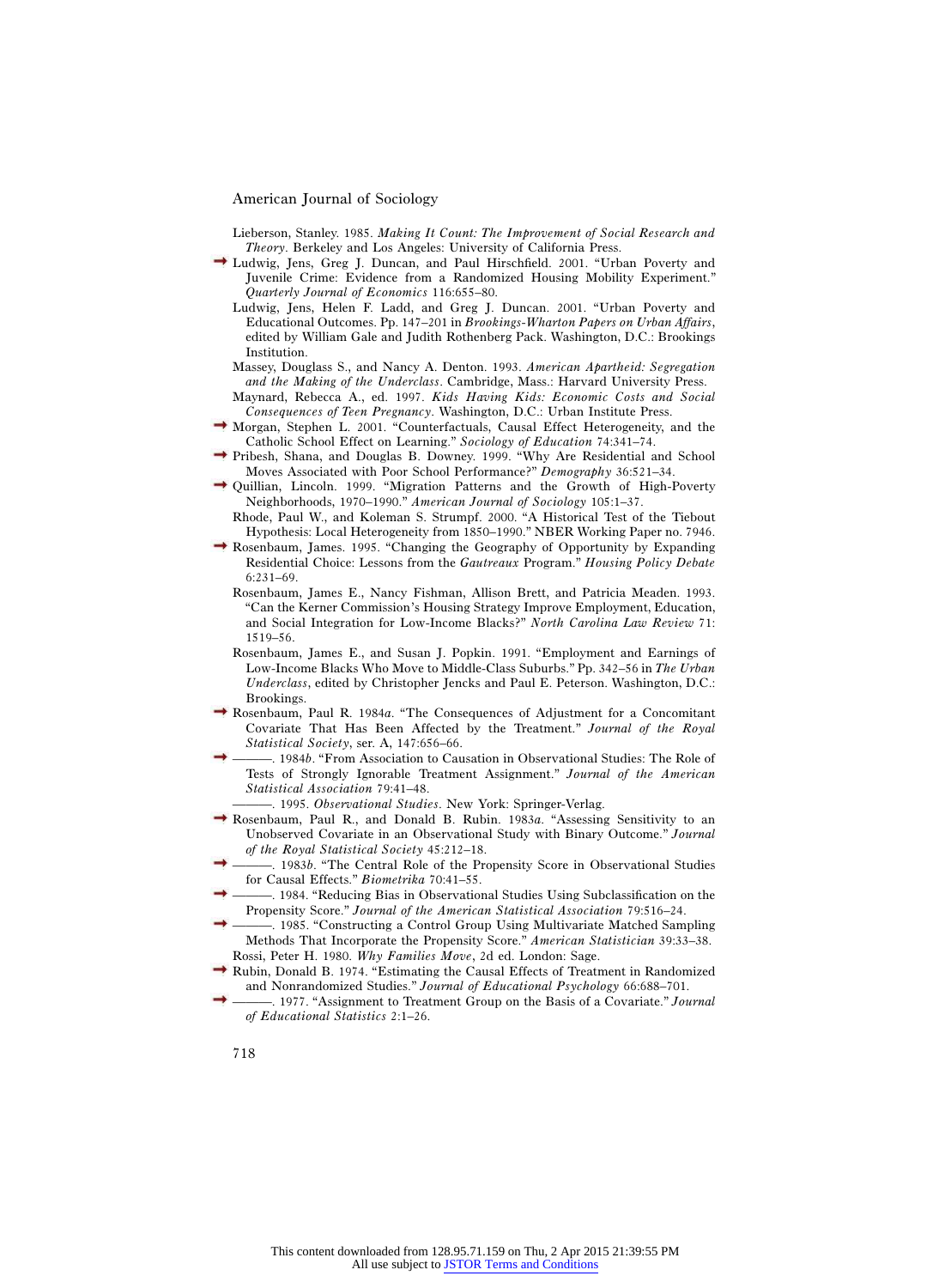Lieberson, Stanley. 1985. *Making It Count: The Improvement of Social Research and Theory*. Berkeley and Los Angeles: University of California Press.

- Ludwig, Jens, Greg J. Duncan, and Paul Hirschfield. 2001. "Urban Poverty and Juvenile Crime: Evidence from a Randomized Housing Mobility Experiment." *Quarterly Journal of Economics* 116:655–80.
- Ludwig, Jens, Helen F. Ladd, and Greg J. Duncan. 2001. "Urban Poverty and Educational Outcomes. Pp. 147–201 in *Brookings-Wharton Papers on Urban Affairs*, edited by William Gale and Judith Rothenberg Pack. Washington, D.C.: Brookings Institution.
- Massey, Douglass S., and Nancy A. Denton. 1993. *American Apartheid: Segregation and the Making of the Underclass*. Cambridge, Mass.: Harvard University Press. Maynard, Rebecca A., ed. 1997. *Kids Having Kids: Economic Costs and Social*
- *Consequences of Teen Pregnancy*. Washington, D.C.: Urban Institute Press. Morgan, Stephen L. 2001. "Counterfactuals, Causal Effect Heterogeneity, and the
- Catholic School Effect on Learning." *Sociology of Education* 74:341–74. Pribesh, Shana, and Douglas B. Downey. 1999. "Why Are Residential and School
- Moves Associated with Poor School Performance?" *Demography* 36:521–34. Quillian, Lincoln. 1999. "Migration Patterns and the Growth of High-Poverty Neighborhoods, 1970–1990." *American Journal of Sociology* 105:1–37.
- Rhode, Paul W., and Koleman S. Strumpf. 2000. "A Historical Test of the Tiebout Hypothesis: Local Heterogeneity from 1850–1990." NBER Working Paper no. 7946.
- Rosenbaum, James. 1995. "Changing the Geography of Opportunity by Expanding Residential Choice: Lessons from the *Gautreaux* Program." *Housing Policy Debate* 6:231–69.
	- Rosenbaum, James E., Nancy Fishman, Allison Brett, and Patricia Meaden. 1993. "Can the Kerner Commission's Housing Strategy Improve Employment, Education, and Social Integration for Low-Income Blacks?" *North Carolina Law Review* 71: 1519–56.
	- Rosenbaum, James E., and Susan J. Popkin. 1991. "Employment and Earnings of Low-Income Blacks Who Move to Middle-Class Suburbs." Pp. 342–56 in *The Urban Underclass*, edited by Christopher Jencks and Paul E. Peterson. Washington, D.C.: Brookings.
- Rosenbaum, Paul R. 1984*a*. "The Consequences of Adjustment for a Concomitant Covariate That Has Been Affected by the Treatment." *Journal of the Royal Statistical Society*, ser. A, 147:656–66.
- ———. 1984*b*. "From Association to Causation in Observational Studies: The Role of Tests of Strongly Ignorable Treatment Assignment." *Journal of the American Statistical Association* 79:41–48.
	- ———. 1995. *Observational Studies*. New York: Springer-Verlag.
- Rosenbaum, Paul R., and Donald B. Rubin. 1983*a*. "Assessing Sensitivity to an Unobserved Covariate in an Observational Study with Binary Outcome." *Journal of the Royal Statistical Society* 45:212–18.
- ———. 1983*b*. "The Central Role of the Propensity Score in Observational Studies for Causal Effects." *Biometrika* 70:41–55.
- ———. 1984. "Reducing Bias in Observational Studies Using Subclassification on the Propensity Score." *Journal of the American Statistical Association* 79:516–24.
- ———. 1985. "Constructing a Control Group Using Multivariate Matched Sampling Methods That Incorporate the Propensity Score." *American Statistician* 39:33–38. Rossi, Peter H. 1980. *Why Families Move*, 2d ed. London: Sage.
- Rubin, Donald B. 1974. "Estimating the Causal Effects of Treatment in Randomized and Nonrandomized Studies." *Journal of Educational Psychology* 66:688–701.
- ———. 1977. "Assignment to Treatment Group on the Basis of a Covariate." *Journal of Educational Statistics* 2:1–26.

718